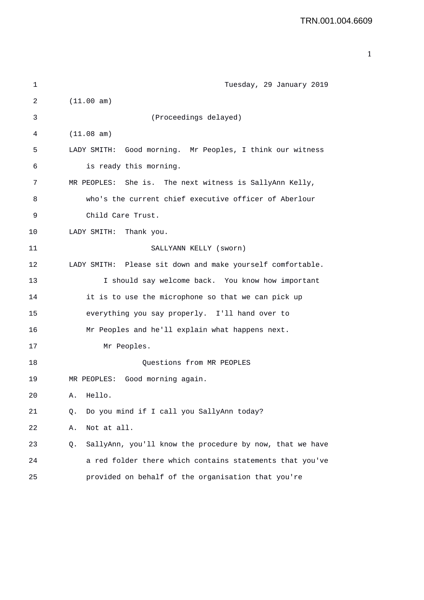1 Tuesday, 29 January 2019 2 (11.00 am) 3 (Proceedings delayed) 4 (11.08 am) 5 LADY SMITH: Good morning. Mr Peoples, I think our witness 6 is ready this morning. 7 MR PEOPLES: She is. The next witness is SallyAnn Kelly, 8 who's the current chief executive officer of Aberlour 9 Child Care Trust. 10 LADY SMITH: Thank you. 11 SALLYANN KELLY (sworn) 12 LADY SMITH: Please sit down and make yourself comfortable. 13 I should say welcome back. You know how important 14 it is to use the microphone so that we can pick up 15 everything you say properly. I'll hand over to 16 Mr Peoples and he'll explain what happens next. 17 Mr Peoples. 18 Questions from MR PEOPLES 19 MR PEOPLES: Good morning again. 20 A. Hello. 21 Q. Do you mind if I call you SallyAnn today? 22 A. Not at all. 23 Q. SallyAnn, you'll know the procedure by now, that we have 24 a red folder there which contains statements that you've 25 provided on behalf of the organisation that you're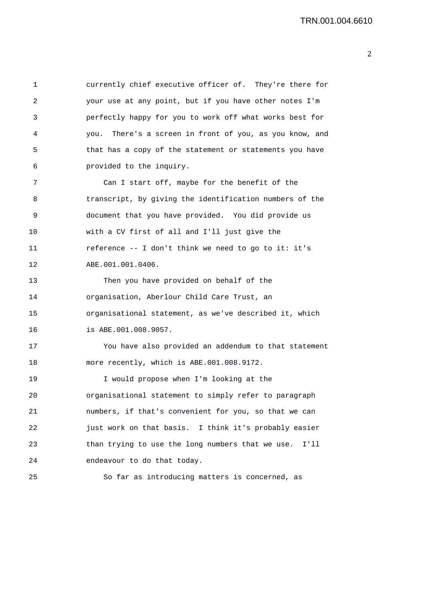1 currently chief executive officer of. They're there for 2 your use at any point, but if you have other notes I'm 3 perfectly happy for you to work off what works best for 4 you. There's a screen in front of you, as you know, and 5 that has a copy of the statement or statements you have 6 provided to the inquiry.

7 Can I start off, maybe for the benefit of the 8 transcript, by giving the identification numbers of the 9 document that you have provided. You did provide us 10 with a CV first of all and I'll just give the 11 reference -- I don't think we need to go to it: it's 12 ABE.001.001.0406.

13 Then you have provided on behalf of the 14 organisation, Aberlour Child Care Trust, an 15 organisational statement, as we've described it, which 16 is ABE.001.008.9057.

17 You have also provided an addendum to that statement 18 more recently, which is ABE.001.008.9172.

19 I would propose when I'm looking at the 20 organisational statement to simply refer to paragraph 21 numbers, if that's convenient for you, so that we can 22 just work on that basis. I think it's probably easier 23 than trying to use the long numbers that we use. I'll 24 endeavour to do that today.

25 So far as introducing matters is concerned, as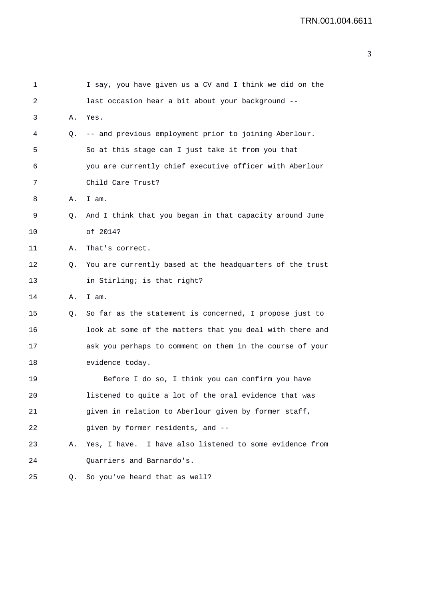| 1       |    | I say, you have given us a CV and I think we did on the  |
|---------|----|----------------------------------------------------------|
| 2       |    | last occasion hear a bit about your background --        |
| 3       | Α. | Yes.                                                     |
| 4       | Q. | -- and previous employment prior to joining Aberlour.    |
| 5       |    | So at this stage can I just take it from you that        |
| 6       |    | you are currently chief executive officer with Aberlour  |
| 7       |    | Child Care Trust?                                        |
| 8       | Α. | I am.                                                    |
| 9       | Q. | And I think that you began in that capacity around June  |
| 10      |    | of 2014?                                                 |
| 11      | Α. | That's correct.                                          |
| 12      | Q. | You are currently based at the headquarters of the trust |
| 13      |    | in Stirling; is that right?                              |
| 14      | Α. | I am.                                                    |
| 15      | Q. | So far as the statement is concerned, I propose just to  |
| 16      |    | look at some of the matters that you deal with there and |
| 17      |    | ask you perhaps to comment on them in the course of your |
| 18      |    | evidence today.                                          |
| 19      |    | Before I do so, I think you can confirm you have         |
| $20 \,$ |    | listened to quite a lot of the oral evidence that was    |
| 21      |    | given in relation to Aberlour given by former staff,     |
| 22      |    | given by former residents, and --                        |
| 23      | Α. | Yes, I have. I have also listened to some evidence from  |
| 24      |    | Quarriers and Barnardo's.                                |
| 25      | Q. | So you've heard that as well?                            |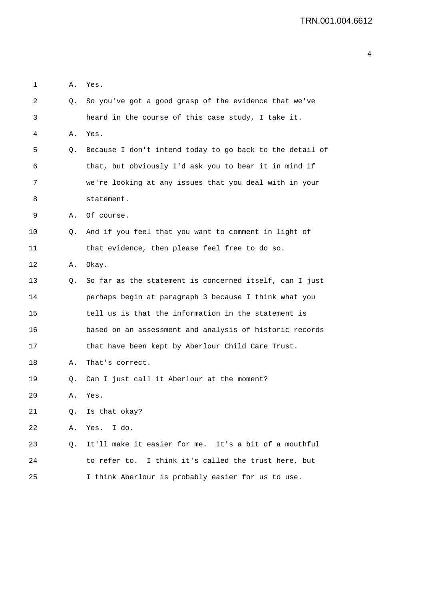| 1  | Α. | Yes.                                                     |
|----|----|----------------------------------------------------------|
| 2  | Q. | So you've got a good grasp of the evidence that we've    |
| 3  |    | heard in the course of this case study, I take it.       |
| 4  | Α. | Yes.                                                     |
| 5  | Q. | Because I don't intend today to go back to the detail of |
| 6  |    | that, but obviously I'd ask you to bear it in mind if    |
| 7  |    | we're looking at any issues that you deal with in your   |
| 8  |    | statement.                                               |
| 9  | Α. | Of course.                                               |
| 10 | Q. | And if you feel that you want to comment in light of     |
| 11 |    | that evidence, then please feel free to do so.           |
| 12 | Α. | Okay.                                                    |
| 13 | Q. | So far as the statement is concerned itself, can I just  |
| 14 |    | perhaps begin at paragraph 3 because I think what you    |
| 15 |    | tell us is that the information in the statement is      |
| 16 |    | based on an assessment and analysis of historic records  |
| 17 |    | that have been kept by Aberlour Child Care Trust.        |
| 18 | Α. | That's correct.                                          |
| 19 | Q. | Can I just call it Aberlour at the moment?               |
| 20 | Α. | Yes.                                                     |
| 21 | Q. | Is that okay?                                            |
| 22 | Α. | Yes. I do.                                               |
| 23 | Q. | It'll make it easier for me. It's a bit of a mouthful    |
| 24 |    | to refer to. I think it's called the trust here, but     |
| 25 |    | I think Aberlour is probably easier for us to use.       |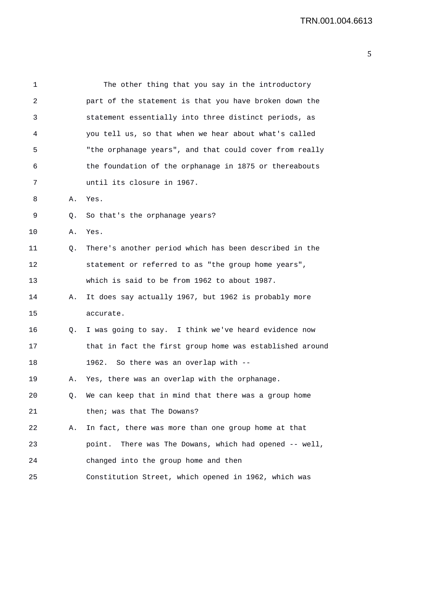| 1  |    | The other thing that you say in the introductory         |
|----|----|----------------------------------------------------------|
| 2  |    | part of the statement is that you have broken down the   |
| 3  |    | statement essentially into three distinct periods, as    |
| 4  |    | you tell us, so that when we hear about what's called    |
| 5  |    | "the orphanage years", and that could cover from really  |
| 6  |    | the foundation of the orphanage in 1875 or thereabouts   |
| 7  |    | until its closure in 1967.                               |
| 8  | Α. | Yes.                                                     |
| 9  | Q. | So that's the orphanage years?                           |
| 10 | Α. | Yes.                                                     |
| 11 | Q. | There's another period which has been described in the   |
| 12 |    | statement or referred to as "the group home years",      |
| 13 |    | which is said to be from 1962 to about 1987.             |
| 14 | Α. | It does say actually 1967, but 1962 is probably more     |
| 15 |    | accurate.                                                |
| 16 | Q. | I was going to say. I think we've heard evidence now     |
| 17 |    | that in fact the first group home was established around |
| 18 |    | So there was an overlap with --<br>1962.                 |
| 19 | Α. | Yes, there was an overlap with the orphanage.            |
| 20 | Q. | We can keep that in mind that there was a group home     |
| 21 |    | then; was that The Dowans?                               |
| 22 | Α. | In fact, there was more than one group home at that      |
| 23 |    | point. There was The Dowans, which had opened -- well,   |
| 24 |    | changed into the group home and then                     |
| 25 |    | Constitution Street, which opened in 1962, which was     |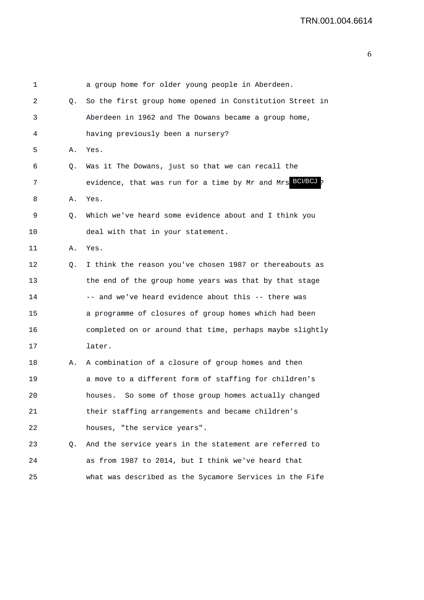| 1  |    | a group home for older young people in Aberdeen.         |
|----|----|----------------------------------------------------------|
| 2  | Q. | So the first group home opened in Constitution Street in |
| 3  |    | Aberdeen in 1962 and The Dowans became a group home,     |
| 4  |    | having previously been a nursery?                        |
| 5  | Α. | Yes.                                                     |
| 6  | Q. | Was it The Dowans, just so that we can recall the        |
| 7  |    | evidence, that was run for a time by Mr and Mrs BOUBCJ p |
| 8  | Α. | Yes.                                                     |
| 9  | Q. | Which we've heard some evidence about and I think you    |
| 10 |    | deal with that in your statement.                        |
| 11 | Α. | Yes.                                                     |
| 12 | Q. | I think the reason you've chosen 1987 or thereabouts as  |
| 13 |    | the end of the group home years was that by that stage   |
| 14 |    | -- and we've heard evidence about this -- there was      |
| 15 |    | a programme of closures of group homes which had been    |
| 16 |    | completed on or around that time, perhaps maybe slightly |
| 17 |    | later.                                                   |
| 18 | Α. | A combination of a closure of group homes and then       |
| 19 |    | a move to a different form of staffing for children's    |
| 20 |    | So some of those group homes actually changed<br>houses. |
| 21 |    | their staffing arrangements and became children's        |
| 22 |    | houses, "the service years".                             |
| 23 | Q. | And the service years in the statement are referred to   |
| 24 |    | as from 1987 to 2014, but I think we've heard that       |
| 25 |    | what was described as the Sycamore Services in the Fife  |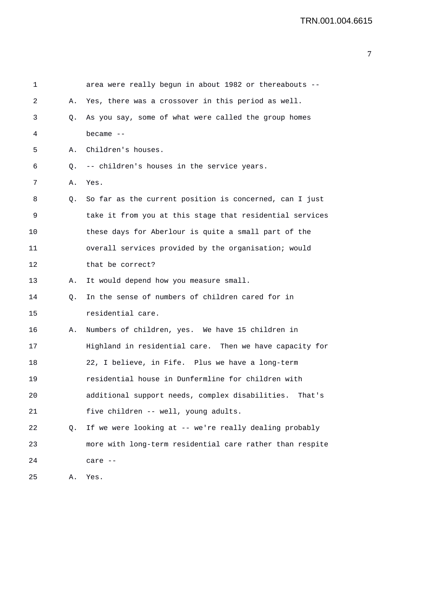| 1  |    | area were really begun in about 1982 or thereabouts --    |
|----|----|-----------------------------------------------------------|
| 2  | А. | Yes, there was a crossover in this period as well.        |
| 3  | Q. | As you say, some of what were called the group homes      |
| 4  |    | became $--$                                               |
| 5  | Α. | Children's houses.                                        |
| 6  | Q. | -- children's houses in the service years.                |
| 7  | Α. | Yes.                                                      |
| 8  | Q. | So far as the current position is concerned, can I just   |
| 9  |    | take it from you at this stage that residential services  |
| 10 |    | these days for Aberlour is quite a small part of the      |
| 11 |    | overall services provided by the organisation; would      |
| 12 |    | that be correct?                                          |
| 13 | Α. | It would depend how you measure small.                    |
| 14 | Q. | In the sense of numbers of children cared for in          |
| 15 |    | residential care.                                         |
| 16 | Α. | Numbers of children, yes. We have 15 children in          |
| 17 |    | Highland in residential care. Then we have capacity for   |
| 18 |    | 22, I believe, in Fife. Plus we have a long-term          |
| 19 |    | residential house in Dunfermline for children with        |
| 20 |    | additional support needs, complex disabilities.<br>That's |
| 21 |    | five children -- well, young adults.                      |
| 22 | Q. | If we were looking at -- we're really dealing probably    |
| 23 |    | more with long-term residential care rather than respite  |
| 24 |    | care --                                                   |
| 25 | Α. | Yes.                                                      |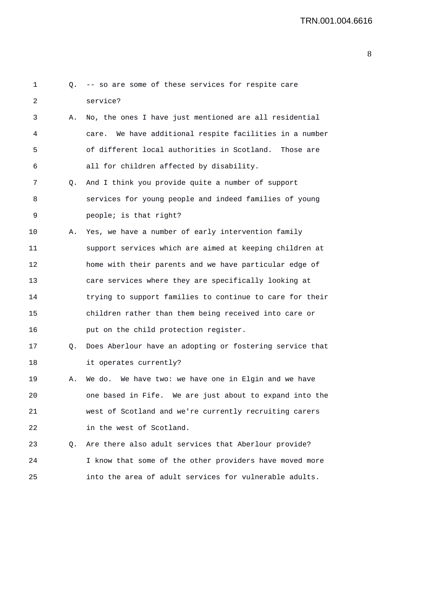| 1  | Q. | -- so are some of these services for respite care          |
|----|----|------------------------------------------------------------|
| 2  |    | service?                                                   |
| 3  | Α. | No, the ones I have just mentioned are all residential     |
| 4  |    | We have additional respite facilities in a number<br>care. |
| 5  |    | of different local authorities in Scotland.<br>Those are   |
| 6  |    | all for children affected by disability.                   |
| 7  | Q. | And I think you provide quite a number of support          |
| 8  |    | services for young people and indeed families of young     |
| 9  |    | people; is that right?                                     |
| 10 | Α. | Yes, we have a number of early intervention family         |
| 11 |    | support services which are aimed at keeping children at    |
| 12 |    | home with their parents and we have particular edge of     |
| 13 |    | care services where they are specifically looking at       |
| 14 |    | trying to support families to continue to care for their   |
| 15 |    | children rather than them being received into care or      |
| 16 |    | put on the child protection register.                      |
| 17 | Q. | Does Aberlour have an adopting or fostering service that   |
| 18 |    | it operates currently?                                     |
| 19 | Α. | We do. We have two: we have one in Elgin and we have       |
| 20 |    | one based in Fife. We are just about to expand into the    |
| 21 |    | west of Scotland and we're currently recruiting carers     |
| 22 |    | in the west of Scotland.                                   |
| 23 | Q. | Are there also adult services that Aberlour provide?       |
| 24 |    | I know that some of the other providers have moved more    |
| 25 |    | into the area of adult services for vulnerable adults.     |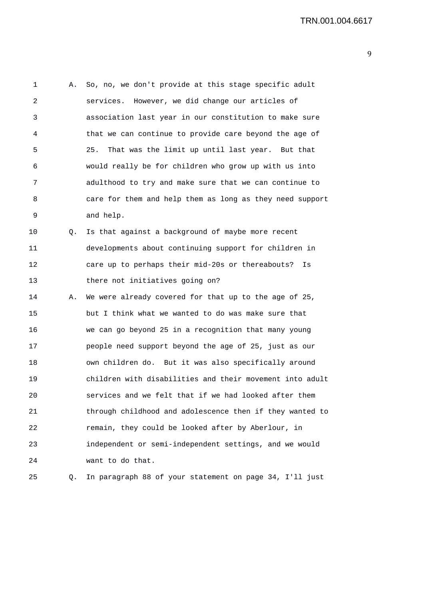1 A. So, no, we don't provide at this stage specific adult 2 services. However, we did change our articles of 3 association last year in our constitution to make sure 4 that we can continue to provide care beyond the age of 5 25. That was the limit up until last year. But that 6 would really be for children who grow up with us into 7 adulthood to try and make sure that we can continue to 8 care for them and help them as long as they need support 9 and help. 10 Q. Is that against a background of maybe more recent 11 developments about continuing support for children in 12 care up to perhaps their mid-20s or thereabouts? Is 13 there not initiatives going on? 14 A. We were already covered for that up to the age of 25, 15 but I think what we wanted to do was make sure that 16 we can go beyond 25 in a recognition that many young 17 people need support beyond the age of 25, just as our 18 own children do. But it was also specifically around 19 children with disabilities and their movement into adult 20 services and we felt that if we had looked after them 21 through childhood and adolescence then if they wanted to 22 remain, they could be looked after by Aberlour, in 23 independent or semi-independent settings, and we would 24 want to do that.

25 Q. In paragraph 88 of your statement on page 34, I'll just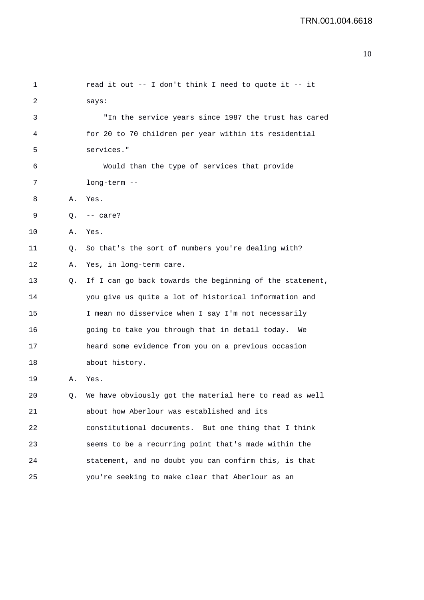| 1  |    | read it out -- I don't think I need to quote it -- it      |
|----|----|------------------------------------------------------------|
| 2  |    | says:                                                      |
| 3  |    | "In the service years since 1987 the trust has cared       |
| 4  |    | for 20 to 70 children per year within its residential      |
| 5  |    | services."                                                 |
| 6  |    | Would than the type of services that provide               |
| 7  |    | long-term --                                               |
| 8  | Α. | Yes.                                                       |
| 9  | Q. | $--$ care?                                                 |
| 10 | Α. | Yes.                                                       |
| 11 | Q. | So that's the sort of numbers you're dealing with?         |
| 12 | Α. | Yes, in long-term care.                                    |
| 13 | Q. | If I can go back towards the beginning of the statement,   |
| 14 |    | you give us quite a lot of historical information and      |
| 15 |    | I mean no disservice when I say I'm not necessarily        |
| 16 |    | going to take you through that in detail today.<br>We      |
| 17 |    | heard some evidence from you on a previous occasion        |
| 18 |    | about history.                                             |
| 19 | Α. | Yes.                                                       |
| 20 |    | Q. We have obviously got the material here to read as well |
| 21 |    | about how Aberlour was established and its                 |
| 22 |    | constitutional documents. But one thing that I think       |
| 23 |    | seems to be a recurring point that's made within the       |
| 24 |    | statement, and no doubt you can confirm this, is that      |
| 25 |    | you're seeking to make clear that Aberlour as an           |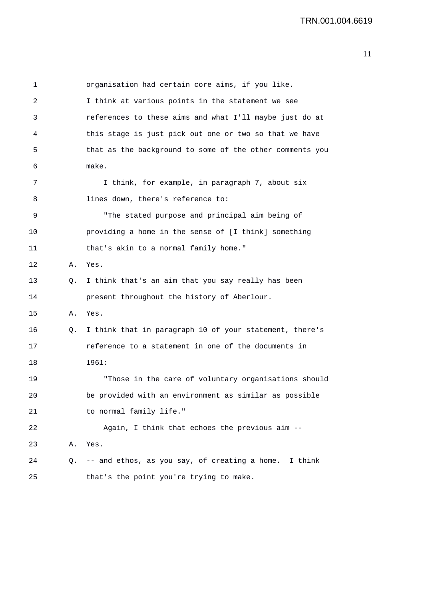1 organisation had certain core aims, if you like. 2 I think at various points in the statement we see 3 references to these aims and what I'll maybe just do at 4 this stage is just pick out one or two so that we have 5 that as the background to some of the other comments you 6 make. 7 1 I think, for example, in paragraph 7, about six 8 lines down, there's reference to: 9 "The stated purpose and principal aim being of 10 providing a home in the sense of [I think] something 11 that's akin to a normal family home." 12 A. Yes. 13 Q. I think that's an aim that you say really has been 14 present throughout the history of Aberlour. 15 A. Yes. 16 Q. I think that in paragraph 10 of your statement, there's 17 reference to a statement in one of the documents in 18 1961: 19 "Those in the care of voluntary organisations should 20 be provided with an environment as similar as possible 21 to normal family life." 22 Again, I think that echoes the previous aim -- 23 A. Yes. 24 Q. -- and ethos, as you say, of creating a home. I think 25 that's the point you're trying to make.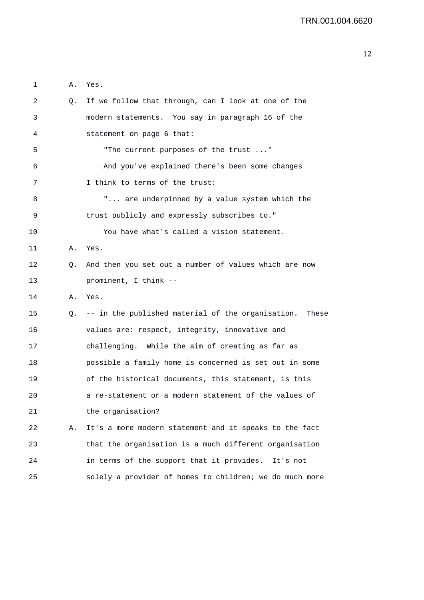| 2  | Q. | If we follow that through, can I look at one of the        |
|----|----|------------------------------------------------------------|
| 3  |    | modern statements. You say in paragraph 16 of the          |
| 4  |    | statement on page 6 that:                                  |
| 5  |    | "The current purposes of the trust "                       |
| 6  |    | And you've explained there's been some changes             |
| 7  |    | I think to terms of the trust:                             |
| 8  |    | " are underpinned by a value system which the              |
| 9  |    | trust publicly and expressly subscribes to."               |
| 10 |    | You have what's called a vision statement.                 |
| 11 | Α. | Yes.                                                       |
| 12 | Q. | And then you set out a number of values which are now      |
| 13 |    | prominent, I think --                                      |
| 14 | Α. | Yes.                                                       |
| 15 | Q. | -- in the published material of the organisation.<br>These |
|    |    |                                                            |
| 16 |    | values are: respect, integrity, innovative and             |
| 17 |    | challenging. While the aim of creating as far as           |
| 18 |    | possible a family home is concerned is set out in some     |
| 19 |    | of the historical documents, this statement, is this       |
| 20 |    | a re-statement or a modern statement of the values of      |
| 21 |    | the organisation?                                          |
| 22 | Α. | It's a more modern statement and it speaks to the fact     |
| 23 |    | that the organisation is a much different organisation     |
| 24 |    | in terms of the support that it provides. It's not         |

1 A. Yes.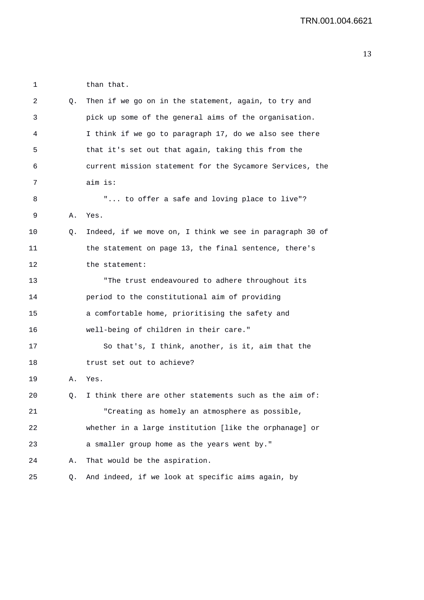1 than that. 2 Q. Then if we go on in the statement, again, to try and 3 pick up some of the general aims of the organisation. 4 I think if we go to paragraph 17, do we also see there 5 that it's set out that again, taking this from the 6 current mission statement for the Sycamore Services, the 7 aim is: 8 "... to offer a safe and loving place to live"? 9 A. Yes. 10 Q. Indeed, if we move on, I think we see in paragraph 30 of 11 the statement on page 13, the final sentence, there's 12 the statement: 13 "The trust endeavoured to adhere throughout its 14 period to the constitutional aim of providing 15 a comfortable home, prioritising the safety and 16 well-being of children in their care." 17 So that's, I think, another, is it, aim that the 18 trust set out to achieve? 19 A. Yes. 20 0. I think there are other statements such as the aim of: 21 "Creating as homely an atmosphere as possible, 22 whether in a large institution [like the orphanage] or 23 a smaller group home as the years went by." 24 A. That would be the aspiration. 25 Q. And indeed, if we look at specific aims again, by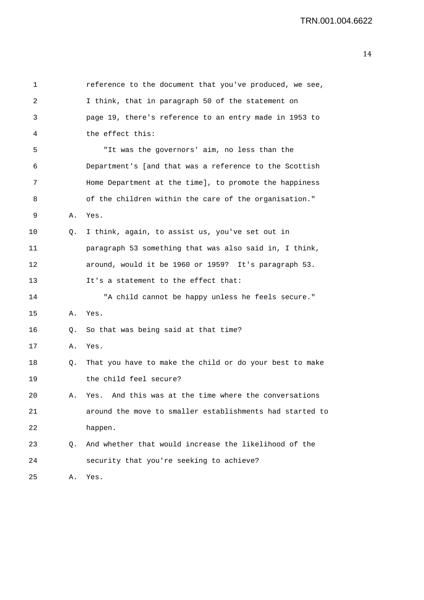| 1       |    | reference to the document that you've produced, we see,  |
|---------|----|----------------------------------------------------------|
| 2       |    | I think, that in paragraph 50 of the statement on        |
| 3       |    | page 19, there's reference to an entry made in 1953 to   |
| 4       |    | the effect this:                                         |
| 5       |    | "It was the governors' aim, no less than the             |
| 6       |    | Department's [and that was a reference to the Scottish   |
| 7       |    | Home Department at the time], to promote the happiness   |
| 8       |    | of the children within the care of the organisation."    |
| 9       | Α. | Yes.                                                     |
| $10 \,$ | Q. | I think, again, to assist us, you've set out in          |
| 11      |    | paragraph 53 something that was also said in, I think,   |
| 12      |    | around, would it be 1960 or 1959? It's paragraph 53.     |
| 13      |    | It's a statement to the effect that:                     |
| 14      |    | "A child cannot be happy unless he feels secure."        |
| 15      | Α. | Yes.                                                     |
| 16      | Q. | So that was being said at that time?                     |
| 17      | Α. | Yes.                                                     |
| 18      | Q. | That you have to make the child or do your best to make  |
| 19      |    | the child feel secure?                                   |
| 20      | А. | Yes. And this was at the time where the conversations    |
| 21      |    | around the move to smaller establishments had started to |
| 22      |    | happen.                                                  |
| 23      | Q. | And whether that would increase the likelihood of the    |
| 24      |    | security that you're seeking to achieve?                 |
| 25      | Α. | Yes.                                                     |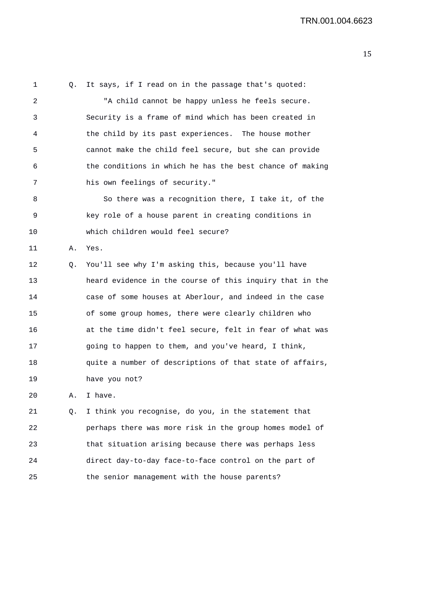1 Q. It says, if I read on in the passage that's quoted: 2 "A child cannot be happy unless he feels secure. 3 Security is a frame of mind which has been created in 4 the child by its past experiences. The house mother 5 cannot make the child feel secure, but she can provide 6 the conditions in which he has the best chance of making 7 his own feelings of security." 8 So there was a recognition there, I take it, of the 9 key role of a house parent in creating conditions in 10 which children would feel secure? 11 A. Yes. 12 Q. You'll see why I'm asking this, because you'll have 13 heard evidence in the course of this inquiry that in the 14 case of some houses at Aberlour, and indeed in the case 15 of some group homes, there were clearly children who 16 at the time didn't feel secure, felt in fear of what was 17 going to happen to them, and you've heard, I think, 18 quite a number of descriptions of that state of affairs, 19 have you not? 20 A. I have. 21 Q. I think you recognise, do you, in the statement that 22 perhaps there was more risk in the group homes model of 23 that situation arising because there was perhaps less 24 direct day-to-day face-to-face control on the part of

25 the senior management with the house parents?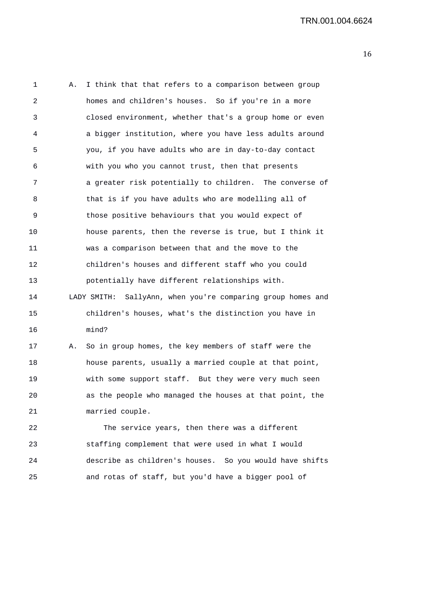1 A. I think that that refers to a comparison between group 2 homes and children's houses. So if you're in a more 3 closed environment, whether that's a group home or even 4 a bigger institution, where you have less adults around 5 you, if you have adults who are in day-to-day contact 6 with you who you cannot trust, then that presents 7 a greater risk potentially to children. The converse of 8 that is if you have adults who are modelling all of 9 those positive behaviours that you would expect of 10 house parents, then the reverse is true, but I think it 11 was a comparison between that and the move to the 12 children's houses and different staff who you could 13 potentially have different relationships with. 14 LADY SMITH: SallyAnn, when you're comparing group homes and 15 children's houses, what's the distinction you have in 16 mind? 17 A. So in group homes, the key members of staff were the 18 house parents, usually a married couple at that point, 19 with some support staff. But they were very much seen 20 as the people who managed the houses at that point, the 21 married couple. 22 The service years, then there was a different 23 staffing complement that were used in what I would 24 describe as children's houses. So you would have shifts

25 and rotas of staff, but you'd have a bigger pool of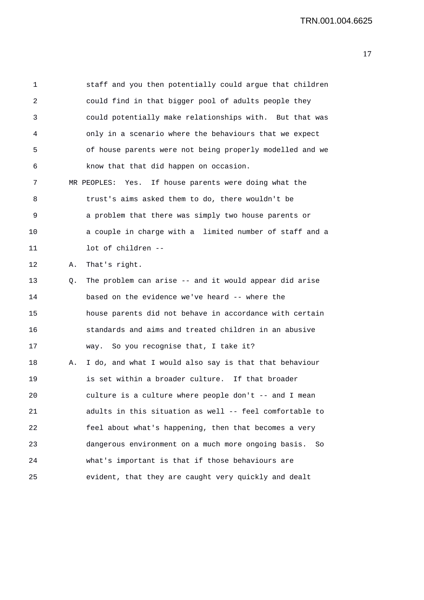1 staff and you then potentially could argue that children 2 could find in that bigger pool of adults people they 3 could potentially make relationships with. But that was 4 only in a scenario where the behaviours that we expect 5 of house parents were not being properly modelled and we 6 know that that did happen on occasion. 7 MR PEOPLES: Yes. If house parents were doing what the 8 trust's aims asked them to do, there wouldn't be 9 a problem that there was simply two house parents or 10 a couple in charge with a limited number of staff and a 11 lot of children -- 12 A. That's right. 13 Q. The problem can arise -- and it would appear did arise 14 based on the evidence we've heard -- where the 15 house parents did not behave in accordance with certain 16 standards and aims and treated children in an abusive 17 way. So you recognise that, I take it? 18 A. I do, and what I would also say is that that behaviour 19 is set within a broader culture. If that broader 20 culture is a culture where people don't -- and I mean 21 adults in this situation as well -- feel comfortable to 22 feel about what's happening, then that becomes a very 23 dangerous environment on a much more ongoing basis. So 24 what's important is that if those behaviours are 25 evident, that they are caught very quickly and dealt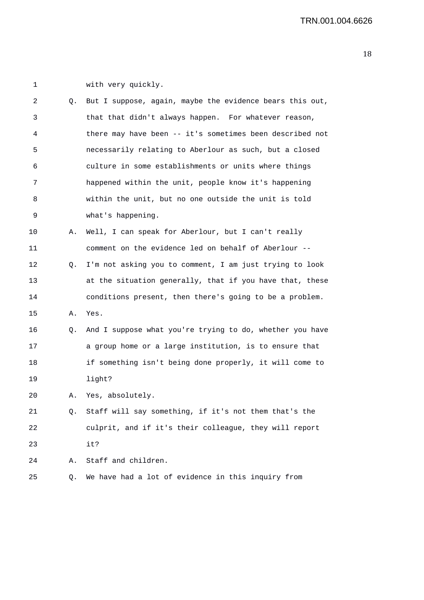1 with very quickly.

| 2  | Q. | But I suppose, again, maybe the evidence bears this out, |
|----|----|----------------------------------------------------------|
| 3  |    | that that didn't always happen. For whatever reason,     |
| 4  |    | there may have been -- it's sometimes been described not |
| 5  |    | necessarily relating to Aberlour as such, but a closed   |
| 6  |    | culture in some establishments or units where things     |
| 7  |    | happened within the unit, people know it's happening     |
| 8  |    | within the unit, but no one outside the unit is told     |
| 9  |    | what's happening.                                        |
| 10 | А. | Well, I can speak for Aberlour, but I can't really       |
| 11 |    | comment on the evidence led on behalf of Aberlour --     |
| 12 | Q. | I'm not asking you to comment, I am just trying to look  |
| 13 |    | at the situation generally, that if you have that, these |
| 14 |    | conditions present, then there's going to be a problem.  |
| 15 | Α. | Yes.                                                     |
| 16 | Q. | And I suppose what you're trying to do, whether you have |
| 17 |    | a group home or a large institution, is to ensure that   |
| 18 |    | if something isn't being done properly, it will come to  |
| 19 |    | light?                                                   |
| 20 | А. | Yes, absolutely.                                         |
| 21 | Q. | Staff will say something, if it's not them that's the    |
| 22 |    | culprit, and if it's their colleague, they will report   |
| 23 |    | it?                                                      |
| 24 | Α. | Staff and children.                                      |
| 25 | Q. | We have had a lot of evidence in this inquiry from       |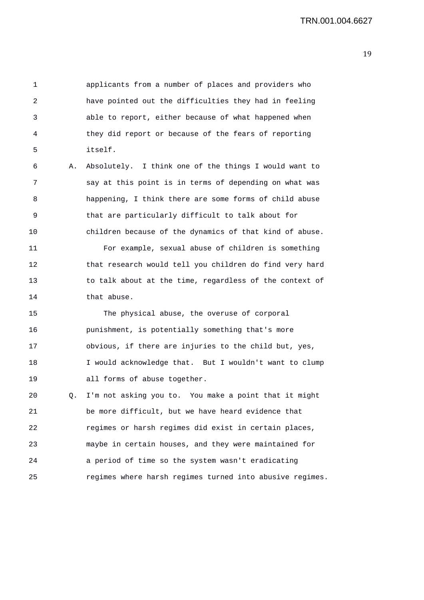1 applicants from a number of places and providers who 2 have pointed out the difficulties they had in feeling 3 able to report, either because of what happened when 4 they did report or because of the fears of reporting 5 itself. 6 A. Absolutely. I think one of the things I would want to 7 say at this point is in terms of depending on what was 8 happening, I think there are some forms of child abuse 9 that are particularly difficult to talk about for 10 children because of the dynamics of that kind of abuse. 11 For example, sexual abuse of children is something 12 that research would tell you children do find very hard 13 to talk about at the time, regardless of the context of 14 that abuse. 15 The physical abuse, the overuse of corporal

16 punishment, is potentially something that's more 17 obvious, if there are injuries to the child but, yes, 18 I would acknowledge that. But I wouldn't want to clump 19 all forms of abuse together.

20 Q. I'm not asking you to. You make a point that it might 21 be more difficult, but we have heard evidence that 22 regimes or harsh regimes did exist in certain places, 23 maybe in certain houses, and they were maintained for 24 a period of time so the system wasn't eradicating 25 regimes where harsh regimes turned into abusive regimes.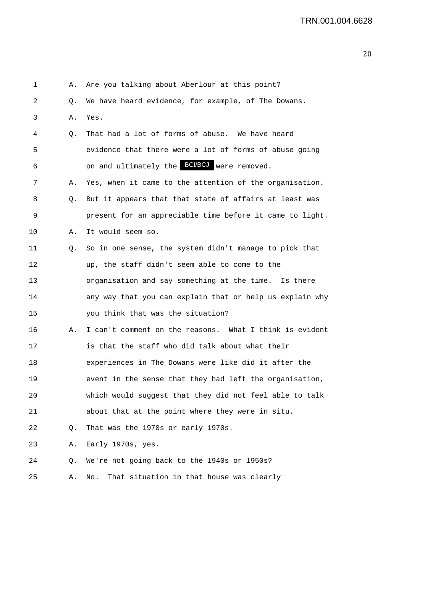| 1  | Α. | Are you talking about Aberlour at this point?            |
|----|----|----------------------------------------------------------|
| 2  | Q. | We have heard evidence, for example, of The Dowans.      |
| 3  | Α. | Yes.                                                     |
| 4  | Q. | That had a lot of forms of abuse. We have heard          |
| 5  |    | evidence that there were a lot of forms of abuse going   |
| 6  |    | on and ultimately the <b>BCI/BCJ</b> were removed.       |
| 7  | Α. | Yes, when it came to the attention of the organisation.  |
| 8  | Q. | But it appears that that state of affairs at least was   |
| 9  |    | present for an appreciable time before it came to light. |
| 10 | Α. | It would seem so.                                        |
| 11 | Q. | So in one sense, the system didn't manage to pick that   |
| 12 |    | up, the staff didn't seem able to come to the            |
| 13 |    | organisation and say something at the time. Is there     |
| 14 |    | any way that you can explain that or help us explain why |
| 15 |    | you think that was the situation?                        |
| 16 | Α. | I can't comment on the reasons. What I think is evident  |
| 17 |    | is that the staff who did talk about what their          |
| 18 |    | experiences in The Dowans were like did it after the     |
| 19 |    | event in the sense that they had left the organisation,  |
| 20 |    | which would suggest that they did not feel able to talk  |
| 21 |    | about that at the point where they were in situ.         |
| 22 | Q. | That was the 1970s or early 1970s.                       |
| 23 | Α. | Early 1970s, yes.                                        |
| 24 | Q. | We're not going back to the 1940s or 1950s?              |
| 25 | Α. | That situation in that house was clearly<br>No.          |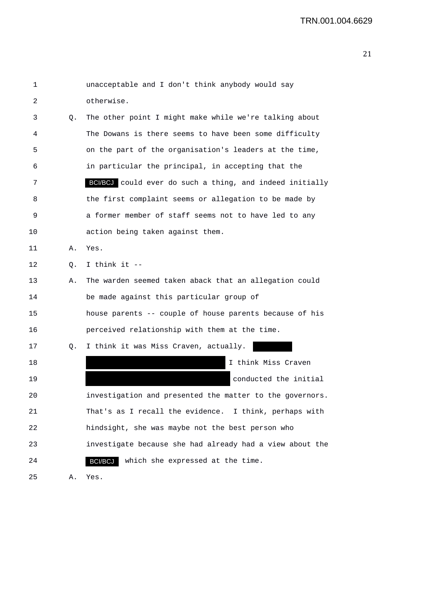| 1  |    | unacceptable and I don't think anybody would say         |
|----|----|----------------------------------------------------------|
| 2  |    | otherwise.                                               |
| 3  | Q. | The other point I might make while we're talking about   |
| 4  |    | The Dowans is there seems to have been some difficulty   |
| 5  |    | on the part of the organisation's leaders at the time,   |
| 6  |    | in particular the principal, in accepting that the       |
| 7  |    | BCI/BCJ could ever do such a thing, and indeed initially |
| 8  |    | the first complaint seems or allegation to be made by    |
| 9  |    | a former member of staff seems not to have led to any    |
| 10 |    | action being taken against them.                         |
| 11 | Α. | Yes.                                                     |
| 12 | Q. | I think it --                                            |
| 13 | Α. | The warden seemed taken aback that an allegation could   |
| 14 |    | be made against this particular group of                 |
| 15 |    | house parents -- couple of house parents because of his  |
| 16 |    | perceived relationship with them at the time.            |
| 17 | Q. | I think it was Miss Craven, actually.                    |
| 18 |    | I think Miss Craven                                      |
| 19 |    | conducted the initial                                    |
| 20 |    | investigation and presented the matter to the governors  |
| 21 |    | That's as I recall the evidence. I think, perhaps with   |
| 22 |    | hindsight, she was maybe not the best person who         |
| 23 |    | investigate because she had already had a view about the |
| 24 |    | which she expressed at the time.<br>BCI/BCJ              |
| 25 | Α. | Yes.                                                     |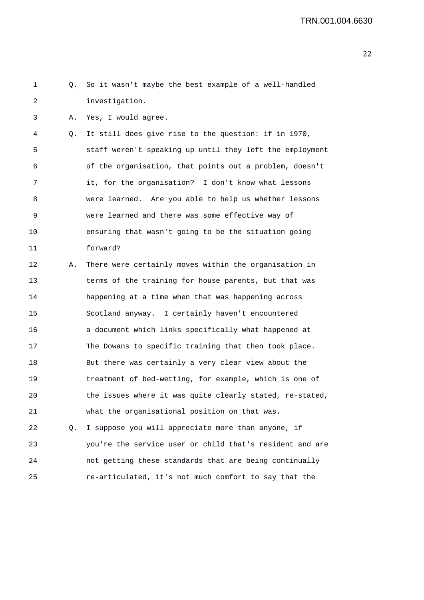1 Q. So it wasn't maybe the best example of a well-handled 2 investigation. 3 A. Yes, I would agree. 4 Q. It still does give rise to the question: if in 1970, 5 staff weren't speaking up until they left the employment 6 of the organisation, that points out a problem, doesn't 7 it, for the organisation? I don't know what lessons 8 were learned. Are you able to help us whether lessons 9 were learned and there was some effective way of 10 ensuring that wasn't going to be the situation going 11 forward? 12 A. There were certainly moves within the organisation in 13 terms of the training for house parents, but that was 14 happening at a time when that was happening across 15 Scotland anyway. I certainly haven't encountered 16 a document which links specifically what happened at 17 The Dowans to specific training that then took place. 18 But there was certainly a very clear view about the 19 treatment of bed-wetting, for example, which is one of 20 the issues where it was quite clearly stated, re-stated, 21 what the organisational position on that was. 22 Q. I suppose you will appreciate more than anyone, if 23 you're the service user or child that's resident and are 24 not getting these standards that are being continually 25 re-articulated, it's not much comfort to say that the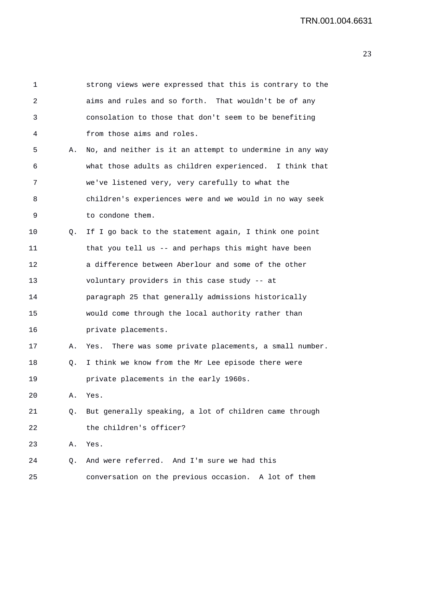| 1  |    | strong views were expressed that this is contrary to the   |
|----|----|------------------------------------------------------------|
| 2  |    | aims and rules and so forth. That wouldn't be of any       |
| 3  |    | consolation to those that don't seem to be benefiting      |
| 4  |    | from those aims and roles.                                 |
| 5  | Α. | No, and neither is it an attempt to undermine in any way   |
| 6  |    | what those adults as children experienced. I think that    |
| 7  |    | we've listened very, very carefully to what the            |
| 8  |    | children's experiences were and we would in no way seek    |
| 9  |    | to condone them.                                           |
| 10 | Q. | If I go back to the statement again, I think one point     |
| 11 |    | that you tell us -- and perhaps this might have been       |
| 12 |    | a difference between Aberlour and some of the other        |
| 13 |    | voluntary providers in this case study -- at               |
| 14 |    | paragraph 25 that generally admissions historically        |
| 15 |    | would come through the local authority rather than         |
| 16 |    | private placements.                                        |
| 17 | Α. | There was some private placements, a small number.<br>Yes. |
| 18 | Q. | I think we know from the Mr Lee episode there were         |
| 19 |    | private placements in the early 1960s.                     |
| 20 | Α. | Yes.                                                       |
| 21 | О. | But generally speaking, a lot of children came through     |
| 22 |    | the children's officer?                                    |
| 23 | Α. | Yes.                                                       |
| 24 | Q. | And were referred. And I'm sure we had this                |
| 25 |    | conversation on the previous occasion. A lot of them       |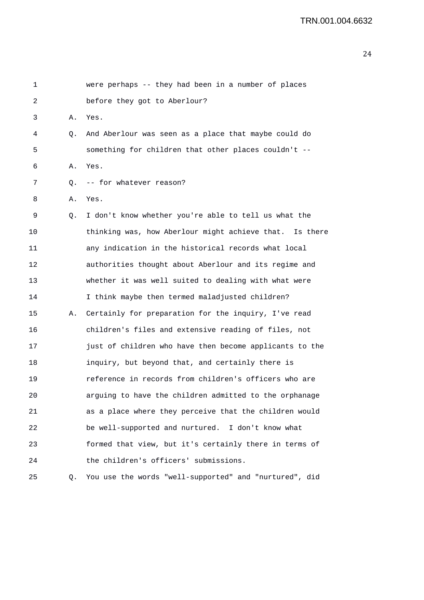| 1  |    | were perhaps -- they had been in a number of places     |
|----|----|---------------------------------------------------------|
| 2  |    | before they got to Aberlour?                            |
| 3  | Α. | Yes.                                                    |
| 4  | Q. | And Aberlour was seen as a place that maybe could do    |
| 5  |    | something for children that other places couldn't --    |
| 6  | Α. | Yes.                                                    |
| 7  | Q. | -- for whatever reason?                                 |
| 8  | Α. | Yes.                                                    |
| 9  | Q. | I don't know whether you're able to tell us what the    |
| 10 |    | thinking was, how Aberlour might achieve that. Is there |
| 11 |    | any indication in the historical records what local     |
| 12 |    | authorities thought about Aberlour and its regime and   |
| 13 |    | whether it was well suited to dealing with what were    |
| 14 |    | I think maybe then termed maladjusted children?         |
| 15 | Α. | Certainly for preparation for the inquiry, I've read    |
| 16 |    | children's files and extensive reading of files, not    |
| 17 |    | just of children who have then become applicants to the |
| 18 |    | inquiry, but beyond that, and certainly there is        |
| 19 |    | reference in records from children's officers who are   |
| 20 |    | arguing to have the children admitted to the orphanage  |
| 21 |    | as a place where they perceive that the children would  |
| 22 |    | be well-supported and nurtured. I don't know what       |
| 23 |    | formed that view, but it's certainly there in terms of  |
| 24 |    | the children's officers' submissions.                   |
| 25 | Q. | You use the words "well-supported" and "nurtured", did  |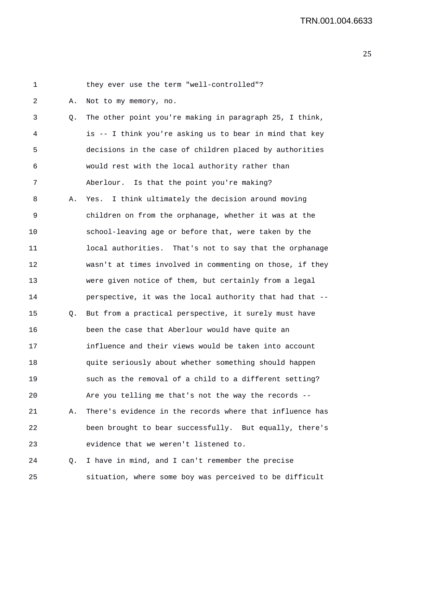| 1  |    | they ever use the term "well-controlled"?                |
|----|----|----------------------------------------------------------|
| 2  | Α. | Not to my memory, no.                                    |
| 3  | Q. | The other point you're making in paragraph 25, I think,  |
| 4  |    | is -- I think you're asking us to bear in mind that key  |
| 5  |    | decisions in the case of children placed by authorities  |
| 6  |    | would rest with the local authority rather than          |
| 7  |    | Is that the point you're making?<br>Aberlour.            |
| 8  | Α. | I think ultimately the decision around moving<br>Yes.    |
| 9  |    | children on from the orphanage, whether it was at the    |
| 10 |    | school-leaving age or before that, were taken by the     |
| 11 |    | local authorities. That's not to say that the orphanage  |
| 12 |    | wasn't at times involved in commenting on those, if they |
| 13 |    | were given notice of them, but certainly from a legal    |
| 14 |    | perspective, it was the local authority that had that -- |
| 15 | Q. | But from a practical perspective, it surely must have    |
| 16 |    | been the case that Aberlour would have quite an          |
| 17 |    | influence and their views would be taken into account    |
| 18 |    | quite seriously about whether something should happen    |
| 19 |    | such as the removal of a child to a different setting?   |
| 20 |    | Are you telling me that's not the way the records --     |
| 21 | Α. | There's evidence in the records where that influence has |
| 22 |    | been brought to bear successfully. But equally, there's  |
| 23 |    | evidence that we weren't listened to.                    |
| 24 | Q. | I have in mind, and I can't remember the precise         |
| 25 |    | situation, where some boy was perceived to be difficult  |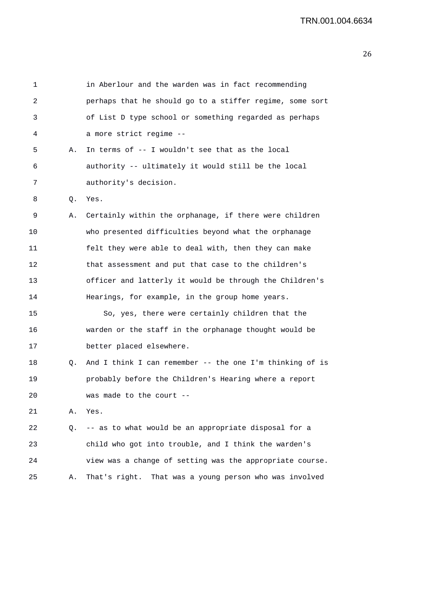| 1  |    | in Aberlour and the warden was in fact recommending       |
|----|----|-----------------------------------------------------------|
| 2  |    | perhaps that he should go to a stiffer regime, some sort  |
| 3  |    | of List D type school or something regarded as perhaps    |
| 4  |    | a more strict regime --                                   |
| 5  | А. | In terms of -- I wouldn't see that as the local           |
| 6  |    | authority -- ultimately it would still be the local       |
| 7  |    | authority's decision.                                     |
| 8  | Q. | Yes.                                                      |
| 9  | Α. | Certainly within the orphanage, if there were children    |
| 10 |    | who presented difficulties beyond what the orphanage      |
| 11 |    | felt they were able to deal with, then they can make      |
| 12 |    | that assessment and put that case to the children's       |
| 13 |    | officer and latterly it would be through the Children's   |
| 14 |    | Hearings, for example, in the group home years.           |
| 15 |    | So, yes, there were certainly children that the           |
| 16 |    | warden or the staff in the orphanage thought would be     |
| 17 |    | better placed elsewhere.                                  |
| 18 | Q. | And I think I can remember -- the one I'm thinking of is  |
| 19 |    | probably before the Children's Hearing where a report     |
| 20 |    | was made to the court --                                  |
| 21 | Α. | Yes.                                                      |
| 22 | Q. | -- as to what would be an appropriate disposal for a      |
| 23 |    | child who got into trouble, and I think the warden's      |
| 24 |    | view was a change of setting was the appropriate course.  |
| 25 | Α. | That was a young person who was involved<br>That's right. |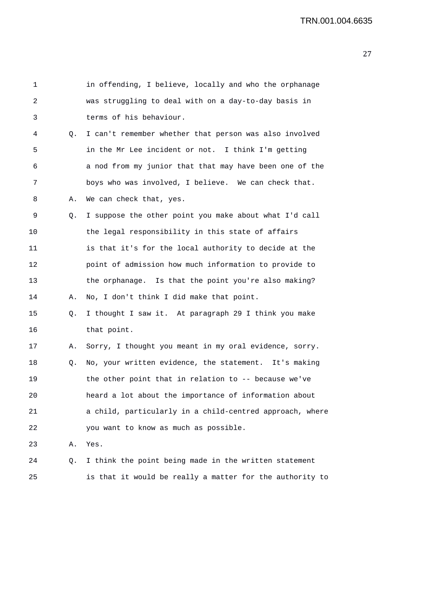| $\mathbf{1}$ |    | in offending, I believe, locally and who the orphanage   |
|--------------|----|----------------------------------------------------------|
| 2            |    | was struggling to deal with on a day-to-day basis in     |
| 3            |    | terms of his behaviour.                                  |
| 4            | Q. | I can't remember whether that person was also involved   |
| 5            |    | in the Mr Lee incident or not. I think I'm getting       |
| 6            |    | a nod from my junior that that may have been one of the  |
| 7            |    | boys who was involved, I believe. We can check that.     |
| 8            | Α. | We can check that, yes.                                  |
| 9            | Q. | I suppose the other point you make about what I'd call   |
| 10           |    | the legal responsibility in this state of affairs        |
| 11           |    | is that it's for the local authority to decide at the    |
| 12           |    | point of admission how much information to provide to    |
| 13           |    | the orphanage. Is that the point you're also making?     |
| 14           | Α. | No, I don't think I did make that point.                 |
| 15           | Q. | I thought I saw it. At paragraph 29 I think you make     |
| 16           |    | that point.                                              |
| 17           | Α. | Sorry, I thought you meant in my oral evidence, sorry.   |
| 18           | Q. | No, your written evidence, the statement. It's making    |
| 19           |    | the other point that in relation to $-$ - because we've  |
| 20           |    | heard a lot about the importance of information about    |
| 21           |    | a child, particularly in a child-centred approach, where |
| 22           |    | you want to know as much as possible.                    |
| 23           | Α. | Yes.                                                     |
| 24           | Q. | I think the point being made in the written statement    |
| 25           |    | is that it would be really a matter for the authority to |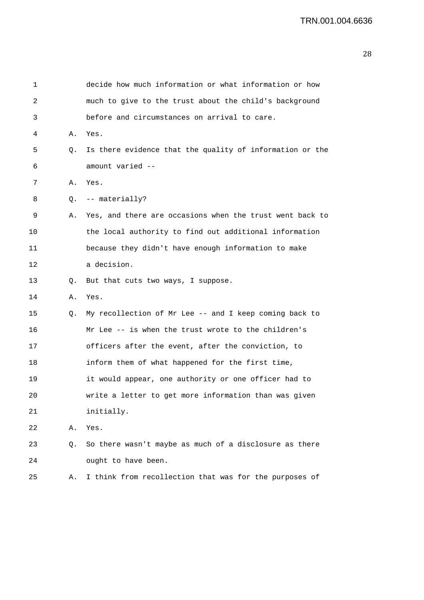| 1  |    | decide how much information or what information or how   |
|----|----|----------------------------------------------------------|
| 2  |    | much to give to the trust about the child's background   |
| 3  |    | before and circumstances on arrival to care.             |
| 4  | Α. | Yes.                                                     |
| 5  | Q. | Is there evidence that the quality of information or the |
| 6  |    | amount varied --                                         |
| 7  | Α. | Yes.                                                     |
| 8  | Q. | -- materially?                                           |
| 9  | Α. | Yes, and there are occasions when the trust went back to |
| 10 |    | the local authority to find out additional information   |
| 11 |    | because they didn't have enough information to make      |
| 12 |    | a decision.                                              |
| 13 | Q. | But that cuts two ways, I suppose.                       |
| 14 | Α. | Yes.                                                     |
| 15 | Q. | My recollection of Mr Lee -- and I keep coming back to   |
| 16 |    | Mr Lee -- is when the trust wrote to the children's      |
| 17 |    | officers after the event, after the conviction, to       |
| 18 |    | inform them of what happened for the first time,         |
| 19 |    | it would appear, one authority or one officer had to     |
| 20 |    | write a letter to get more information than was given    |
| 21 |    | initially.                                               |
| 22 | Α. | Yes.                                                     |
| 23 | Q. | So there wasn't maybe as much of a disclosure as there   |
| 24 |    | ought to have been.                                      |
| 25 | Α. | I think from recollection that was for the purposes of   |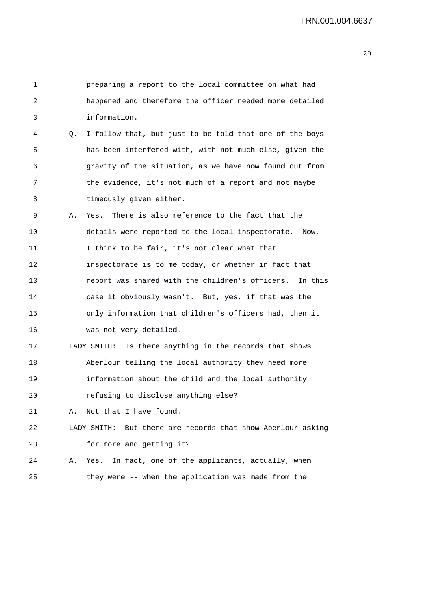| 1  |             | preparing a report to the local committee on what had          |
|----|-------------|----------------------------------------------------------------|
| 2  |             | happened and therefore the officer needed more detailed        |
| 3  |             | information.                                                   |
| 4  | $Q_{\star}$ | I follow that, but just to be told that one of the boys        |
| 5  |             | has been interfered with, with not much else, given the        |
| 6  |             | gravity of the situation, as we have now found out from        |
| 7  |             | the evidence, it's not much of a report and not maybe          |
| 8  |             | timeously given either.                                        |
| 9  | Α.          | There is also reference to the fact that the<br>Yes.           |
| 10 |             | details were reported to the local inspectorate. Now,          |
| 11 |             | I think to be fair, it's not clear what that                   |
| 12 |             | inspectorate is to me today, or whether in fact that           |
| 13 |             | report was shared with the children's officers. In this        |
| 14 |             | case it obviously wasn't. But, yes, if that was the            |
| 15 |             | only information that children's officers had, then it         |
| 16 |             | was not very detailed.                                         |
| 17 |             | LADY SMITH: Is there anything in the records that shows        |
| 18 |             | Aberlour telling the local authority they need more            |
| 19 |             | information about the child and the local authority            |
| 20 |             | refusing to disclose anything else?                            |
| 21 | Α.          | Not that I have found.                                         |
| 22 |             | But there are records that show Aberlour asking<br>LADY SMITH: |
| 23 |             | for more and getting it?                                       |
| 24 | Α.          | In fact, one of the applicants, actually, when<br>Yes.         |
| 25 |             | they were -- when the application was made from the            |
|    |             |                                                                |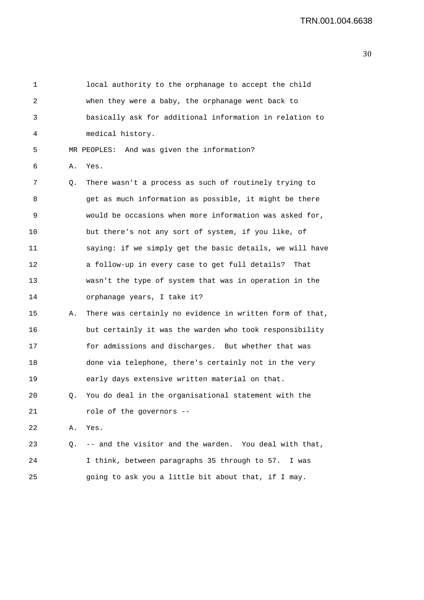| 1  |    | local authority to the orphanage to accept the child     |
|----|----|----------------------------------------------------------|
| 2  |    | when they were a baby, the orphanage went back to        |
| 3  |    | basically ask for additional information in relation to  |
| 4  |    | medical history.                                         |
| 5  |    | MR PEOPLES: And was given the information?               |
| 6  | Α. | Yes.                                                     |
| 7  | Q. | There wasn't a process as such of routinely trying to    |
| 8  |    | get as much information as possible, it might be there   |
| 9  |    | would be occasions when more information was asked for,  |
| 10 |    | but there's not any sort of system, if you like, of      |
| 11 |    | saying: if we simply get the basic details, we will have |
| 12 |    | a follow-up in every case to get full details?<br>That   |
| 13 |    | wasn't the type of system that was in operation in the   |
| 14 |    | orphanage years, I take it?                              |
| 15 | Α. | There was certainly no evidence in written form of that, |
| 16 |    | but certainly it was the warden who took responsibility  |
| 17 |    | for admissions and discharges. But whether that was      |
| 18 |    | done via telephone, there's certainly not in the very    |
| 19 |    | early days extensive written material on that.           |
| 20 | Q. | You do deal in the organisational statement with the     |
| 21 |    | role of the governors --                                 |
| 22 | Α. | Yes.                                                     |
| 23 | Q. | -- and the visitor and the warden. You deal with that,   |
| 24 |    | I think, between paragraphs 35 through to 57. I was      |
| 25 |    | going to ask you a little bit about that, if I may.      |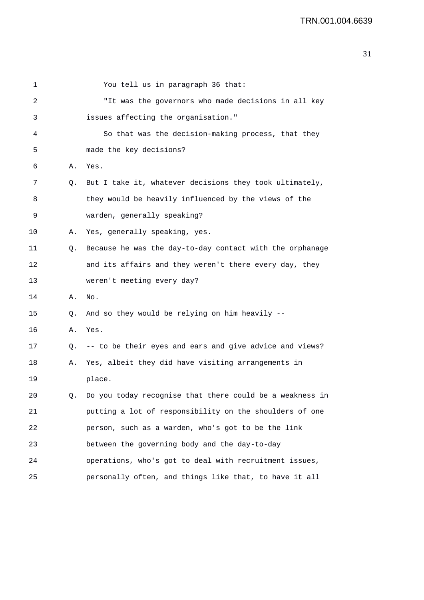| 1  |           | You tell us in paragraph 36 that:                           |
|----|-----------|-------------------------------------------------------------|
| 2  |           | "It was the governors who made decisions in all key         |
| 3  |           | issues affecting the organisation."                         |
| 4  |           | So that was the decision-making process, that they          |
| 5  |           | made the key decisions?                                     |
| 6  | Α.        | Yes.                                                        |
| 7  | Q.        | But I take it, whatever decisions they took ultimately,     |
| 8  |           | they would be heavily influenced by the views of the        |
| 9  |           | warden, generally speaking?                                 |
| 10 | Α.        | Yes, generally speaking, yes.                               |
| 11 | Q.        | Because he was the day-to-day contact with the orphanage    |
| 12 |           | and its affairs and they weren't there every day, they      |
| 13 |           | weren't meeting every day?                                  |
| 14 | Α.        | No.                                                         |
| 15 | Q.        | And so they would be relying on him heavily --              |
| 16 | Α.        | Yes.                                                        |
| 17 | $\circ$ . | -- to be their eyes and ears and give advice and views?     |
| 18 | Α.        | Yes, albeit they did have visiting arrangements in          |
| 19 |           | place.                                                      |
| 20 |           | Q. Do you today recognise that there could be a weakness in |
| 21 |           | putting a lot of responsibility on the shoulders of one     |
| 22 |           | person, such as a warden, who's got to be the link          |
| 23 |           | between the governing body and the day-to-day               |
| 24 |           | operations, who's got to deal with recruitment issues,      |
| 25 |           | personally often, and things like that, to have it all      |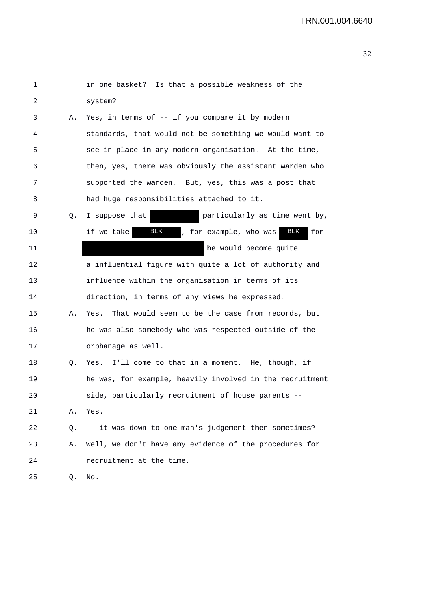| 1  |    | in one basket? Is that a possible weakness of the                |
|----|----|------------------------------------------------------------------|
| 2  |    | system?                                                          |
| 3  | Α. | Yes, in terms of -- if you compare it by modern                  |
| 4  |    | standards, that would not be something we would want to          |
| 5  |    | see in place in any modern organisation. At the time,            |
| 6  |    | then, yes, there was obviously the assistant warden who          |
| 7  |    | supported the warden. But, yes, this was a post that             |
| 8  |    | had huge responsibilities attached to it.                        |
| 9  | Q. | particularly as time went by,<br>I suppose that                  |
| 10 |    | <b>BLK</b><br>BLK<br>if we take<br>, for example, who was<br>for |
| 11 |    | he would become quite                                            |
| 12 |    | a influential figure with quite a lot of authority and           |
| 13 |    | influence within the organisation in terms of its                |
| 14 |    | direction, in terms of any views he expressed.                   |
| 15 | Α. | That would seem to be the case from records, but<br>Yes.         |
| 16 |    | he was also somebody who was respected outside of the            |
| 17 |    | orphanage as well.                                               |
| 18 | Q. | Yes. I'll come to that in a moment. He, though, if               |
| 19 |    | he was, for example, heavily involved in the recruitment         |
| 20 |    | side, particularly recruitment of house parents                  |
| 21 | Α. | Yes.                                                             |
| 22 | 0. | -- it was down to one man's judgement then sometimes?            |
| 23 | Α. | Well, we don't have any evidence of the procedures for           |
| 24 |    | recruitment at the time.                                         |
| 25 | Q. | No.                                                              |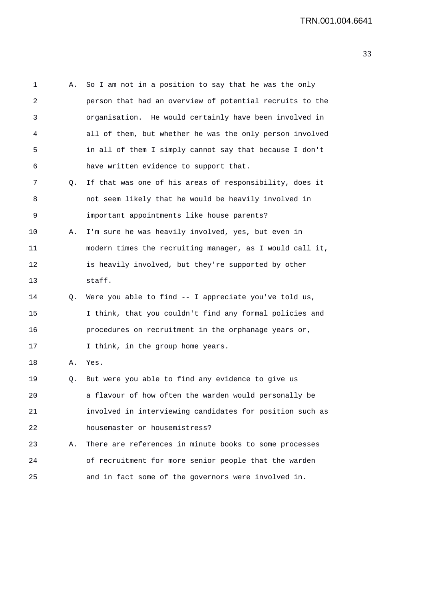1 A. So I am not in a position to say that he was the only 2 person that had an overview of potential recruits to the 3 organisation. He would certainly have been involved in 4 all of them, but whether he was the only person involved 5 in all of them I simply cannot say that because I don't 6 have written evidence to support that. 7 Q. If that was one of his areas of responsibility, does it 8 not seem likely that he would be heavily involved in 9 important appointments like house parents? 10 A. I'm sure he was heavily involved, yes, but even in 11 modern times the recruiting manager, as I would call it, 12 is heavily involved, but they're supported by other 13 staff. 14 Q. Were you able to find -- I appreciate you've told us, 15 I think, that you couldn't find any formal policies and 16 procedures on recruitment in the orphanage years or, 17 I think, in the group home years. 18 A. Yes. 19 Q. But were you able to find any evidence to give us 20 a flavour of how often the warden would personally be 21 involved in interviewing candidates for position such as 22 housemaster or housemistress? 23 A. There are references in minute books to some processes 24 of recruitment for more senior people that the warden 25 and in fact some of the governors were involved in.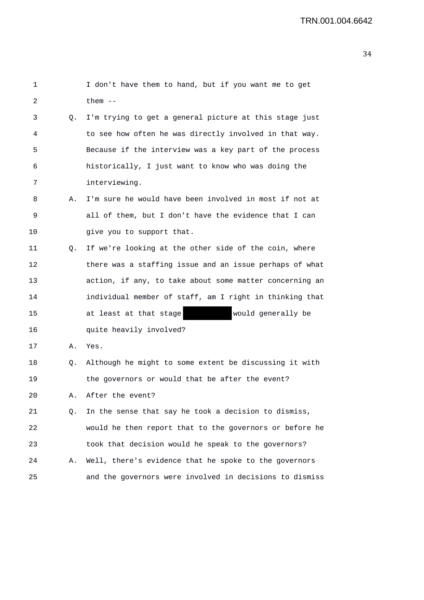```
1 I don't have them to hand, but if you want me to get 
2 them -- 
3 Q. I'm trying to get a general picture at this stage just 
4 to see how often he was directly involved in that way. 
5 Because if the interview was a key part of the process 
6 historically, I just want to know who was doing the 
7 interviewing. 
8 A. I'm sure he would have been involved in most if not at 
9 all of them, but I don't have the evidence that I can 
10 qive you to support that.
11 Q. If we're looking at the other side of the coin, where 
12 there was a staffing issue and an issue perhaps of what 
13 action, if any, to take about some matter concerning an 
14 individual member of staff, am I right in thinking that 
15 at least at that stage would generally be 
16 quite heavily involved? 
17 A. Yes. 
18 Q. Although he might to some extent be discussing it with 
19 the governors or would that be after the event? 
20 A. After the event? 
21 Q. In the sense that say he took a decision to dismiss, 
22 would he then report that to the governors or before he 
23 took that decision would he speak to the governors? 
24 A. Well, there's evidence that he spoke to the governors 
25 and the governors were involved in decisions to dismiss
```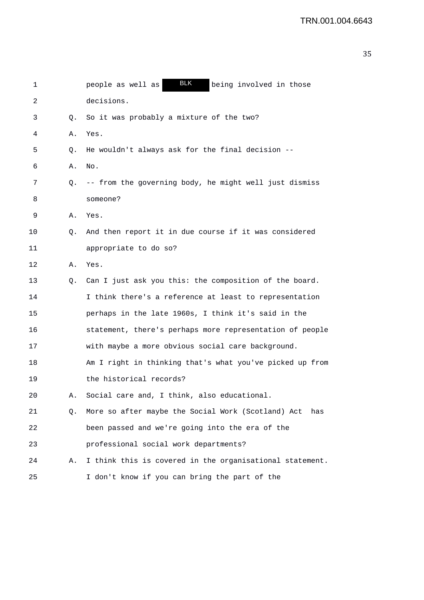| 1  |    | <b>BLK</b><br>people as well as<br>being involved in those |
|----|----|------------------------------------------------------------|
| 2  |    | decisions.                                                 |
| 3  | Q. | So it was probably a mixture of the two?                   |
| 4  | Α. | Yes.                                                       |
| 5  | Q. | He wouldn't always ask for the final decision --           |
| 6  | Α. | No.                                                        |
| 7  | Q. | -- from the governing body, he might well just dismiss     |
| 8  |    | someone?                                                   |
| 9  | Α. | Yes.                                                       |
| 10 | Q. | And then report it in due course if it was considered      |
| 11 |    | appropriate to do so?                                      |
| 12 | Α. | Yes.                                                       |
| 13 | Q. | Can I just ask you this: the composition of the board.     |
| 14 |    | I think there's a reference at least to representation     |
| 15 |    | perhaps in the late 1960s, I think it's said in the        |
| 16 |    | statement, there's perhaps more representation of people   |
| 17 |    | with maybe a more obvious social care background.          |
| 18 |    | Am I right in thinking that's what you've picked up from   |
| 19 |    | the historical records?                                    |
| 20 | А. | Social care and, I think, also educational.                |
| 21 | Q. | More so after maybe the Social Work (Scotland) Act<br>has  |
| 22 |    | been passed and we're going into the era of the            |
| 23 |    | professional social work departments?                      |
| 24 | Α. | I think this is covered in the organisational statement.   |
| 25 |    | I don't know if you can bring the part of the              |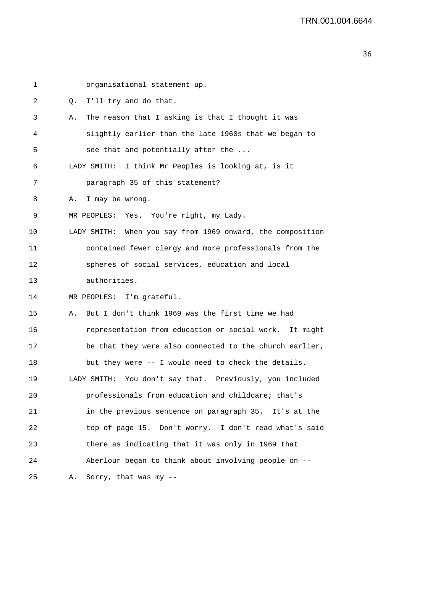| 1  | organisational statement up.                               |
|----|------------------------------------------------------------|
| 2  | I'll try and do that.<br>Q.                                |
| 3  | The reason that I asking is that I thought it was<br>Α.    |
| 4  | slightly earlier than the late 1960s that we began to      |
| 5  | see that and potentially after the                         |
| 6  | LADY SMITH: I think Mr Peoples is looking at, is it        |
| 7  | paragraph 35 of this statement?                            |
| 8  | A. I may be wrong.                                         |
| 9  | MR PEOPLES: Yes. You're right, my Lady.                    |
| 10 | LADY SMITH: When you say from 1969 onward, the composition |
| 11 | contained fewer clergy and more professionals from the     |
| 12 | spheres of social services, education and local            |
| 13 | authorities.                                               |
| 14 | MR PEOPLES: I'm grateful.                                  |
| 15 | But I don't think 1969 was the first time we had<br>Α.     |
| 16 | representation from education or social work. It might     |
| 17 | be that they were also connected to the church earlier,    |
| 18 | but they were -- I would need to check the details.        |
| 19 | LADY SMITH: You don't say that. Previously, you included   |
| 20 | professionals from education and childcare; that's         |
| 21 | in the previous sentence on paragraph 35. It's at the      |
| 22 | top of page 15. Don't worry. I don't read what's said      |
| 23 | there as indicating that it was only in 1969 that          |
| 24 | Aberlour began to think about involving people on --       |
| 25 | Sorry, that was my --<br>Α.                                |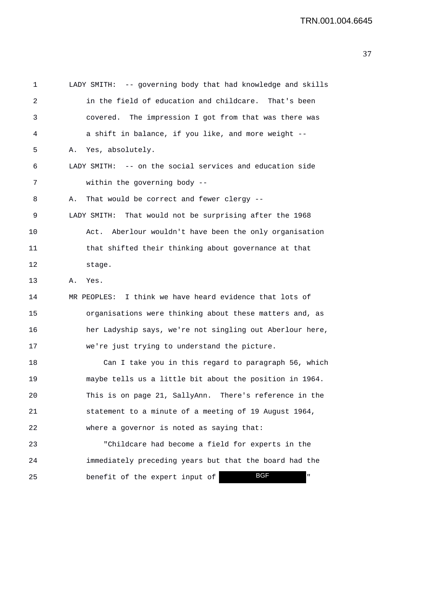1 LADY SMITH: -- governing body that had knowledge and skills 2 in the field of education and childcare. That's been 3 covered. The impression I got from that was there was 4 a shift in balance, if you like, and more weight -- 5 A. Yes, absolutely. 6 LADY SMITH: -- on the social services and education side 7 within the governing body -- 8 A. That would be correct and fewer clergy -- 9 LADY SMITH: That would not be surprising after the 1968 10 Act. Aberlour wouldn't have been the only organisation 11 that shifted their thinking about governance at that 12 stage. 13 A. Yes. 14 MR PEOPLES: I think we have heard evidence that lots of 15 organisations were thinking about these matters and, as 16 her Ladyship says, we're not singling out Aberlour here, 17 we're just trying to understand the picture. 18 Can I take you in this regard to paragraph 56, which 19 maybe tells us a little bit about the position in 1964. 20 This is on page 21, SallyAnn. There's reference in the 21 statement to a minute of a meeting of 19 August 1964, 22 where a governor is noted as saying that: 23 "Childcare had become a field for experts in the 24 immediately preceding years but that the board had the 25 benefit of the expert input of BGF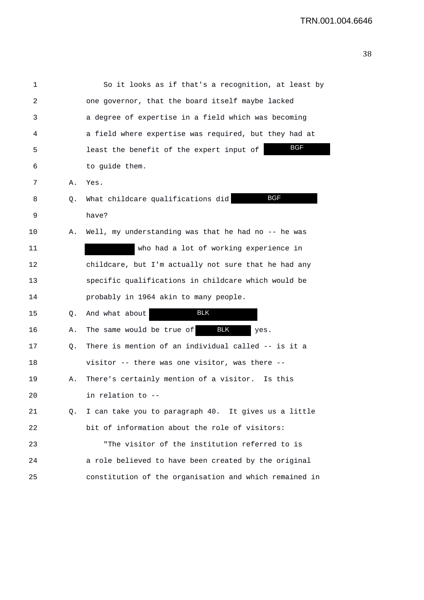| 1  |    | So it looks as if that's a recognition, at least by     |
|----|----|---------------------------------------------------------|
| 2  |    | one governor, that the board itself maybe lacked        |
| 3  |    | a degree of expertise in a field which was becoming     |
| 4  |    | a field where expertise was required, but they had at   |
| 5  |    | <b>BGF</b><br>least the benefit of the expert input of  |
| 6  |    | to guide them.                                          |
| 7  | Α. | Yes.                                                    |
| 8  | Q. | <b>BGF</b><br>What childcare qualifications did         |
| 9  |    | have?                                                   |
| 10 | Α. | Well, my understanding was that he had no -- he was     |
| 11 |    | who had a lot of working experience in                  |
| 12 |    | childcare, but I'm actually not sure that he had any    |
| 13 |    | specific qualifications in childcare which would be     |
| 14 |    | probably in 1964 akin to many people.                   |
| 15 | Q. | BLK<br>And what about                                   |
| 16 | Α. | The same would be true of<br>BLK<br>yes.                |
| 17 | Q. | There is mention of an individual called -- is it a     |
| 18 |    | visitor -- there was one visitor, was there --          |
| 19 | Α. | There's certainly mention of a visitor. Is this         |
| 20 |    | in relation to                                          |
| 21 |    | Q. I can take you to paragraph 40. It gives us a little |
| 22 |    | bit of information about the role of visitors:          |
| 23 |    | "The visitor of the institution referred to is          |
| 24 |    | a role believed to have been created by the original    |
| 25 |    | constitution of the organisation and which remained in  |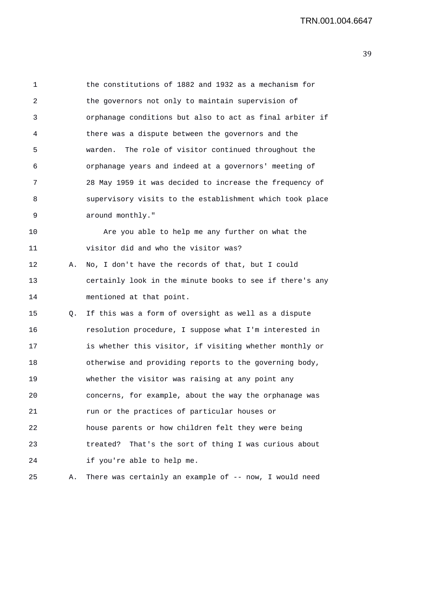1 the constitutions of 1882 and 1932 as a mechanism for 2 the governors not only to maintain supervision of 3 orphanage conditions but also to act as final arbiter if 4 there was a dispute between the governors and the 5 warden. The role of visitor continued throughout the 6 orphanage years and indeed at a governors' meeting of 7 28 May 1959 it was decided to increase the frequency of 8 supervisory visits to the establishment which took place 9 around monthly." 10 Are you able to help me any further on what the 11 visitor did and who the visitor was? 12 A. No, I don't have the records of that, but I could 13 certainly look in the minute books to see if there's any 14 mentioned at that point. 15 Q. If this was a form of oversight as well as a dispute 16 resolution procedure, I suppose what I'm interested in 17 is whether this visitor, if visiting whether monthly or 18 otherwise and providing reports to the governing body, 19 whether the visitor was raising at any point any 20 concerns, for example, about the way the orphanage was 21 run or the practices of particular houses or 22 house parents or how children felt they were being 23 treated? That's the sort of thing I was curious about 24 if you're able to help me. 25 A. There was certainly an example of -- now, I would need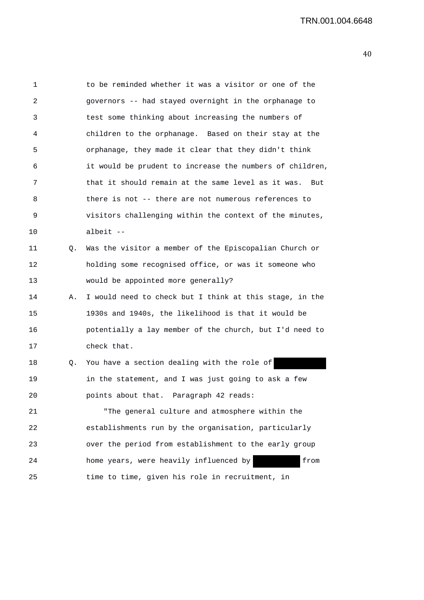1 to be reminded whether it was a visitor or one of the 2 governors -- had stayed overnight in the orphanage to 3 test some thinking about increasing the numbers of 4 children to the orphanage. Based on their stay at the 5 orphanage, they made it clear that they didn't think 6 it would be prudent to increase the numbers of children, 7 that it should remain at the same level as it was. But 8 there is not -- there are not numerous references to 9 visitors challenging within the context of the minutes, 10 albeit -- 11 Q. Was the visitor a member of the Episcopalian Church or 12 holding some recognised office, or was it someone who 13 would be appointed more generally? 14 A. I would need to check but I think at this stage, in the 15 1930s and 1940s, the likelihood is that it would be 16 potentially a lay member of the church, but I'd need to 17 check that. 18 Q. You have a section dealing with the role of 19 in the statement, and I was just going to ask a few 20 points about that. Paragraph 42 reads: 21 "The general culture and atmosphere within the 22 establishments run by the organisation, particularly 23 over the period from establishment to the early group 24 home years, were heavily influenced by from 25 time to time, given his role in recruitment, in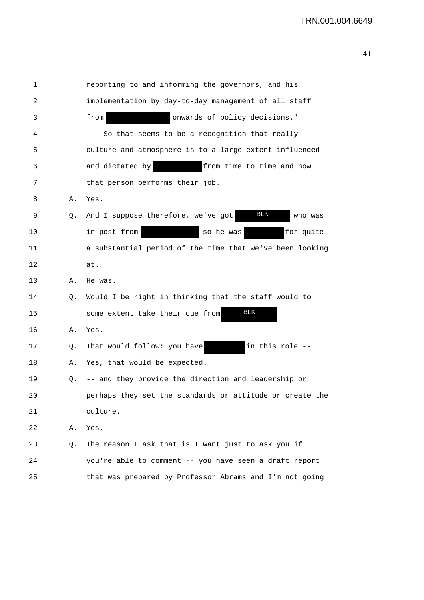| 1  |    | reporting to and informing the governors, and his        |
|----|----|----------------------------------------------------------|
| 2  |    | implementation by day-to-day management of all staff     |
| 3  |    | onwards of policy decisions."<br>from                    |
| 4  |    | So that seems to be a recognition that really            |
| 5  |    | culture and atmosphere is to a large extent influenced   |
| 6  |    | from time to time and how<br>and dictated by             |
| 7  |    | that person performs their job.                          |
| 8  | Α. | Yes.                                                     |
| 9  | Q. | BLK<br>And I suppose therefore, we've got<br>who was     |
| 10 |    | in post from<br>for quite<br>so he was                   |
| 11 |    | a substantial period of the time that we've been looking |
| 12 |    | at.                                                      |
| 13 | Α. | He was.                                                  |
| 14 | Q. | Would I be right in thinking that the staff would to     |
| 15 |    | <b>BLK</b><br>some extent take their cue from            |
| 16 | Α. | Yes.                                                     |
| 17 | Q. | in this role --<br>That would follow: you have           |
| 18 | Α. | Yes, that would be expected.                             |
| 19 | Q. | -- and they provide the direction and leadership or      |
| 20 |    | perhaps they set the standards or attitude or create the |
| 21 |    | culture.                                                 |
| 22 | Α. | Yes.                                                     |
| 23 | Q. | The reason I ask that is I want just to ask you if       |
| 24 |    | you're able to comment -- you have seen a draft report   |
| 25 |    | that was prepared by Professor Abrams and I'm not going  |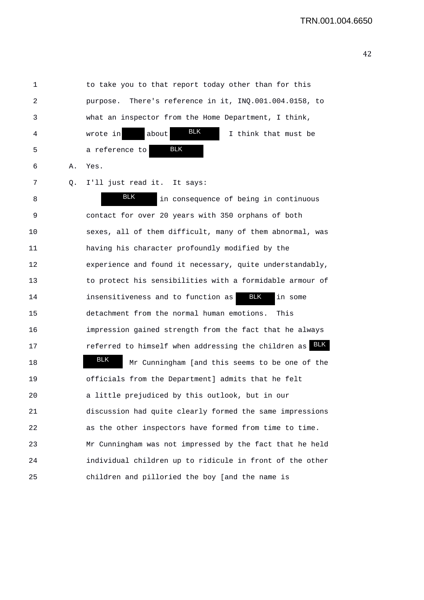1 to take you to that report today other than for this 2 purpose. There's reference in it, INQ.001.004.0158, to 3 what an inspector from the Home Department, I think, 4 wrote in about **ELA** I think that must be 5 a reference to 6 A. Yes. 7 Q. I'll just read it. It says: 8 and in consequence of being in continuous 9 contact for over 20 years with 350 orphans of both 10 sexes, all of them difficult, many of them abnormal, was 11 having his character profoundly modified by the 12 experience and found it necessary, quite understandably, 13 to protect his sensibilities with a formidable armour of 14 insensitiveness and to function as **BLK** in some 15 detachment from the normal human emotions. This 16 impression gained strength from the fact that he always 17 **17** referred to himself when addressing the children as **BLK** 18 Mr Cunningham [and this seems to be one of the 19 officials from the Department] admits that he felt 20 a little prejudiced by this outlook, but in our 21 discussion had quite clearly formed the same impressions 22 as the other inspectors have formed from time to time. 23 Mr Cunningham was not impressed by the fact that he held 24 individual children up to ridicule in front of the other 25 children and pilloried the boy [and the name is BLK BLK BLK BLK BLK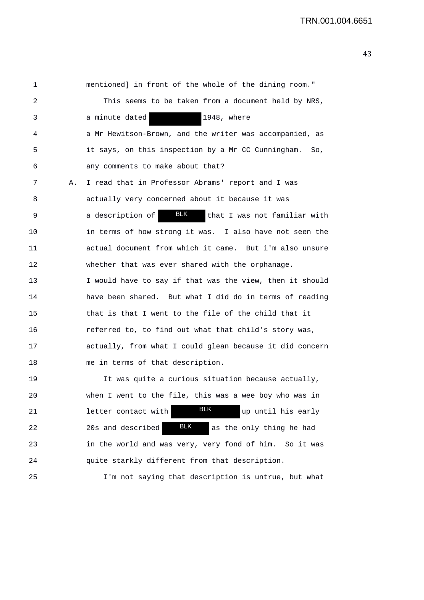1 mentioned] in front of the whole of the dining room." 2 This seems to be taken from a document held by NRS, 3 a minute dated 1948, where 4 a Mr Hewitson-Brown, and the writer was accompanied, as 5 it says, on this inspection by a Mr CC Cunningham. So, 6 any comments to make about that? 7 A. I read that in Professor Abrams' report and I was 8 actually very concerned about it because it was 9 a description of **BLK** that I was not familiar with 10 in terms of how strong it was. I also have not seen the 11 actual document from which it came. But i'm also unsure 12 whether that was ever shared with the orphanage. 13 I would have to say if that was the view, then it should 14 have been shared. But what I did do in terms of reading 15 that is that I went to the file of the child that it 16 referred to, to find out what that child's story was, 17 actually, from what I could glean because it did concern 18 me in terms of that description. 19 It was quite a curious situation because actually, 20 when I went to the file, this was a wee boy who was in 21 **letter contact with BLK** up until his early 22 20s and described **BLK** as the only thing he had 23 in the world and was very, very fond of him. So it was 24 quite starkly different from that description. 25 I'm not saying that description is untrue, but what BLK BLK BLK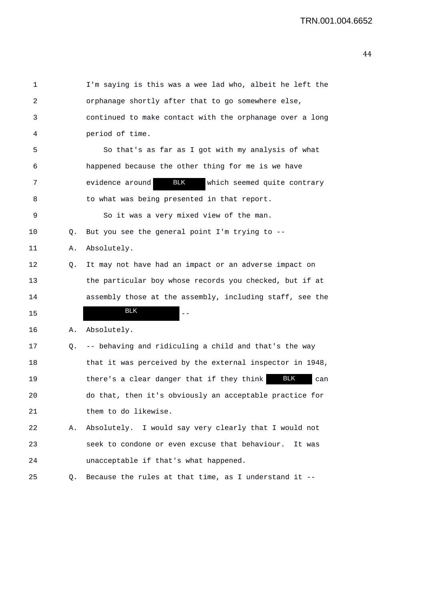| 1  |    | I'm saying is this was a wee lad who, albeit he left the       |
|----|----|----------------------------------------------------------------|
| 2  |    | orphanage shortly after that to go somewhere else,             |
| 3  |    | continued to make contact with the orphanage over a long       |
| 4  |    | period of time.                                                |
| 5  |    | So that's as far as I got with my analysis of what             |
| 6  |    | happened because the other thing for me is we have             |
| 7  |    | <b>BLK</b><br>evidence around<br>which seemed quite contrary   |
| 8  |    | to what was being presented in that report.                    |
| 9  |    | So it was a very mixed view of the man.                        |
| 10 | Q. | But you see the general point $I'm$ trying to $-$ -            |
| 11 | Α. | Absolutely.                                                    |
| 12 | Q. | It may not have had an impact or an adverse impact on          |
| 13 |    | the particular boy whose records you checked, but if at        |
| 14 |    | assembly those at the assembly, including staff, see the       |
| 15 |    | <b>BLK</b>                                                     |
| 16 | Α. | Absolutely.                                                    |
| 17 | Q. | -- behaving and ridiculing a child and that's the way          |
| 18 |    | that it was perceived by the external inspector in 1948,       |
| 19 |    | <b>BLK</b><br>there's a clear danger that if they think<br>can |
| 20 |    | do that, then it's obviously an acceptable practice for        |
| 21 |    | them to do likewise.                                           |
| 22 | Α. | Absolutely. I would say very clearly that I would not          |
| 23 |    | seek to condone or even excuse that behaviour.<br>It was       |
| 24 |    | unacceptable if that's what happened.                          |
| 25 | Q. | Because the rules at that time, as I understand it --          |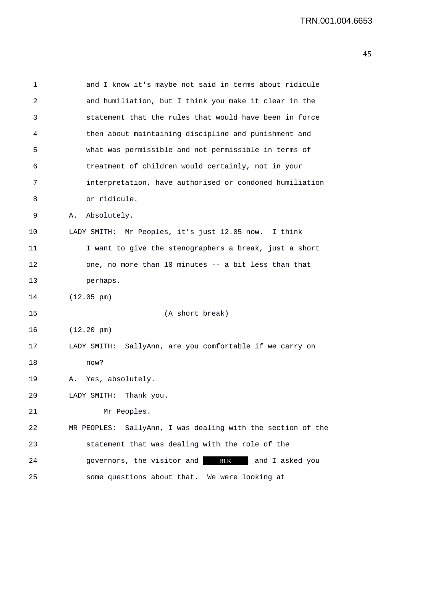| 1  | and I know it's maybe not said in terms about ridicule         |
|----|----------------------------------------------------------------|
| 2  | and humiliation, but I think you make it clear in the          |
| 3  | statement that the rules that would have been in force         |
| 4  | then about maintaining discipline and punishment and           |
| 5  | what was permissible and not permissible in terms of           |
| 6  | treatment of children would certainly, not in your             |
| 7  | interpretation, have authorised or condoned humiliation        |
| 8  | or ridicule.                                                   |
| 9  | Absolutely.<br>Α.                                              |
| 10 | LADY SMITH: Mr Peoples, it's just 12.05 now. I think           |
| 11 | I want to give the stenographers a break, just a short         |
| 12 | one, no more than 10 minutes -- a bit less than that           |
| 13 | perhaps.                                                       |
| 14 | $(12.05 \text{ pm})$                                           |
| 15 | (A short break)                                                |
| 16 | $(12.20 \text{ pm})$                                           |
| 17 | SallyAnn, are you comfortable if we carry on<br>LADY SMITH:    |
| 18 | now?                                                           |
| 19 | Yes, absolutely.<br>Α.                                         |
| 20 | Thank you.<br>LADY SMITH:                                      |
| 21 | Mr Peoples.                                                    |
| 22 | SallyAnn, I was dealing with the section of the<br>MR PEOPLES: |
| 23 | statement that was dealing with the role of the                |
| 24 | governors, the visitor and<br>BLK , and I asked you            |
| 25 | some questions about that.<br>We were looking at               |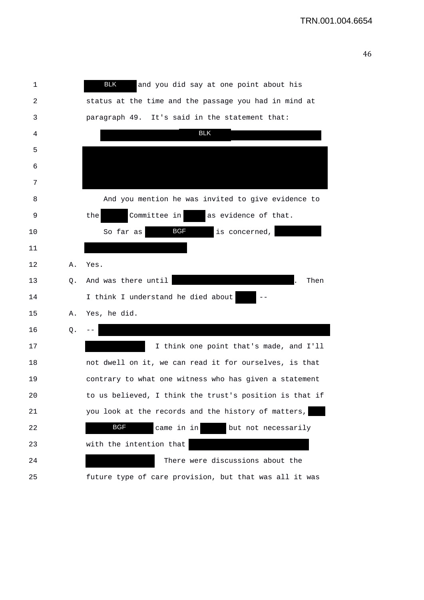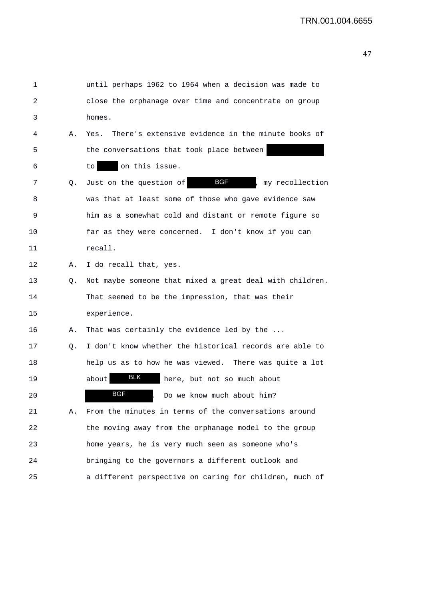| 1  |    | until perhaps 1962 to 1964 when a decision was made to    |
|----|----|-----------------------------------------------------------|
| 2  |    | close the orphanage over time and concentrate on group    |
| 3  |    | homes.                                                    |
| 4  | Α. | There's extensive evidence in the minute books of<br>Yes. |
| 5  |    | the conversations that took place between                 |
| 6  |    | on this issue.<br>to                                      |
| 7  | Q. | <b>BGF</b><br>Just on the question of<br>my recollection  |
| 8  |    | was that at least some of those who gave evidence saw     |
| 9  |    | him as a somewhat cold and distant or remote figure so    |
| 10 |    | far as they were concerned. I don't know if you can       |
| 11 |    | recall.                                                   |
| 12 | Α. | I do recall that, yes.                                    |
| 13 | Q. | Not maybe someone that mixed a great deal with children.  |
| 14 |    | That seemed to be the impression, that was their          |
| 15 |    | experience.                                               |
| 16 | Α. | That was certainly the evidence led by the                |
| 17 | Q. | I don't know whether the historical records are able to   |
| 18 |    | help us as to how he was viewed. There was quite a lot    |
| 19 |    | <b>BLK</b><br>here, but not so much about<br>about        |
| 20 |    | <b>BGF</b><br>Do we know much about him?                  |
| 21 | Α. | From the minutes in terms of the conversations around     |
| 22 |    | the moving away from the orphanage model to the group     |
| 23 |    | home years, he is very much seen as someone who's         |
| 24 |    | bringing to the governors a different outlook and         |
| 25 |    | a different perspective on caring for children, much of   |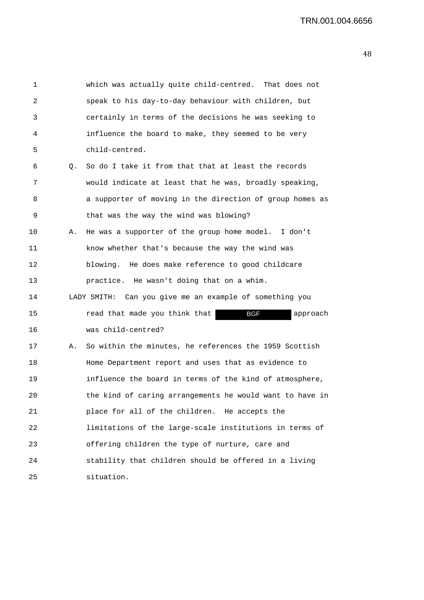| 1  |    | which was actually quite child-centred. That does not    |
|----|----|----------------------------------------------------------|
| 2  |    | speak to his day-to-day behaviour with children, but     |
| 3  |    | certainly in terms of the decisions he was seeking to    |
| 4  |    | influence the board to make, they seemed to be very      |
| 5  |    | child-centred.                                           |
| 6  | 0. | So do I take it from that that at least the records      |
| 7  |    | would indicate at least that he was, broadly speaking,   |
| 8  |    | a supporter of moving in the direction of group homes as |
| 9  |    | that was the way the wind was blowing?                   |
| 10 | А. | He was a supporter of the group home model. I don't      |
| 11 |    | know whether that's because the way the wind was         |
| 12 |    | blowing. He does make reference to good childcare        |
| 13 |    | practice. He wasn't doing that on a whim.                |
| 14 |    | LADY SMITH: Can you give me an example of something you  |
| 15 |    | read that made you think that<br>BGF<br>approach         |
| 16 |    | was child-centred?                                       |
| 17 | Α. | So within the minutes, he references the 1959 Scottish   |
| 18 |    | Home Department report and uses that as evidence to      |
| 19 |    | influence the board in terms of the kind of atmosphere,  |
| 20 |    | the kind of caring arrangements he would want to have in |
| 21 |    | place for all of the children. He accepts the            |
| 22 |    | limitations of the large-scale institutions in terms of  |
| 23 |    | offering children the type of nurture, care and          |
| 24 |    | stability that children should be offered in a living    |
| 25 |    | situation.                                               |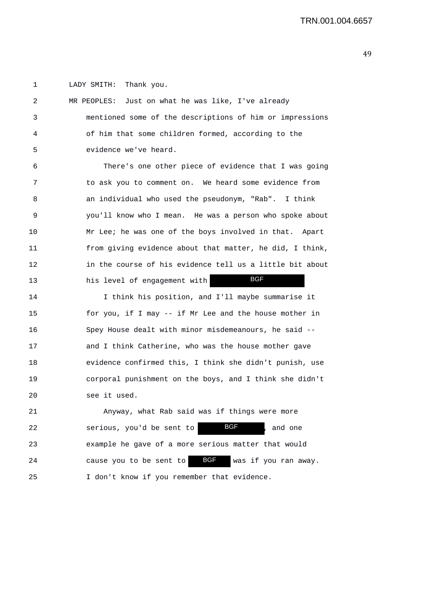1 LADY SMITH: Thank you.

| 2  | MR PEOPLES: Just on what he was like, I've already            |
|----|---------------------------------------------------------------|
| 3  | mentioned some of the descriptions of him or impressions      |
| 4  | of him that some children formed, according to the            |
| 5  | evidence we've heard.                                         |
| 6  | There's one other piece of evidence that I was going          |
| 7  | to ask you to comment on. We heard some evidence from         |
| 8  | an individual who used the pseudonym, "Rab". I think          |
| 9  | you'll know who I mean. He was a person who spoke about       |
| 10 | Mr Lee; he was one of the boys involved in that. Apart        |
| 11 | from giving evidence about that matter, he did, I think,      |
| 12 | in the course of his evidence tell us a little bit about      |
| 13 | <b>BGF</b><br>his level of engagement with                    |
| 14 | I think his position, and I'll maybe summarise it             |
| 15 | for you, if I may -- if Mr Lee and the house mother in        |
| 16 | Spey House dealt with minor misdemeanours, he said --         |
| 17 | and I think Catherine, who was the house mother gave          |
| 18 | evidence confirmed this, I think she didn't punish, use       |
| 19 | corporal punishment on the boys, and I think she didn't       |
| 20 | see it used.                                                  |
| 21 | Anyway, what Rab said was if things were more                 |
| 22 | <b>BGF</b><br>serious, you'd be sent to<br>and one            |
| 23 | example he gave of a more serious matter that would           |
| 24 | <b>BGF</b><br>was if you ran away.<br>cause you to be sent to |
| 25 | I don't know if you remember that evidence.                   |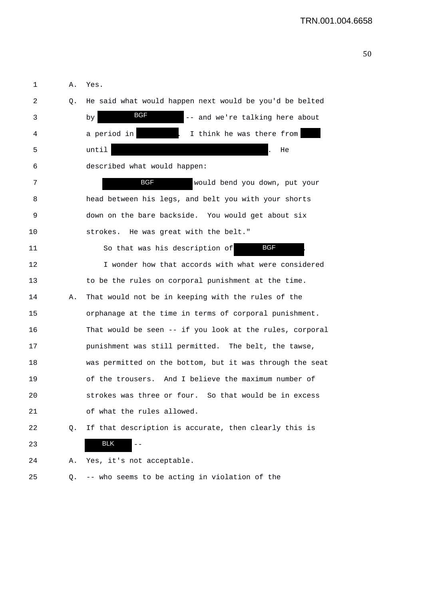| 1  | Α. | Yes.                                                     |
|----|----|----------------------------------------------------------|
| 2  | Q. | He said what would happen next would be you'd be belted  |
| 3  |    | BGF<br>-- and we're talking here about<br>by             |
| 4  |    | a period in<br>I think he was there from                 |
| 5  |    | until<br>He                                              |
| 6  |    | described what would happen:                             |
| 7  |    | BGF<br>would bend you down, put your                     |
| 8  |    | head between his legs, and belt you with your shorts     |
| 9  |    | down on the bare backside. You would get about six       |
| 10 |    | strokes. He was great with the belt."                    |
| 11 |    | BGF<br>So that was his description of                    |
| 12 |    | I wonder how that accords with what were considered      |
| 13 |    | to be the rules on corporal punishment at the time.      |
| 14 | Α. | That would not be in keeping with the rules of the       |
| 15 |    | orphanage at the time in terms of corporal punishment.   |
| 16 |    | That would be seen -- if you look at the rules, corporal |
| 17 |    | punishment was still permitted. The belt, the tawse,     |
| 18 |    | was permitted on the bottom, but it was through the seat |
| 19 |    | of the trousers. And I believe the maximum number of     |
| 20 |    | strokes was three or four. So that would be in excess    |
| 21 |    | of what the rules allowed.                               |
| 22 | Q. | If that description is accurate, then clearly this is    |
| 23 |    | <b>BLK</b>                                               |
| 24 | Α. | Yes, it's not acceptable.                                |
| 25 | Q. | -- who seems to be acting in violation of the            |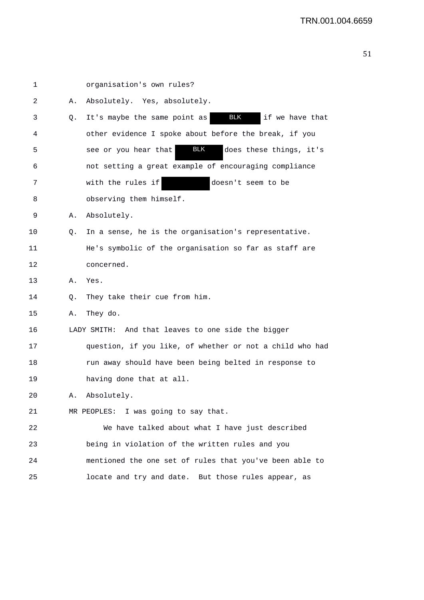| 1  |    | organisation's own rules?                                     |
|----|----|---------------------------------------------------------------|
| 2  | Α. | Absolutely. Yes, absolutely.                                  |
| 3  | Q. | <b>BLK</b><br>It's maybe the same point as<br>if we have that |
| 4  |    | other evidence I spoke about before the break, if you         |
| 5  |    | <b>BLK</b><br>does these things, it's<br>see or you hear that |
| 6  |    | not setting a great example of encouraging compliance         |
| 7  |    | with the rules if<br>doesn't seem to be                       |
| 8  |    | observing them himself.                                       |
| 9  | Α. | Absolutely.                                                   |
| 10 | Q. | In a sense, he is the organisation's representative.          |
| 11 |    | He's symbolic of the organisation so far as staff are         |
| 12 |    | concerned.                                                    |
| 13 | Α. | Yes.                                                          |
| 14 | Q. | They take their cue from him.                                 |
| 15 | Α. | They do.                                                      |
| 16 |    | LADY SMITH: And that leaves to one side the bigger            |
| 17 |    | question, if you like, of whether or not a child who had      |
| 18 |    | run away should have been being belted in response to         |
| 19 |    | having done that at all.                                      |
| 20 | Α. | Absolutely.                                                   |
| 21 |    | MR PEOPLES: I was going to say that.                          |
| 22 |    | We have talked about what I have just described               |
| 23 |    | being in violation of the written rules and you               |
| 24 |    | mentioned the one set of rules that you've been able to       |
| 25 |    | locate and try and date. But those rules appear, as           |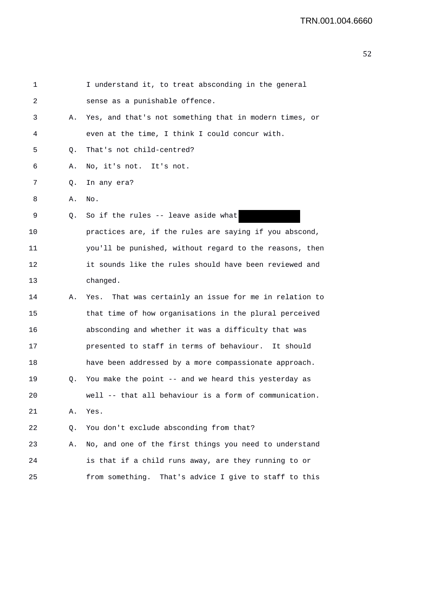| 1  |    | I understand it, to treat absconding in the general      |
|----|----|----------------------------------------------------------|
| 2  |    | sense as a punishable offence.                           |
| 3  | Α. | Yes, and that's not something that in modern times, or   |
| 4  |    | even at the time, I think I could concur with.           |
| 5  | Q. | That's not child-centred?                                |
| 6  | Α. | No, it's not. It's not.                                  |
| 7  | Q. | In any era?                                              |
| 8  | Α. | No.                                                      |
| 9  | Q. | So if the rules -- leave aside what                      |
| 10 |    | practices are, if the rules are saying if you abscond,   |
| 11 |    | you'll be punished, without regard to the reasons, then  |
| 12 |    | it sounds like the rules should have been reviewed and   |
| 13 |    | changed.                                                 |
| 14 | Α. | Yes. That was certainly an issue for me in relation to   |
| 15 |    | that time of how organisations in the plural perceived   |
| 16 |    | absconding and whether it was a difficulty that was      |
| 17 |    | presented to staff in terms of behaviour. It should      |
| 18 |    | have been addressed by a more compassionate approach.    |
| 19 | Q. | You make the point -- and we heard this yesterday as     |
| 20 |    | well -- that all behaviour is a form of communication.   |
| 21 | Α. | Yes.                                                     |
| 22 | Q. | You don't exclude absconding from that?                  |
| 23 | Α. | No, and one of the first things you need to understand   |
| 24 |    | is that if a child runs away, are they running to or     |
| 25 |    | That's advice I give to staff to this<br>from something. |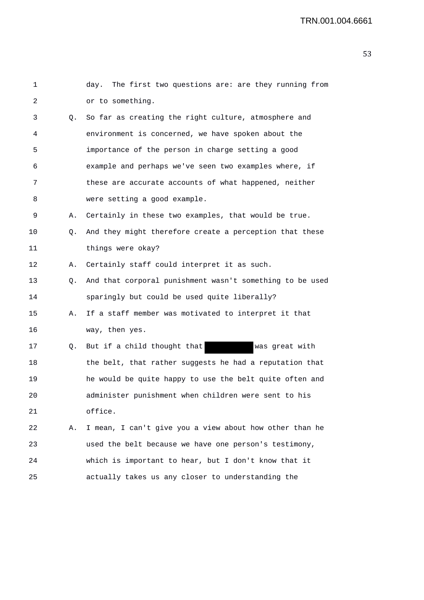| 1               |    | day. The first two questions are: are they running from  |
|-----------------|----|----------------------------------------------------------|
| 2               |    | or to something.                                         |
| 3               | Q. | So far as creating the right culture, atmosphere and     |
| 4               |    | environment is concerned, we have spoken about the       |
| 5               |    | importance of the person in charge setting a good        |
| 6               |    | example and perhaps we've seen two examples where, if    |
| 7               |    | these are accurate accounts of what happened, neither    |
| 8               |    | were setting a good example.                             |
| 9               | Α. | Certainly in these two examples, that would be true.     |
| 10              | Q. | And they might therefore create a perception that these  |
| 11              |    | things were okay?                                        |
| 12 <sub>2</sub> | Α. | Certainly staff could interpret it as such.              |
| 13              | Q. | And that corporal punishment wasn't something to be used |
| 14              |    | sparingly but could be used quite liberally?             |
| 15              | Α. | If a staff member was motivated to interpret it that     |
| 16              |    | way, then yes.                                           |
| 17              | Q. | But if a child thought that<br>was great with            |
| 18              |    | the belt, that rather suggests he had a reputation that  |
| 19              |    | he would be quite happy to use the belt quite often and  |
| 20              |    | administer punishment when children were sent to his     |
| 21              |    | office.                                                  |
| 22              | Α. | I mean, I can't give you a view about how other than he  |
| 23              |    | used the belt because we have one person's testimony,    |
| 24              |    | which is important to hear, but I don't know that it     |
| 25              |    | actually takes us any closer to understanding the        |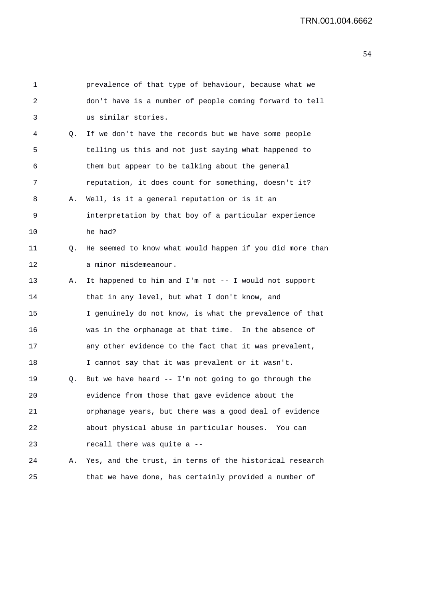| 1  |    | prevalence of that type of behaviour, because what we    |
|----|----|----------------------------------------------------------|
| 2  |    | don't have is a number of people coming forward to tell  |
| 3  |    | us similar stories.                                      |
| 4  | Q. | If we don't have the records but we have some people     |
| 5  |    | telling us this and not just saying what happened to     |
| 6  |    | them but appear to be talking about the general          |
| 7  |    | reputation, it does count for something, doesn't it?     |
| 8  | Α. | Well, is it a general reputation or is it an             |
| 9  |    | interpretation by that boy of a particular experience    |
| 10 |    | he had?                                                  |
| 11 | Q. | He seemed to know what would happen if you did more than |
| 12 |    | a minor misdemeanour.                                    |
| 13 | Α. | It happened to him and I'm not -- I would not support    |
| 14 |    | that in any level, but what I don't know, and            |
| 15 |    | I genuinely do not know, is what the prevalence of that  |
| 16 |    | was in the orphanage at that time. In the absence of     |
| 17 |    | any other evidence to the fact that it was prevalent,    |
| 18 |    | I cannot say that it was prevalent or it wasn't.         |
| 19 | Q. | But we have heard -- I'm not going to go through the     |
| 20 |    | evidence from those that gave evidence about the         |
| 21 |    | orphanage years, but there was a good deal of evidence   |
| 22 |    | about physical abuse in particular houses. You can       |
| 23 |    | recall there was quite a --                              |
| 24 | Α. | Yes, and the trust, in terms of the historical research  |
| 25 |    | that we have done, has certainly provided a number of    |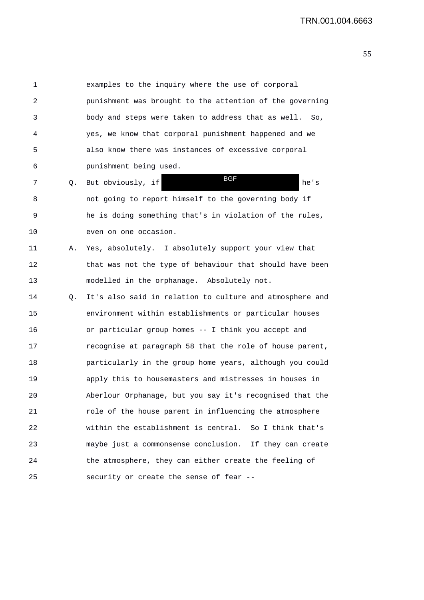1 examples to the inquiry where the use of corporal 2 punishment was brought to the attention of the governing 3 body and steps were taken to address that as well. So, 4 yes, we know that corporal punishment happened and we 5 also know there was instances of excessive corporal 6 punishment being used. 7 Q. But obviously, if the series of the set of the set of the set of the set of the set of the set of the set of the set of the set of the set of the set of the set of the set of the set of the set of the set of the set o 8 not going to report himself to the governing body if 9 he is doing something that's in violation of the rules, 10 even on one occasion. 11 A. Yes, absolutely. I absolutely support your view that 12 that was not the type of behaviour that should have been 13 modelled in the orphanage. Absolutely not. 14 Q. It's also said in relation to culture and atmosphere and 15 environment within establishments or particular houses 16 or particular group homes -- I think you accept and 17 recognise at paragraph 58 that the role of house parent, 18 particularly in the group home years, although you could 19 apply this to housemasters and mistresses in houses in 20 Aberlour Orphanage, but you say it's recognised that the 21 role of the house parent in influencing the atmosphere 22 within the establishment is central. So I think that's 23 maybe just a commonsense conclusion. If they can create 24 the atmosphere, they can either create the feeling of 25 security or create the sense of fear -- BGF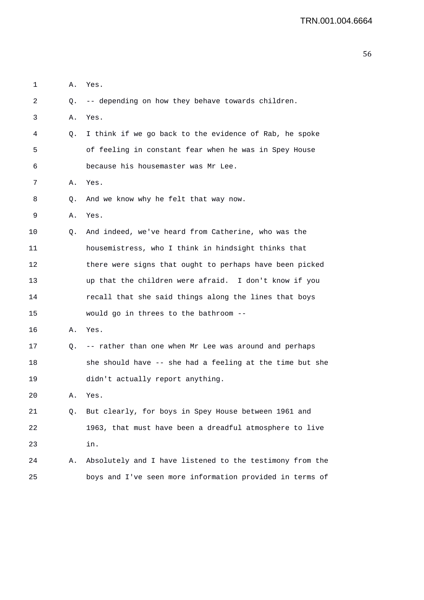| 1  | Α. | Yes.                                                     |
|----|----|----------------------------------------------------------|
| 2  | Q. | -- depending on how they behave towards children.        |
| 3  | Α. | Yes.                                                     |
| 4  | Q. | I think if we go back to the evidence of Rab, he spoke   |
| 5  |    | of feeling in constant fear when he was in Spey House    |
| 6  |    | because his housemaster was Mr Lee.                      |
| 7  | Α. | Yes.                                                     |
| 8  | Q. | And we know why he felt that way now.                    |
| 9  | Α. | Yes.                                                     |
| 10 | Q. | And indeed, we've heard from Catherine, who was the      |
| 11 |    | housemistress, who I think in hindsight thinks that      |
| 12 |    | there were signs that ought to perhaps have been picked  |
| 13 |    | up that the children were afraid. I don't know if you    |
| 14 |    | recall that she said things along the lines that boys    |
| 15 |    | would go in threes to the bathroom --                    |
| 16 | Α. | Yes.                                                     |
| 17 | Q. | -- rather than one when Mr Lee was around and perhaps    |
| 18 |    | she should have -- she had a feeling at the time but she |
| 19 |    | didn't actually report anything.                         |
| 20 | Α. | Yes.                                                     |
| 21 | Q. | But clearly, for boys in Spey House between 1961 and     |
| 22 |    | 1963, that must have been a dreadful atmosphere to live  |
| 23 |    | in.                                                      |
| 24 | Α. | Absolutely and I have listened to the testimony from the |
| 25 |    | boys and I've seen more information provided in terms of |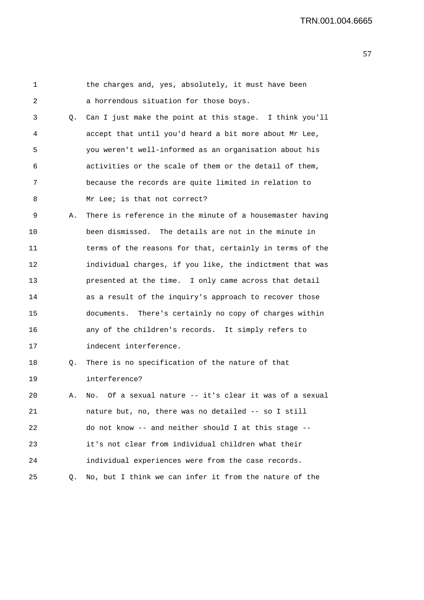1 the charges and, yes, absolutely, it must have been 2 a horrendous situation for those boys. 3 Q. Can I just make the point at this stage. I think you'll 4 accept that until you'd heard a bit more about Mr Lee, 5 you weren't well-informed as an organisation about his 6 activities or the scale of them or the detail of them, 7 because the records are quite limited in relation to 8 Mr Lee; is that not correct? 9 A. There is reference in the minute of a housemaster having 10 been dismissed. The details are not in the minute in 11 terms of the reasons for that, certainly in terms of the 12 individual charges, if you like, the indictment that was 13 presented at the time. I only came across that detail 14 as a result of the inquiry's approach to recover those 15 documents. There's certainly no copy of charges within 16 any of the children's records. It simply refers to 17 indecent interference. 18 Q. There is no specification of the nature of that 19 interference? 20 A. No. Of a sexual nature -- it's clear it was of a sexual 21 nature but, no, there was no detailed -- so I still 22 do not know -- and neither should I at this stage -- 23 it's not clear from individual children what their 24 individual experiences were from the case records. 25 Q. No, but I think we can infer it from the nature of the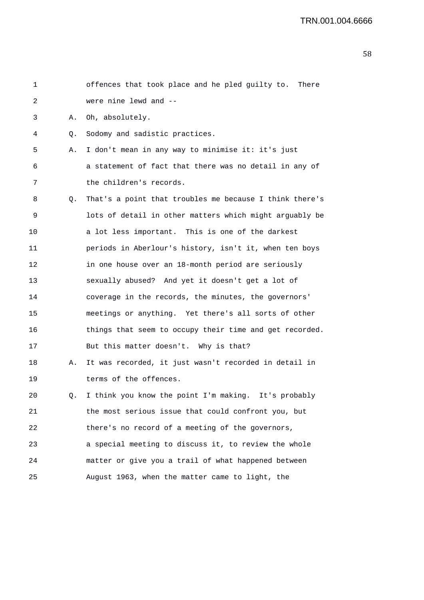| 1  |    | offences that took place and he pled guilty to.<br>There |
|----|----|----------------------------------------------------------|
| 2  |    | were nine lewd and --                                    |
| 3  | Α. | Oh, absolutely.                                          |
| 4  | Q. | Sodomy and sadistic practices.                           |
| 5  | Α. | I don't mean in any way to minimise it: it's just        |
| 6  |    | a statement of fact that there was no detail in any of   |
| 7  |    | the children's records.                                  |
| 8  | Q. | That's a point that troubles me because I think there's  |
| 9  |    | lots of detail in other matters which might arguably be  |
| 10 |    | a lot less important. This is one of the darkest         |
| 11 |    | periods in Aberlour's history, isn't it, when ten boys   |
| 12 |    | in one house over an 18-month period are seriously       |
| 13 |    | sexually abused? And yet it doesn't get a lot of         |
| 14 |    | coverage in the records, the minutes, the governors'     |
| 15 |    | meetings or anything. Yet there's all sorts of other     |
| 16 |    | things that seem to occupy their time and get recorded.  |
| 17 |    | But this matter doesn't. Why is that?                    |
| 18 | Α. | It was recorded, it just wasn't recorded in detail in    |
| 19 |    | terms of the offences.                                   |
| 20 | Q. | I think you know the point I'm making. It's probably     |
| 21 |    | the most serious issue that could confront you, but      |
| 22 |    | there's no record of a meeting of the governors,         |
| 23 |    | a special meeting to discuss it, to review the whole     |
| 24 |    | matter or give you a trail of what happened between      |
| 25 |    | August 1963, when the matter came to light, the          |
|    |    |                                                          |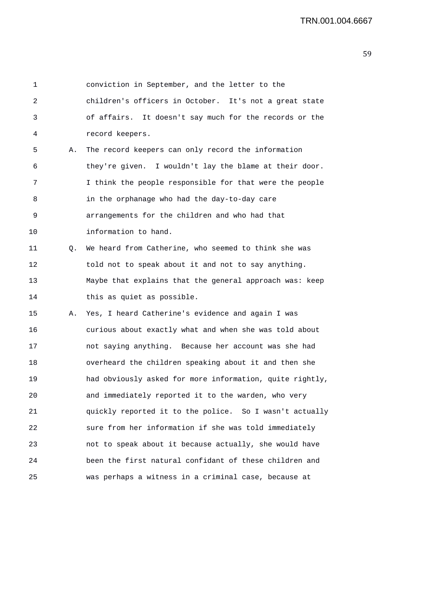1 conviction in September, and the letter to the 2 children's officers in October. It's not a great state 3 of affairs. It doesn't say much for the records or the 4 record keepers. 5 A. The record keepers can only record the information 6 they're given. I wouldn't lay the blame at their door. 7 I think the people responsible for that were the people 8 in the orphanage who had the day-to-day care 9 arrangements for the children and who had that 10 information to hand. 11 Q. We heard from Catherine, who seemed to think she was 12 told not to speak about it and not to say anything. 13 Maybe that explains that the general approach was: keep 14 this as quiet as possible. 15 A. Yes, I heard Catherine's evidence and again I was 16 curious about exactly what and when she was told about 17 not saying anything. Because her account was she had 18 overheard the children speaking about it and then she 19 had obviously asked for more information, quite rightly, 20 and immediately reported it to the warden, who very 21 quickly reported it to the police. So I wasn't actually 22 sure from her information if she was told immediately 23 not to speak about it because actually, she would have 24 been the first natural confidant of these children and 25 was perhaps a witness in a criminal case, because at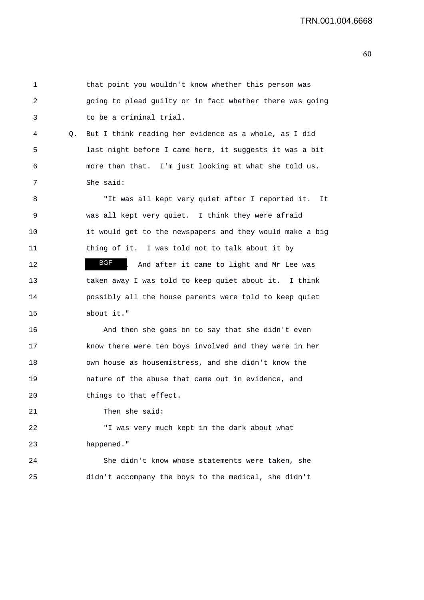| 1  |    | that point you wouldn't know whether this person was     |
|----|----|----------------------------------------------------------|
| 2  |    | going to plead guilty or in fact whether there was going |
| 3  |    | to be a criminal trial.                                  |
| 4  | Q. | But I think reading her evidence as a whole, as I did    |
| 5  |    | last night before I came here, it suggests it was a bit  |
| 6  |    | more than that. I'm just looking at what she told us.    |
| 7  |    | She said:                                                |
| 8  |    | "It was all kept very quiet after I reported it.<br>It   |
| 9  |    | was all kept very quiet. I think they were afraid        |
| 10 |    | it would get to the newspapers and they would make a big |
| 11 |    | thing of it. I was told not to talk about it by          |
| 12 |    | BGF<br>And after it came to light and Mr Lee was         |
| 13 |    | taken away I was told to keep quiet about it. I think    |
| 14 |    | possibly all the house parents were told to keep quiet   |
| 15 |    | about it."                                               |
| 16 |    | And then she goes on to say that she didn't even         |
| 17 |    | know there were ten boys involved and they were in her   |
| 18 |    | own house as housemistress, and she didn't know the      |
| 19 |    | nature of the abuse that came out in evidence, and       |
| 20 |    | things to that effect.                                   |
| 21 |    | Then she said:                                           |
| 22 |    | "I was very much kept in the dark about what             |
| 23 |    | happened."                                               |
| 24 |    | She didn't know whose statements were taken, she         |
| 25 |    | didn't accompany the boys to the medical, she didn't     |
|    |    |                                                          |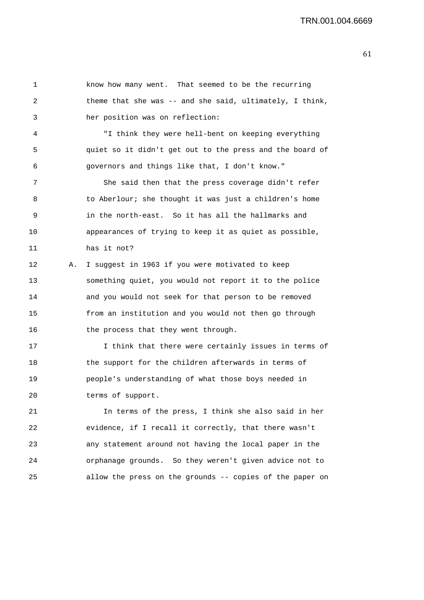1 know how many went. That seemed to be the recurring 2 theme that she was -- and she said, ultimately, I think, 3 her position was on reflection: 4 "I think they were hell-bent on keeping everything 5 quiet so it didn't get out to the press and the board of 6 governors and things like that, I don't know." 7 She said then that the press coverage didn't refer 8 to Aberlour; she thought it was just a children's home 9 in the north-east. So it has all the hallmarks and 10 appearances of trying to keep it as quiet as possible, 11 has it not? 12 A. I suggest in 1963 if you were motivated to keep 13 something quiet, you would not report it to the police 14 and you would not seek for that person to be removed 15 from an institution and you would not then go through 16 the process that they went through. 17 I think that there were certainly issues in terms of 18 the support for the children afterwards in terms of 19 people's understanding of what those boys needed in

20 terms of support.

21 In terms of the press, I think she also said in her 22 evidence, if I recall it correctly, that there wasn't 23 any statement around not having the local paper in the 24 orphanage grounds. So they weren't given advice not to 25 allow the press on the grounds -- copies of the paper on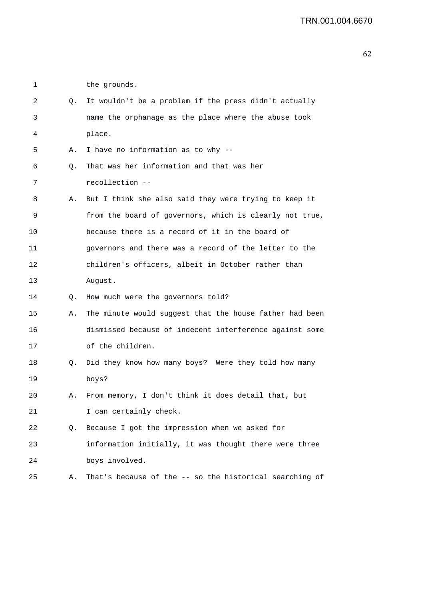1 the grounds.

| 2  | Q. | It wouldn't be a problem if the press didn't actually   |
|----|----|---------------------------------------------------------|
| 3  |    | name the orphanage as the place where the abuse took    |
| 4  |    | place.                                                  |
| 5  | Α. | I have no information as to why --                      |
| 6  | Q. | That was her information and that was her               |
| 7  |    | recollection --                                         |
| 8  | А. | But I think she also said they were trying to keep it   |
| 9  |    | from the board of governors, which is clearly not true, |
| 10 |    | because there is a record of it in the board of         |
| 11 |    | governors and there was a record of the letter to the   |
| 12 |    | children's officers, albeit in October rather than      |
| 13 |    | August.                                                 |
| 14 | Q. | How much were the governors told?                       |
| 15 | Α. | The minute would suggest that the house father had been |
| 16 |    | dismissed because of indecent interference against some |
| 17 |    | of the children.                                        |
| 18 | Q. | Did they know how many boys? Were they told how many    |
| 19 |    | boys?                                                   |
| 20 | Α. | From memory, I don't think it does detail that, but     |
| 21 |    | I can certainly check.                                  |
| 22 | Q. | Because I got the impression when we asked for          |
| 23 |    | information initially, it was thought there were three  |
| 24 |    | boys involved.                                          |
| 25 | Α. | That's because of the -- so the historical searching of |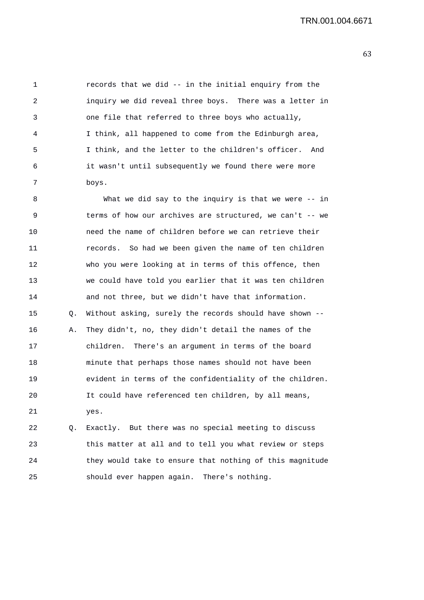1 records that we did -- in the initial enquiry from the 2 inquiry we did reveal three boys. There was a letter in 3 one file that referred to three boys who actually, 4 I think, all happened to come from the Edinburgh area, 5 I think, and the letter to the children's officer. And 6 it wasn't until subsequently we found there were more 7 boys.

8 What we did say to the inquiry is that we were -- in 9 terms of how our archives are structured, we can't -- we 10 need the name of children before we can retrieve their 11 records. So had we been given the name of ten children 12 who you were looking at in terms of this offence, then 13 we could have told you earlier that it was ten children 14 and not three, but we didn't have that information. 15 Q. Without asking, surely the records should have shown -- 16 A. They didn't, no, they didn't detail the names of the 17 children. There's an argument in terms of the board 18 minute that perhaps those names should not have been 19 evident in terms of the confidentiality of the children. 20 It could have referenced ten children, by all means, 21 yes. 22 Q. Exactly. But there was no special meeting to discuss

23 this matter at all and to tell you what review or steps 24 they would take to ensure that nothing of this magnitude 25 should ever happen again. There's nothing.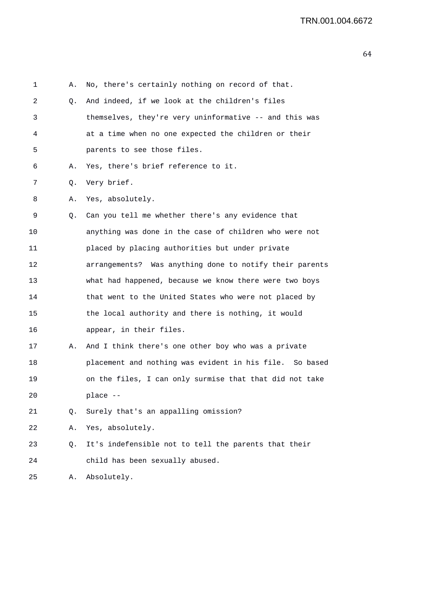| 1  | Α. | No, there's certainly nothing on record of that.        |
|----|----|---------------------------------------------------------|
| 2  | Q. | And indeed, if we look at the children's files          |
| 3  |    | themselves, they're very uninformative -- and this was  |
| 4  |    | at a time when no one expected the children or their    |
| 5  |    | parents to see those files.                             |
| 6  | Α. | Yes, there's brief reference to it.                     |
| 7  | Q. | Very brief.                                             |
| 8  | Α. | Yes, absolutely.                                        |
| 9  | Q. | Can you tell me whether there's any evidence that       |
| 10 |    | anything was done in the case of children who were not  |
| 11 |    | placed by placing authorities but under private         |
| 12 |    | arrangements? Was anything done to notify their parents |
| 13 |    | what had happened, because we know there were two boys  |
| 14 |    | that went to the United States who were not placed by   |
| 15 |    | the local authority and there is nothing, it would      |
| 16 |    | appear, in their files.                                 |
| 17 | Α. | And I think there's one other boy who was a private     |
| 18 |    | placement and nothing was evident in his file. So based |
| 19 |    | on the files, I can only surmise that that did not take |
| 20 |    | place --                                                |
| 21 | Q. | Surely that's an appalling omission?                    |
| 22 | Α. | Yes, absolutely.                                        |
| 23 | Q. | It's indefensible not to tell the parents that their    |
| 24 |    | child has been sexually abused.                         |
| 25 | Α. | Absolutely.                                             |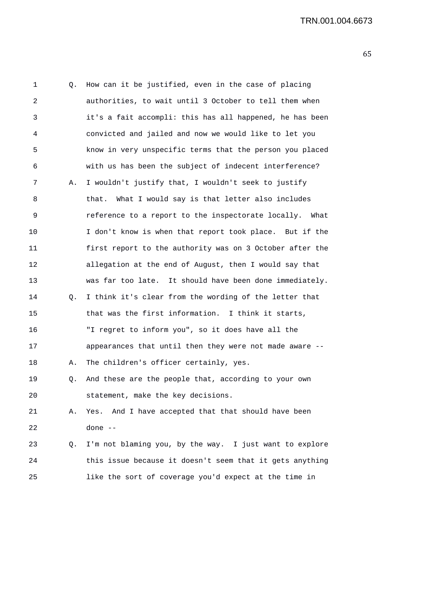| 1  | Q. | How can it be justified, even in the case of placing     |
|----|----|----------------------------------------------------------|
| 2  |    | authorities, to wait until 3 October to tell them when   |
| 3  |    | it's a fait accompli: this has all happened, he has been |
| 4  |    | convicted and jailed and now we would like to let you    |
| 5  |    | know in very unspecific terms that the person you placed |
| 6  |    | with us has been the subject of indecent interference?   |
| 7  | Α. | I wouldn't justify that, I wouldn't seek to justify      |
| 8  |    | that. What I would say is that letter also includes      |
| 9  |    | reference to a report to the inspectorate locally. What  |
| 10 |    | I don't know is when that report took place. But if the  |
| 11 |    | first report to the authority was on 3 October after the |
| 12 |    | allegation at the end of August, then I would say that   |
| 13 |    | was far too late. It should have been done immediately.  |
| 14 | Q. | I think it's clear from the wording of the letter that   |
| 15 |    | that was the first information. I think it starts,       |
| 16 |    | "I regret to inform you", so it does have all the        |
| 17 |    | appearances that until then they were not made aware --  |
| 18 | Α. | The children's officer certainly, yes.                   |
| 19 | Q. | And these are the people that, according to your own     |
| 20 |    | statement, make the key decisions.                       |
| 21 | Α. | Yes. And I have accepted that that should have been      |
| 22 |    | done --                                                  |
| 23 | Q. | I'm not blaming you, by the way. I just want to explore  |
| 24 |    | this issue because it doesn't seem that it gets anything |
| 25 |    | like the sort of coverage you'd expect at the time in    |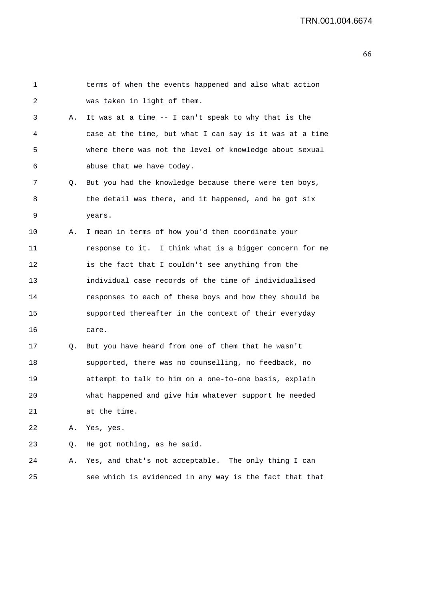| 1  |    | terms of when the events happened and also what action   |
|----|----|----------------------------------------------------------|
| 2  |    | was taken in light of them.                              |
| 3  | А. | It was at a time -- I can't speak to why that is the     |
| 4  |    | case at the time, but what I can say is it was at a time |
| 5  |    | where there was not the level of knowledge about sexual  |
| 6  |    | abuse that we have today.                                |
| 7  | Q. | But you had the knowledge because there were ten boys,   |
| 8  |    | the detail was there, and it happened, and he got six    |
| 9  |    | years.                                                   |
| 10 | Α. | I mean in terms of how you'd then coordinate your        |
| 11 |    | response to it. I think what is a bigger concern for me  |
| 12 |    | is the fact that I couldn't see anything from the        |
| 13 |    | individual case records of the time of individualised    |
| 14 |    | responses to each of these boys and how they should be   |
| 15 |    | supported thereafter in the context of their everyday    |
| 16 |    | care.                                                    |
| 17 | Q. | But you have heard from one of them that he wasn't       |
| 18 |    | supported, there was no counselling, no feedback, no     |
| 19 |    | attempt to talk to him on a one-to-one basis, explain    |
| 20 |    | what happened and give him whatever support he needed    |
| 21 |    | at the time.                                             |
| 22 | Α. | Yes, yes.                                                |
| 23 | Q. | He got nothing, as he said.                              |
| 24 | Α. | Yes, and that's not acceptable. The only thing I can     |
| 25 |    | see which is evidenced in any way is the fact that that  |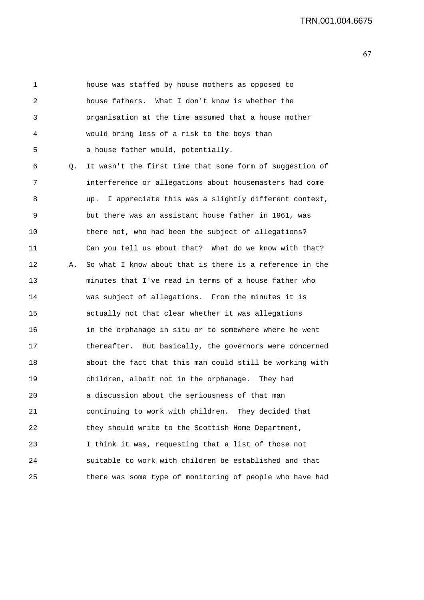1 house was staffed by house mothers as opposed to 2 house fathers. What I don't know is whether the 3 organisation at the time assumed that a house mother 4 would bring less of a risk to the boys than 5 a house father would, potentially. 6 Q. It wasn't the first time that some form of suggestion of 7 interference or allegations about housemasters had come 8 up. I appreciate this was a slightly different context, 9 but there was an assistant house father in 1961, was 10 there not, who had been the subject of allegations? 11 Can you tell us about that? What do we know with that? 12 A. So what I know about that is there is a reference in the 13 minutes that I've read in terms of a house father who 14 was subject of allegations. From the minutes it is 15 actually not that clear whether it was allegations 16 in the orphanage in situ or to somewhere where he went 17 thereafter. But basically, the governors were concerned 18 about the fact that this man could still be working with 19 children, albeit not in the orphanage. They had 20 a discussion about the seriousness of that man 21 continuing to work with children. They decided that 22 they should write to the Scottish Home Department, 23 I think it was, requesting that a list of those not 24 suitable to work with children be established and that 25 there was some type of monitoring of people who have had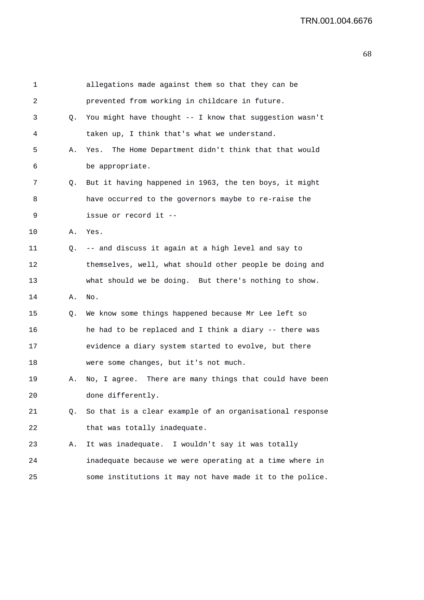| 1               |    | allegations made against them so that they can be        |
|-----------------|----|----------------------------------------------------------|
| 2               |    | prevented from working in childcare in future.           |
| 3               | Q. | You might have thought -- I know that suggestion wasn't  |
| 4               |    | taken up, I think that's what we understand.             |
| 5               | Α. | The Home Department didn't think that that would<br>Yes. |
| 6               |    | be appropriate.                                          |
| 7               | Q. | But it having happened in 1963, the ten boys, it might   |
| 8               |    | have occurred to the governors maybe to re-raise the     |
| 9               |    | issue or record it --                                    |
| $10 \,$         | Α. | Yes.                                                     |
| 11              | Q. | -- and discuss it again at a high level and say to       |
| 12 <sub>2</sub> |    | themselves, well, what should other people be doing and  |
| 13              |    | what should we be doing. But there's nothing to show.    |
| 14              | Α. | No.                                                      |
| 15              | Q. | We know some things happened because Mr Lee left so      |
| 16              |    | he had to be replaced and I think a diary -- there was   |
| 17              |    | evidence a diary system started to evolve, but there     |
| 18              |    | were some changes, but it's not much.                    |
| 19              | Α. | No, I agree. There are many things that could have been  |
| 20              |    | done differently.                                        |
| 21              | Q. | So that is a clear example of an organisational response |
| 22              |    | that was totally inadequate.                             |
| 23              | Α. | It was inadequate. I wouldn't say it was totally         |
| 24              |    | inadequate because we were operating at a time where in  |
| 25              |    | some institutions it may not have made it to the police. |
|                 |    |                                                          |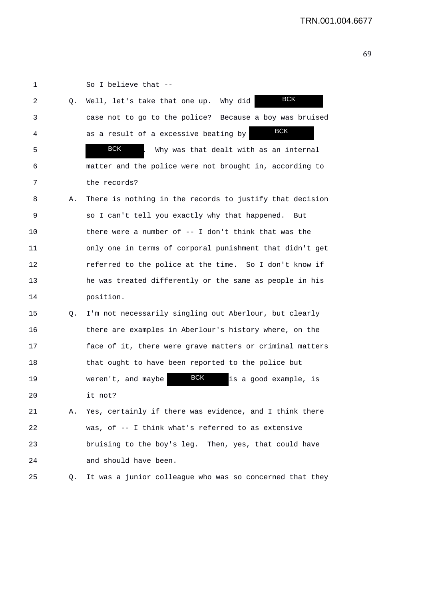1 So I believe that -- 2 Q. Well, let's take that one up. Why did 3 case not to go to the police? Because a boy was bruised 4 as a result of a excessive beating by 5 . BCK . Why was that dealt with as an internal 6 matter and the police were not brought in, according to 7 the records? 8 A. There is nothing in the records to justify that decision 9 so I can't tell you exactly why that happened. But 10 there were a number of -- I don't think that was the 11 only one in terms of corporal punishment that didn't get 12 referred to the police at the time. So I don't know if 13 he was treated differently or the same as people in his 14 position. 15 Q. I'm not necessarily singling out Aberlour, but clearly 16 there are examples in Aberlour's history where, on the 17 face of it, there were grave matters or criminal matters 18 that ought to have been reported to the police but 19 weren't, and maybe **BCK** is a good example, is 20 it not? 21 A. Yes, certainly if there was evidence, and I think there 22 was, of -- I think what's referred to as extensive 23 bruising to the boy's leg. Then, yes, that could have 24 and should have been. 25 Q. It was a junior colleague who was so concerned that they BCK **BCK** BCK BCK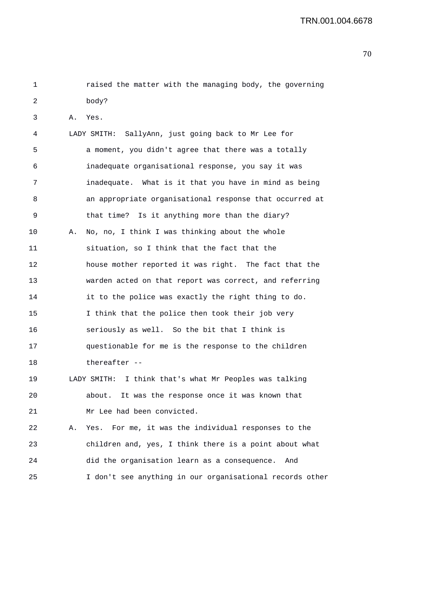| 1  |    | raised the matter with the managing body, the governing  |
|----|----|----------------------------------------------------------|
| 2  |    | body?                                                    |
| 3  | Α. | Yes.                                                     |
| 4  |    | LADY SMITH: SallyAnn, just going back to Mr Lee for      |
| 5  |    | a moment, you didn't agree that there was a totally      |
| 6  |    | inadequate organisational response, you say it was       |
| 7  |    | inadequate. What is it that you have in mind as being    |
| 8  |    | an appropriate organisational response that occurred at  |
| 9  |    | that time? Is it anything more than the diary?           |
| 10 | Α. | No, no, I think I was thinking about the whole           |
| 11 |    | situation, so I think that the fact that the             |
| 12 |    | house mother reported it was right. The fact that the    |
| 13 |    | warden acted on that report was correct, and referring   |
| 14 |    | it to the police was exactly the right thing to do.      |
| 15 |    | I think that the police then took their job very         |
| 16 |    | seriously as well. So the bit that I think is            |
| 17 |    | questionable for me is the response to the children      |
| 18 |    | thereafter --                                            |
| 19 |    | LADY SMITH: I think that's what Mr Peoples was talking   |
| 20 |    | It was the response once it was known that<br>about.     |
| 21 |    | Mr Lee had been convicted.                               |
| 22 | Α. | Yes. For me, it was the individual responses to the      |
| 23 |    | children and, yes, I think there is a point about what   |
| 24 |    | did the organisation learn as a consequence.<br>And      |
| 25 |    | I don't see anything in our organisational records other |
|    |    |                                                          |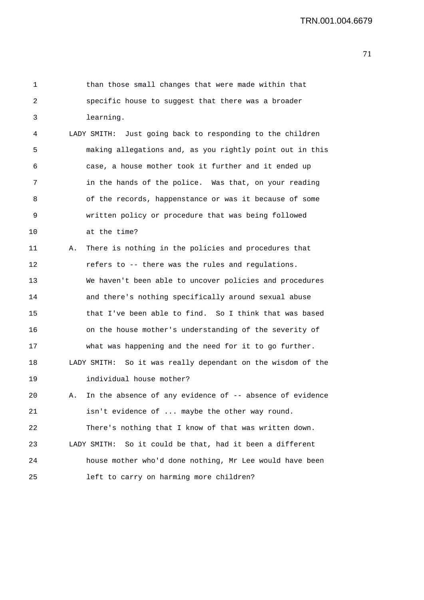| 1  | than those small changes that were made within that            |
|----|----------------------------------------------------------------|
| 2  | specific house to suggest that there was a broader             |
| 3  | learning.                                                      |
| 4  | Just going back to responding to the children<br>LADY SMITH:   |
| 5  | making allegations and, as you rightly point out in this       |
| 6  | case, a house mother took it further and it ended up           |
| 7  | in the hands of the police. Was that, on your reading          |
| 8  | of the records, happenstance or was it because of some         |
| 9  | written policy or procedure that was being followed            |
| 10 | at the time?                                                   |
| 11 | There is nothing in the policies and procedures that<br>Α.     |
| 12 | refers to -- there was the rules and regulations.              |
| 13 | We haven't been able to uncover policies and procedures        |
| 14 | and there's nothing specifically around sexual abuse           |
| 15 | that I've been able to find. So I think that was based         |
| 16 | on the house mother's understanding of the severity of         |
| 17 | what was happening and the need for it to go further.          |
| 18 | So it was really dependant on the wisdom of the<br>LADY SMITH: |
| 19 | individual house mother?                                       |
| 20 | In the absence of any evidence of -- absence of evidence<br>Α. |
| 21 | isn't evidence of  maybe the other way round.                  |
| 22 | There's nothing that I know of that was written down.          |
| 23 | So it could be that, had it been a different<br>LADY SMITH:    |
| 24 | house mother who'd done nothing, Mr Lee would have been        |
| 25 | left to carry on harming more children?                        |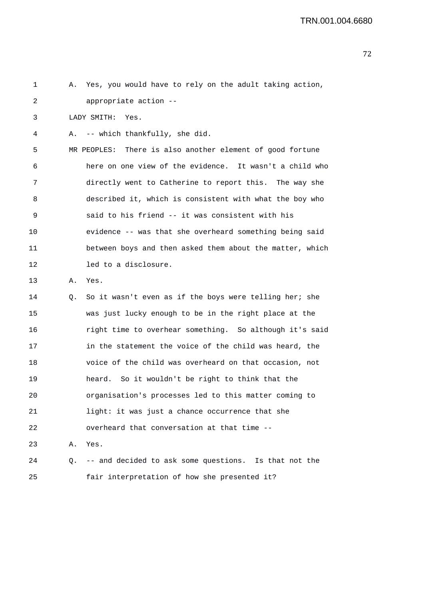2 appropriate action -- 3 LADY SMITH: Yes. 4 A. -- which thankfully, she did. 5 MR PEOPLES: There is also another element of good fortune 6 here on one view of the evidence. It wasn't a child who 7 directly went to Catherine to report this. The way she 8 described it, which is consistent with what the boy who 9 said to his friend -- it was consistent with his 10 evidence -- was that she overheard something being said 11 between boys and then asked them about the matter, which 12 led to a disclosure. 13 A. Yes. 14 Q. So it wasn't even as if the boys were telling her; she 15 was just lucky enough to be in the right place at the 16 right time to overhear something. So although it's said 17 in the statement the voice of the child was heard, the 18 voice of the child was overheard on that occasion, not 19 heard. So it wouldn't be right to think that the

20 organisation's processes led to this matter coming to

24 Q. -- and decided to ask some questions. Is that not the

21 light: it was just a chance occurrence that she

22 overheard that conversation at that time --

25 fair interpretation of how she presented it?

23 A. Yes.

1 A. Yes, you would have to rely on the adult taking action,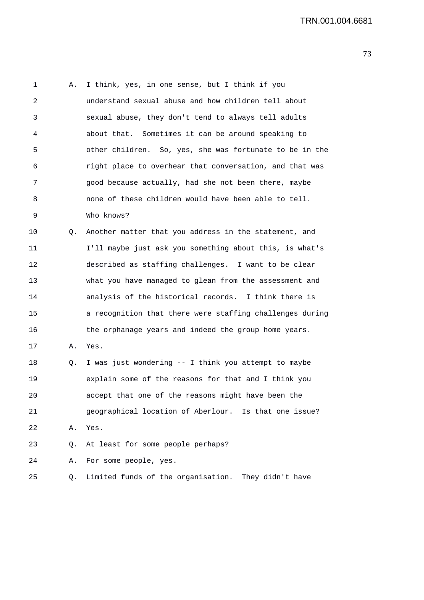1 A. I think, yes, in one sense, but I think if you 2 understand sexual abuse and how children tell about 3 sexual abuse, they don't tend to always tell adults 4 about that. Sometimes it can be around speaking to 5 other children. So, yes, she was fortunate to be in the 6 right place to overhear that conversation, and that was 7 good because actually, had she not been there, maybe 8 none of these children would have been able to tell. 9 Who knows? 10 0. Another matter that you address in the statement, and 11 I'll maybe just ask you something about this, is what's 12 described as staffing challenges. I want to be clear 13 what you have managed to glean from the assessment and 14 analysis of the historical records. I think there is 15 a recognition that there were staffing challenges during 16 the orphanage years and indeed the group home years. 17 A. Yes. 18 Q. I was just wondering -- I think you attempt to maybe 19 explain some of the reasons for that and I think you 20 accept that one of the reasons might have been the 21 geographical location of Aberlour. Is that one issue? 22 A. Yes. 23 Q. At least for some people perhaps? 24 A. For some people, yes. 25 Q. Limited funds of the organisation. They didn't have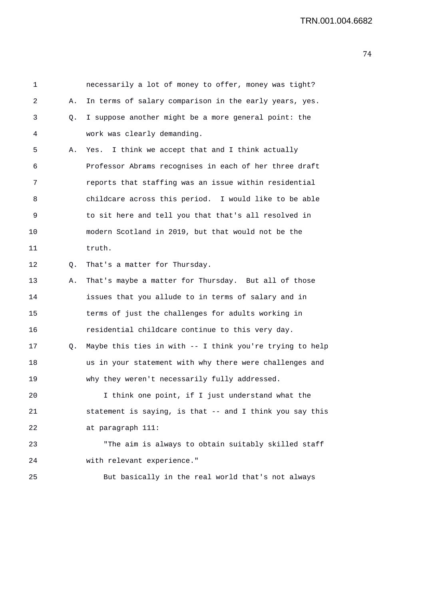| 1  |    | necessarily a lot of money to offer, money was tight?    |
|----|----|----------------------------------------------------------|
| 2  | Α. | In terms of salary comparison in the early years, yes.   |
| 3  | Q. | I suppose another might be a more general point: the     |
| 4  |    | work was clearly demanding.                              |
| 5  | Α. | I think we accept that and I think actually<br>Yes.      |
| 6  |    | Professor Abrams recognises in each of her three draft   |
| 7  |    | reports that staffing was an issue within residential    |
| 8  |    | childcare across this period. I would like to be able    |
| 9  |    | to sit here and tell you that that's all resolved in     |
| 10 |    | modern Scotland in 2019, but that would not be the       |
| 11 |    | truth.                                                   |
| 12 | Q. | That's a matter for Thursday.                            |
| 13 | Α. | That's maybe a matter for Thursday. But all of those     |
| 14 |    | issues that you allude to in terms of salary and in      |
| 15 |    | terms of just the challenges for adults working in       |
| 16 |    | residential childcare continue to this very day.         |
| 17 | Q. | Maybe this ties in with -- I think you're trying to help |
| 18 |    | us in your statement with why there were challenges and  |
| 19 |    | why they weren't necessarily fully addressed.            |
| 20 |    | I think one point, if I just understand what the         |
| 21 |    | statement is saying, is that -- and I think you say this |
| 22 |    | at paragraph 111:                                        |
| 23 |    | "The aim is always to obtain suitably skilled staff      |
| 24 |    | with relevant experience."                               |
| 25 |    | But basically in the real world that's not always        |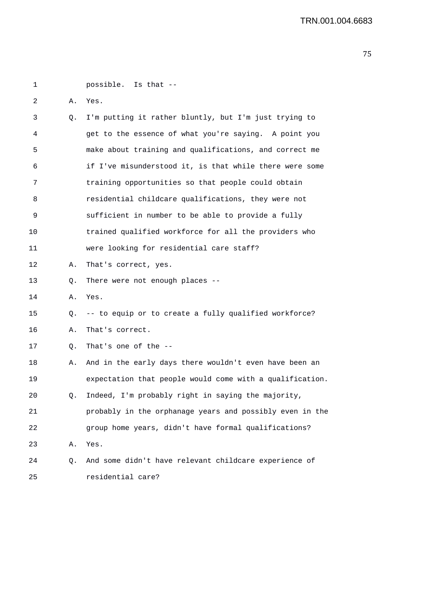| 1  |    | possible. Is that --                                     |
|----|----|----------------------------------------------------------|
|    |    |                                                          |
| 2  | Α. | Yes.                                                     |
| 3  | Q. | I'm putting it rather bluntly, but I'm just trying to    |
| 4  |    | get to the essence of what you're saying. A point you    |
| 5  |    | make about training and qualifications, and correct me   |
| 6  |    | if I've misunderstood it, is that while there were some  |
| 7  |    | training opportunities so that people could obtain       |
| 8  |    | residential childcare qualifications, they were not      |
| 9  |    | sufficient in number to be able to provide a fully       |
| 10 |    | trained qualified workforce for all the providers who    |
| 11 |    | were looking for residential care staff?                 |
| 12 | Α. | That's correct, yes.                                     |
| 13 | Q. | There were not enough places --                          |
| 14 | Α. | Yes.                                                     |
| 15 | Q. | -- to equip or to create a fully qualified workforce?    |
| 16 | Α. | That's correct.                                          |
| 17 | Q. | That's one of the --                                     |
| 18 | Α. | And in the early days there wouldn't even have been an   |
| 19 |    | expectation that people would come with a qualification. |
| 20 |    | Q. Indeed, I'm probably right in saying the majority,    |
| 21 |    | probably in the orphanage years and possibly even in the |
| 22 |    | group home years, didn't have formal qualifications?     |
| 23 | Α. | Yes.                                                     |
| 24 | Q. | And some didn't have relevant childcare experience of    |
| 25 |    | residential care?                                        |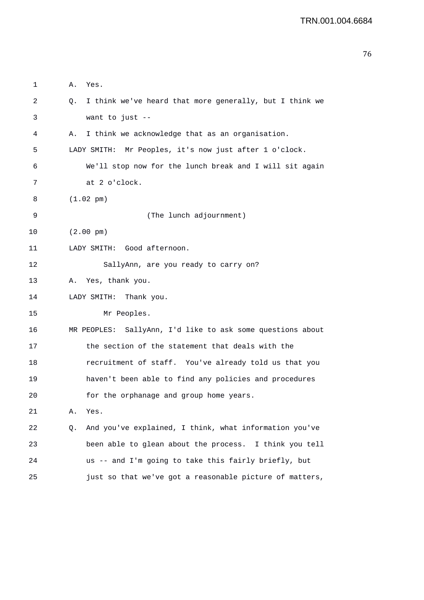| 1  | Α.<br>Yes.                                                    |
|----|---------------------------------------------------------------|
| 2  | I think we've heard that more generally, but I think we<br>Q. |
| 3  | want to just $-$                                              |
| 4  | I think we acknowledge that as an organisation.<br>Α.         |
| 5  | LADY SMITH: Mr Peoples, it's now just after 1 o'clock.        |
| 6  | We'll stop now for the lunch break and I will sit again       |
| 7  | at 2 o'clock.                                                 |
| 8  | $(1.02 \text{ pm})$                                           |
| 9  | (The lunch adjournment)                                       |
| 10 | $(2.00 \text{ pm})$                                           |
| 11 | LADY SMITH: Good afternoon.                                   |
| 12 | SallyAnn, are you ready to carry on?                          |
| 13 | Yes, thank you.<br>Α.                                         |
| 14 | LADY SMITH:<br>Thank you.                                     |
| 15 | Mr Peoples.                                                   |
| 16 | SallyAnn, I'd like to ask some questions about<br>MR PEOPLES: |
| 17 | the section of the statement that deals with the              |
| 18 | recruitment of staff. You've already told us that you         |
| 19 | haven't been able to find any policies and procedures         |
| 20 | for the orphanage and group home years.                       |
| 21 | Yes.<br>Α.                                                    |
| 22 | And you've explained, I think, what information you've<br>Q.  |
| 23 | been able to glean about the process. I think you tell        |
| 24 | us -- and I'm going to take this fairly briefly, but          |
| 25 | just so that we've got a reasonable picture of matters,       |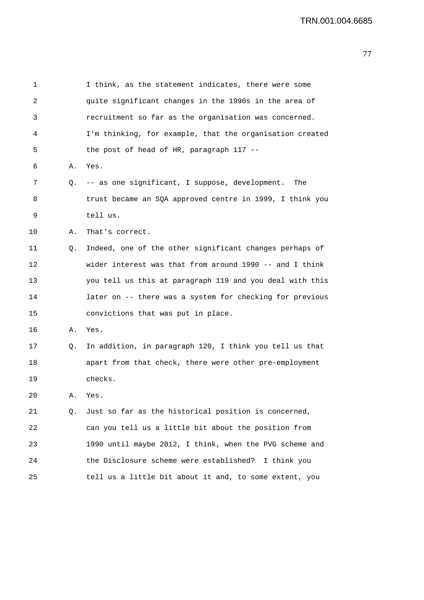| 1  |    | I think, as the statement indicates, there were some     |
|----|----|----------------------------------------------------------|
| 2  |    | quite significant changes in the 1990s in the area of    |
| 3  |    | recruitment so far as the organisation was concerned.    |
| 4  |    | I'm thinking, for example, that the organisation created |
| 5  |    | the post of head of HR, paragraph 117 --                 |
| 6  | Α. | Yes.                                                     |
| 7  | Q. | -- as one significant, I suppose, development.<br>The    |
| 8  |    | trust became an SQA approved centre in 1999, I think you |
| 9  |    | tell us.                                                 |
| 10 | Α. | That's correct.                                          |
| 11 | Q. | Indeed, one of the other significant changes perhaps of  |
| 12 |    | wider interest was that from around 1990 -- and I think  |
| 13 |    | you tell us this at paragraph 119 and you deal with this |
| 14 |    | later on -- there was a system for checking for previous |
| 15 |    | convictions that was put in place.                       |
| 16 | Α. | Yes.                                                     |
| 17 | Q. | In addition, in paragraph 120, I think you tell us that  |
| 18 |    | apart from that check, there were other pre-employment   |
| 19 |    | checks.                                                  |
| 20 | Α. | Yes.                                                     |
| 21 | Q. | Just so far as the historical position is concerned,     |
| 22 |    | can you tell us a little bit about the position from     |
| 23 |    | 1990 until maybe 2012, I think, when the PVG scheme and  |
| 24 |    | the Disclosure scheme were established?<br>I think you   |
| 25 |    | tell us a little bit about it and, to some extent, you   |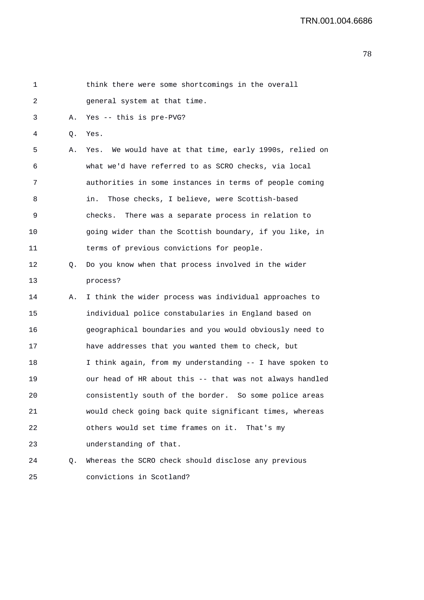| 1  |    | think there were some shortcomings in the overall        |
|----|----|----------------------------------------------------------|
| 2  |    | general system at that time.                             |
| 3  | Α. | Yes -- this is pre-PVG?                                  |
| 4  | Q. | Yes.                                                     |
| 5  | Α. | Yes. We would have at that time, early 1990s, relied on  |
| 6  |    | what we'd have referred to as SCRO checks, via local     |
| 7  |    | authorities in some instances in terms of people coming  |
| 8  |    | Those checks, I believe, were Scottish-based<br>in.      |
| 9  |    | checks. There was a separate process in relation to      |
| 10 |    | going wider than the Scottish boundary, if you like, in  |
| 11 |    | terms of previous convictions for people.                |
| 12 | Q. | Do you know when that process involved in the wider      |
| 13 |    | process?                                                 |
| 14 | Α. | I think the wider process was individual approaches to   |
| 15 |    | individual police constabularies in England based on     |
| 16 |    | geographical boundaries and you would obviously need to  |
| 17 |    | have addresses that you wanted them to check, but        |
| 18 |    | I think again, from my understanding -- I have spoken to |
| 19 |    | our head of HR about this -- that was not always handled |
| 20 |    | consistently south of the border. So some police areas   |
| 21 |    | would check going back quite significant times, whereas  |
| 22 |    | others would set time frames on it. That's my            |
| 23 |    | understanding of that.                                   |
| 24 | Q. | Whereas the SCRO check should disclose any previous      |
| 25 |    | convictions in Scotland?                                 |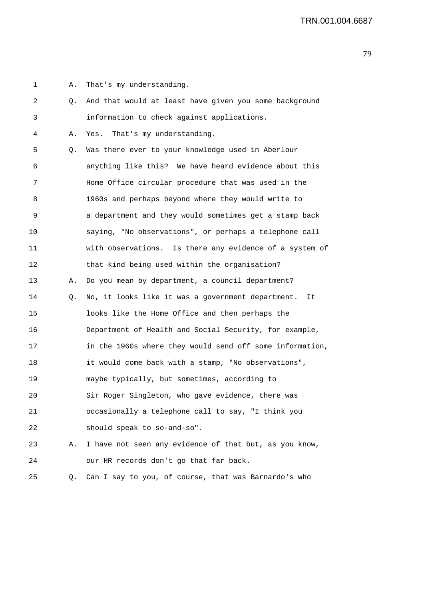1 A. That's my understanding. 2 Q. And that would at least have given you some background 3 information to check against applications. 4 A. Yes. That's my understanding. 5 Q. Was there ever to your knowledge used in Aberlour 6 anything like this? We have heard evidence about this 7 Home Office circular procedure that was used in the 8 1960s and perhaps beyond where they would write to 9 a department and they would sometimes get a stamp back 10 saying, "No observations", or perhaps a telephone call 11 with observations. Is there any evidence of a system of 12 that kind being used within the organisation? 13 A. Do you mean by department, a council department? 14 Q. No, it looks like it was a government department. It 15 looks like the Home Office and then perhaps the 16 Department of Health and Social Security, for example, 17 in the 1960s where they would send off some information, 18 it would come back with a stamp, "No observations", 19 maybe typically, but sometimes, according to 20 Sir Roger Singleton, who gave evidence, there was 21 occasionally a telephone call to say, "I think you 22 should speak to so-and-so". 23 A. I have not seen any evidence of that but, as you know, 24 our HR records don't go that far back. 25 Q. Can I say to you, of course, that was Barnardo's who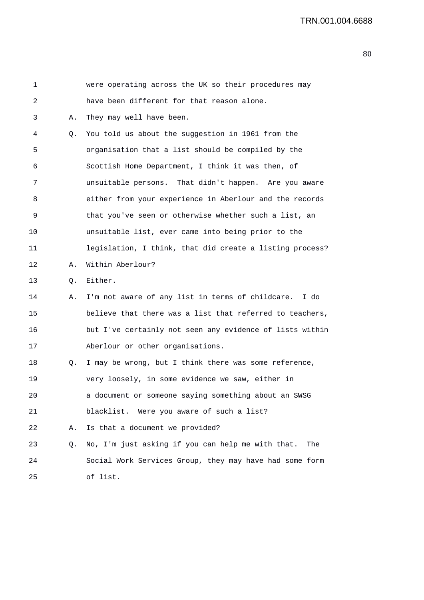| 1  |    | were operating across the UK so their procedures may     |
|----|----|----------------------------------------------------------|
| 2  |    | have been different for that reason alone.               |
| 3  | Α. | They may well have been.                                 |
| 4  | Q. | You told us about the suggestion in 1961 from the        |
| 5  |    | organisation that a list should be compiled by the       |
| 6  |    | Scottish Home Department, I think it was then, of        |
| 7  |    | unsuitable persons. That didn't happen. Are you aware    |
| 8  |    | either from your experience in Aberlour and the records  |
| 9  |    | that you've seen or otherwise whether such a list, an    |
| 10 |    | unsuitable list, ever came into being prior to the       |
| 11 |    | legislation, I think, that did create a listing process? |
| 12 | Α. | Within Aberlour?                                         |
| 13 | Q. | Either.                                                  |
| 14 | А. | I'm not aware of any list in terms of childcare.<br>I do |
| 15 |    | believe that there was a list that referred to teachers, |
| 16 |    | but I've certainly not seen any evidence of lists within |
| 17 |    | Aberlour or other organisations.                         |
| 18 | Q. | I may be wrong, but I think there was some reference,    |
| 19 |    | very loosely, in some evidence we saw, either in         |
| 20 |    | a document or someone saying something about an SWSG     |
| 21 |    | blacklist. Were you aware of such a list?                |
| 22 | Α. | Is that a document we provided?                          |
| 23 | Q. | No, I'm just asking if you can help me with that.<br>The |
| 24 |    | Social Work Services Group, they may have had some form  |
| 25 |    | of list.                                                 |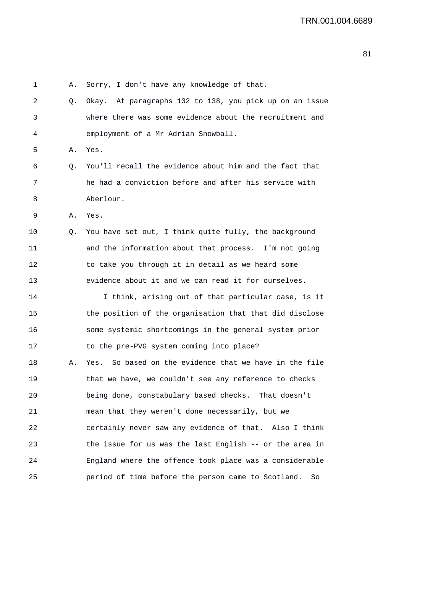1 A. Sorry, I don't have any knowledge of that. 2 Q. Okay. At paragraphs 132 to 138, you pick up on an issue 3 where there was some evidence about the recruitment and 4 employment of a Mr Adrian Snowball. 5 A. Yes. 6 Q. You'll recall the evidence about him and the fact that 7 he had a conviction before and after his service with 8 Aberlour. 9 A. Yes. 10 Q. You have set out, I think quite fully, the background 11 and the information about that process. I'm not going 12 to take you through it in detail as we heard some 13 evidence about it and we can read it for ourselves. 14 I think, arising out of that particular case, is it 15 the position of the organisation that that did disclose 16 some systemic shortcomings in the general system prior 17 to the pre-PVG system coming into place? 18 A. Yes. So based on the evidence that we have in the file 19 that we have, we couldn't see any reference to checks 20 being done, constabulary based checks. That doesn't 21 mean that they weren't done necessarily, but we 22 certainly never saw any evidence of that. Also I think 23 the issue for us was the last English -- or the area in 24 England where the offence took place was a considerable 25 period of time before the person came to Scotland. So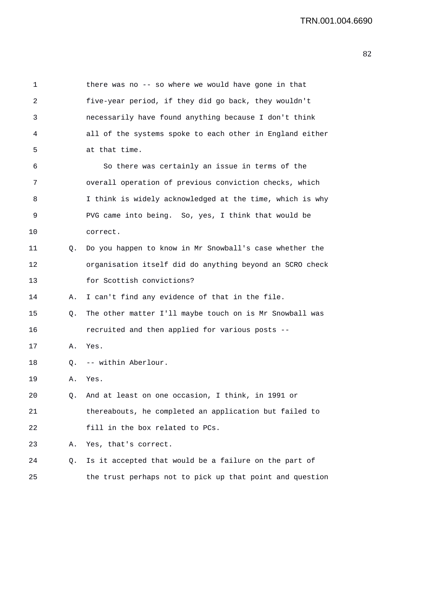1 there was no -- so where we would have gone in that 2 five-year period, if they did go back, they wouldn't 3 necessarily have found anything because I don't think 4 all of the systems spoke to each other in England either 5 at that time. 6 So there was certainly an issue in terms of the 7 overall operation of previous conviction checks, which 8 I think is widely acknowledged at the time, which is why 9 PVG came into being. So, yes, I think that would be 10 correct. 11 Q. Do you happen to know in Mr Snowball's case whether the 12 organisation itself did do anything beyond an SCRO check 13 for Scottish convictions? 14 A. I can't find any evidence of that in the file. 15 Q. The other matter I'll maybe touch on is Mr Snowball was 16 recruited and then applied for various posts -- 17 A. Yes. 18 Q. -- within Aberlour. 19 A. Yes. 20 Q. And at least on one occasion, I think, in 1991 or 21 thereabouts, he completed an application but failed to 22 fill in the box related to PCs. 23 A. Yes, that's correct. 24 Q. Is it accepted that would be a failure on the part of 25 the trust perhaps not to pick up that point and question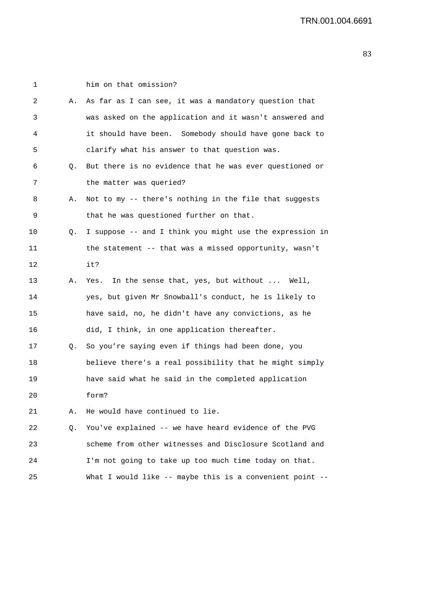| 1  |    | him on that omission?                                    |
|----|----|----------------------------------------------------------|
| 2  | Α. | As far as I can see, it was a mandatory question that    |
| 3  |    | was asked on the application and it wasn't answered and  |
| 4  |    | it should have been. Somebody should have gone back to   |
| 5  |    | clarify what his answer to that question was.            |
| 6  | Q. | But there is no evidence that he was ever questioned or  |
| 7  |    | the matter was queried?                                  |
| 8  | Α. | Not to my -- there's nothing in the file that suggests   |
| 9  |    | that he was questioned further on that.                  |
| 10 | Q. | I suppose -- and I think you might use the expression in |
| 11 |    | the statement -- that was a missed opportunity, wasn't   |
| 12 |    | it?                                                      |
| 13 | Α. | In the sense that, yes, but without  Well,<br>Yes.       |
| 14 |    | yes, but given Mr Snowball's conduct, he is likely to    |
| 15 |    | have said, no, he didn't have any convictions, as he     |
| 16 |    | did, I think, in one application thereafter.             |
| 17 | Q. | So you're saying even if things had been done, you       |
| 18 |    | believe there's a real possibility that he might simply  |
| 19 |    | have said what he said in the completed application      |
| 20 |    | form?                                                    |
| 21 | Α. | He would have continued to lie.                          |
| 22 | Q. | You've explained -- we have heard evidence of the PVG    |
| 23 |    | scheme from other witnesses and Disclosure Scotland and  |
| 24 |    | I'm not going to take up too much time today on that.    |
| 25 |    | What I would like -- maybe this is a convenient point -- |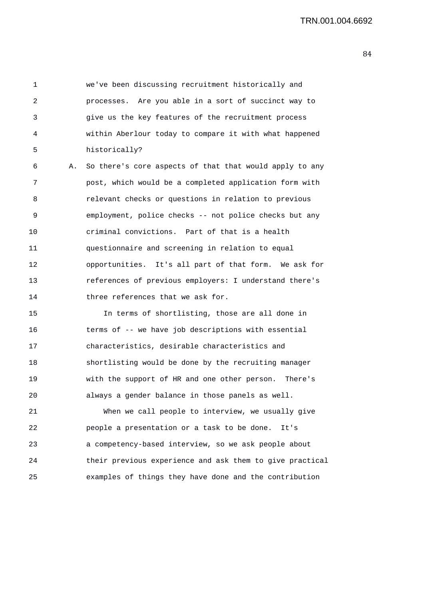1 we've been discussing recruitment historically and 2 processes. Are you able in a sort of succinct way to 3 give us the key features of the recruitment process 4 within Aberlour today to compare it with what happened 5 historically?

6 A. So there's core aspects of that that would apply to any 7 post, which would be a completed application form with 8 relevant checks or questions in relation to previous 9 employment, police checks -- not police checks but any 10 criminal convictions. Part of that is a health 11 questionnaire and screening in relation to equal 12 opportunities. It's all part of that form. We ask for 13 references of previous employers: I understand there's 14 three references that we ask for.

15 In terms of shortlisting, those are all done in 16 terms of -- we have job descriptions with essential 17 characteristics, desirable characteristics and 18 shortlisting would be done by the recruiting manager 19 with the support of HR and one other person. There's 20 always a gender balance in those panels as well.

21 When we call people to interview, we usually give 22 people a presentation or a task to be done. It's 23 a competency-based interview, so we ask people about 24 their previous experience and ask them to give practical 25 examples of things they have done and the contribution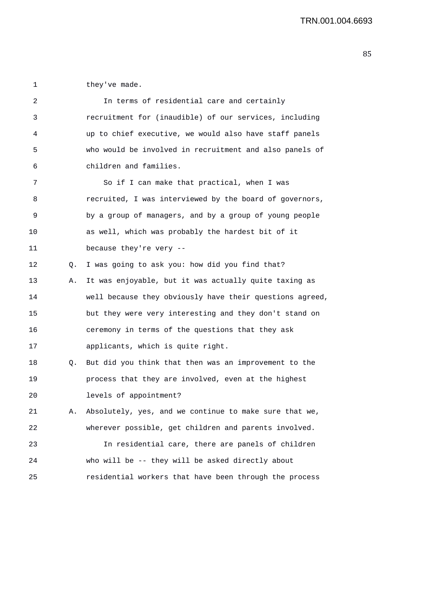1 they've made.

| 2  |    | In terms of residential care and certainly               |
|----|----|----------------------------------------------------------|
| 3  |    | recruitment for (inaudible) of our services, including   |
| 4  |    | up to chief executive, we would also have staff panels   |
| 5  |    | who would be involved in recruitment and also panels of  |
| 6  |    | children and families.                                   |
| 7  |    | So if I can make that practical, when I was              |
| 8  |    | recruited, I was interviewed by the board of governors,  |
| 9  |    | by a group of managers, and by a group of young people   |
| 10 |    | as well, which was probably the hardest bit of it        |
| 11 |    | because they're very --                                  |
| 12 | Q. | I was going to ask you: how did you find that?           |
| 13 | Α. | It was enjoyable, but it was actually quite taxing as    |
| 14 |    | well because they obviously have their questions agreed, |
| 15 |    | but they were very interesting and they don't stand on   |
| 16 |    | ceremony in terms of the questions that they ask         |
| 17 |    | applicants, which is quite right.                        |
| 18 | Q. | But did you think that then was an improvement to the    |
| 19 |    | process that they are involved, even at the highest      |
| 20 |    | levels of appointment?                                   |
| 21 | Α. | Absolutely, yes, and we continue to make sure that we,   |
| 22 |    | wherever possible, get children and parents involved.    |
| 23 |    | In residential care, there are panels of children        |
| 24 |    | who will be -- they will be asked directly about         |
| 25 |    | residential workers that have been through the process   |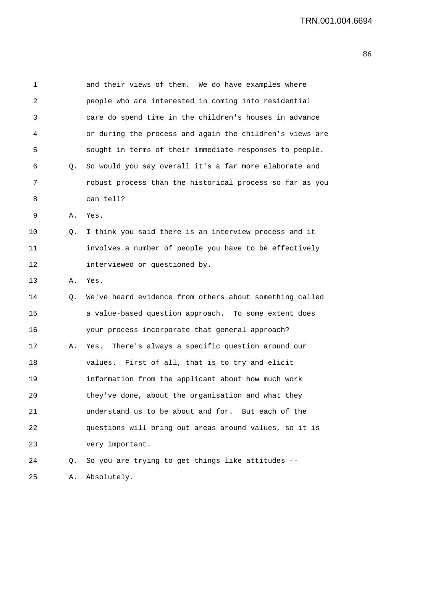| 1  |    | and their views of them. We do have examples where       |
|----|----|----------------------------------------------------------|
| 2  |    | people who are interested in coming into residential     |
| 3  |    | care do spend time in the children's houses in advance   |
| 4  |    | or during the process and again the children's views are |
| 5  |    | sought in terms of their immediate responses to people.  |
| 6  | Q. | So would you say overall it's a far more elaborate and   |
| 7  |    | robust process than the historical process so far as you |
| 8  |    | can tell?                                                |
| 9  | Α. | Yes.                                                     |
| 10 | Q. | I think you said there is an interview process and it    |
| 11 |    | involves a number of people you have to be effectively   |
| 12 |    | interviewed or questioned by.                            |
| 13 | А. | Yes.                                                     |
| 14 | Q. | We've heard evidence from others about something called  |
| 15 |    | a value-based question approach. To some extent does     |
| 16 |    | your process incorporate that general approach?          |
| 17 | Α. | There's always a specific question around our<br>Yes.    |
| 18 |    | First of all, that is to try and elicit<br>values.       |
| 19 |    | information from the applicant about how much work       |
| 20 |    | they've done, about the organisation and what they       |
| 21 |    | understand us to be about and for. But each of the       |
| 22 |    | questions will bring out areas around values, so it is   |
| 23 |    | very important.                                          |
| 24 | Q. | So you are trying to get things like attitudes --        |
| 25 | Α. | Absolutely.                                              |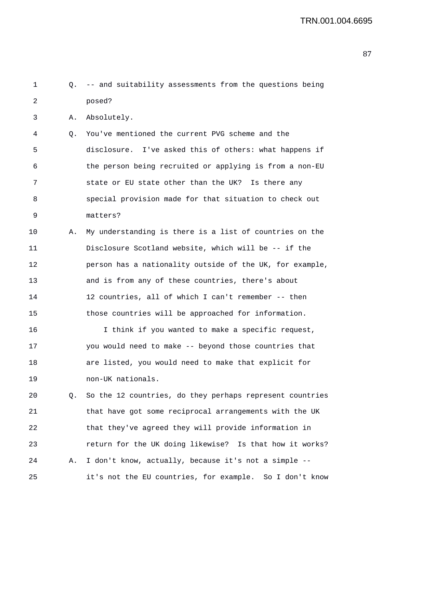| 1  |    | Q. -- and suitability assessments from the questions being  |
|----|----|-------------------------------------------------------------|
| 2  |    | posed?                                                      |
| 3  | Α. | Absolutely.                                                 |
| 4  | Q. | You've mentioned the current PVG scheme and the             |
| 5  |    | disclosure. I've asked this of others: what happens if      |
| 6  |    | the person being recruited or applying is from a non-EU     |
| 7  |    | state or EU state other than the UK? Is there any           |
| 8  |    | special provision made for that situation to check out      |
| 9  |    | matters?                                                    |
| 10 | Α. | My understanding is there is a list of countries on the     |
| 11 |    | Disclosure Scotland website, which will be -- if the        |
| 12 |    | person has a nationality outside of the UK, for example,    |
| 13 |    | and is from any of these countries, there's about           |
| 14 |    | 12 countries, all of which I can't remember -- then         |
| 15 |    | those countries will be approached for information.         |
| 16 |    | I think if you wanted to make a specific request,           |
| 17 |    | you would need to make -- beyond those countries that       |
| 18 |    | are listed, you would need to make that explicit for        |
| 19 |    | non-UK nationals.                                           |
| 20 |    | Q. So the 12 countries, do they perhaps represent countries |
| 21 |    | that have got some reciprocal arrangements with the UK      |
| 22 |    | that they've agreed they will provide information in        |
| 23 |    | return for the UK doing likewise? Is that how it works?     |
| 24 | Α. | I don't know, actually, because it's not a simple --        |
| 25 |    | it's not the EU countries, for example. So I don't know     |
|    |    |                                                             |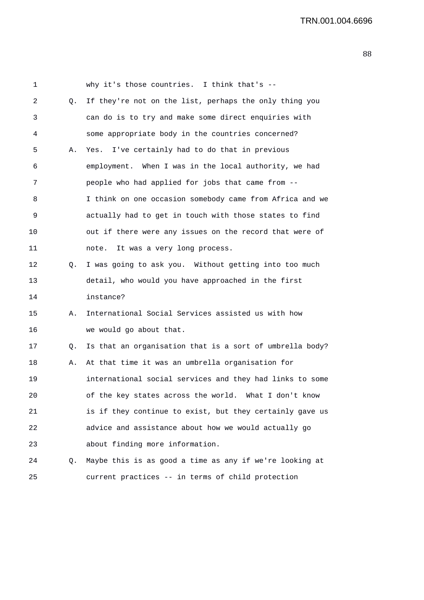1 why it's those countries. I think that's -- 2 Q. If they're not on the list, perhaps the only thing you 3 can do is to try and make some direct enquiries with 4 some appropriate body in the countries concerned? 5 A. Yes. I've certainly had to do that in previous 6 employment. When I was in the local authority, we had 7 people who had applied for jobs that came from -- 8 I think on one occasion somebody came from Africa and we 9 actually had to get in touch with those states to find 10 out if there were any issues on the record that were of 11 note. It was a very long process. 12 Q. I was going to ask you. Without getting into too much 13 detail, who would you have approached in the first 14 instance? 15 A. International Social Services assisted us with how 16 we would go about that. 17 Q. Is that an organisation that is a sort of umbrella body? 18 A. At that time it was an umbrella organisation for 19 international social services and they had links to some 20 of the key states across the world. What I don't know 21 is if they continue to exist, but they certainly gave us 22 advice and assistance about how we would actually go 23 about finding more information. 24 Q. Maybe this is as good a time as any if we're looking at

25 current practices -- in terms of child protection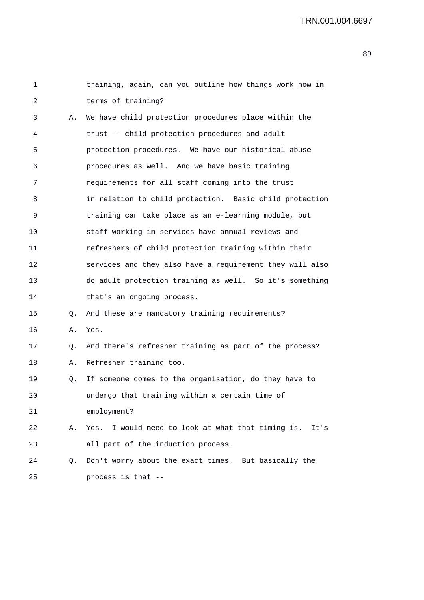| $\mathbf{1}$ |    | training, again, can you outline how things work now in  |
|--------------|----|----------------------------------------------------------|
| 2            |    | terms of training?                                       |
| 3            | Α. | We have child protection procedures place within the     |
| 4            |    | trust -- child protection procedures and adult           |
| 5            |    | protection procedures. We have our historical abuse      |
| 6            |    | procedures as well. And we have basic training           |
| 7            |    | requirements for all staff coming into the trust         |
| 8            |    | in relation to child protection. Basic child protection  |
| 9            |    | training can take place as an e-learning module, but     |
| 10           |    | staff working in services have annual reviews and        |
| 11           |    | refreshers of child protection training within their     |
| 12           |    | services and they also have a requirement they will also |
| 13           |    | do adult protection training as well. So it's something  |
| 14           |    | that's an ongoing process.                               |
| 15           | Q. | And these are mandatory training requirements?           |
| 16           | Α. | Yes.                                                     |
| 17           | Q. | And there's refresher training as part of the process?   |
| 18           | Α. | Refresher training too.                                  |
| 19           | Q. | If someone comes to the organisation, do they have to    |
| 20           |    | undergo that training within a certain time of           |
| 21           |    | employment?                                              |
| 22           | Α. | Yes. I would need to look at what that timing is. It's   |
| 23           |    | all part of the induction process.                       |
| 24           | Q. | Don't worry about the exact times. But basically the     |
| 25           |    | process is that --                                       |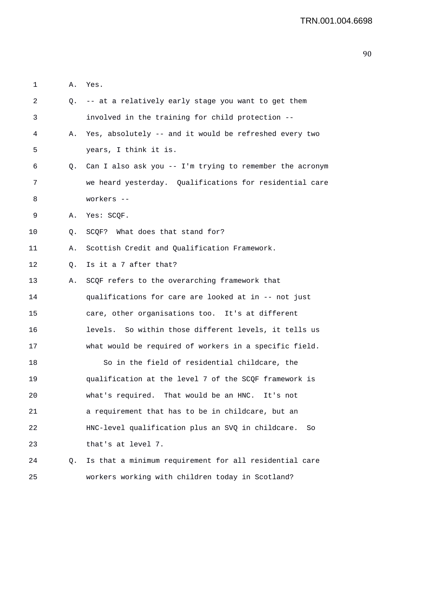| 1  | Α. | Yes.                                                     |
|----|----|----------------------------------------------------------|
| 2  |    | Q. -- at a relatively early stage you want to get them   |
| 3  |    | involved in the training for child protection --         |
| 4  | Α. | Yes, absolutely -- and it would be refreshed every two   |
| 5  |    | years, I think it is.                                    |
| 6  | Q. | Can I also ask you -- I'm trying to remember the acronym |
| 7  |    | we heard yesterday. Qualifications for residential care  |
| 8  |    | workers --                                               |
| 9  | Α. | Yes: SCQF.                                               |
| 10 | Q. | SCOF? What does that stand for?                          |
| 11 | Α. | Scottish Credit and Qualification Framework.             |
| 12 | Q. | Is it a 7 after that?                                    |
| 13 | Α. | SCQF refers to the overarching framework that            |
| 14 |    | qualifications for care are looked at in -- not just     |
| 15 |    | care, other organisations too. It's at different         |
| 16 |    | levels. So within those different levels, it tells us    |
| 17 |    | what would be required of workers in a specific field.   |
| 18 |    | So in the field of residential childcare, the            |
| 19 |    | qualification at the level 7 of the SCQF framework is    |
| 20 |    | what's required. That would be an HNC. It's not          |
| 21 |    | a requirement that has to be in childcare, but an        |
| 22 |    | HNC-level qualification plus an SVQ in childcare.<br>So  |
| 23 |    | that's at level 7.                                       |
| 24 | Q. | Is that a minimum requirement for all residential care   |
| 25 |    | workers working with children today in Scotland?         |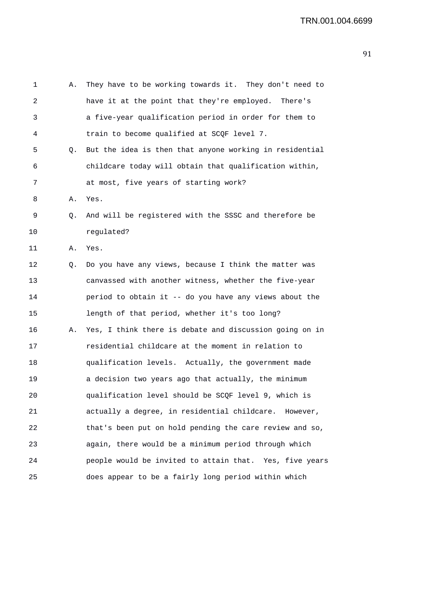| 1  | Α. | They have to be working towards it. They don't need to  |
|----|----|---------------------------------------------------------|
| 2  |    | have it at the point that they're employed. There's     |
| 3  |    | a five-year qualification period in order for them to   |
| 4  |    | train to become qualified at SCQF level 7.              |
| 5  | Q. | But the idea is then that anyone working in residential |
| 6  |    | childcare today will obtain that qualification within,  |
| 7  |    | at most, five years of starting work?                   |
| 8  | Α. | Yes.                                                    |
| 9  | Q. | And will be registered with the SSSC and therefore be   |
| 10 |    | regulated?                                              |
| 11 | Α. | Yes.                                                    |
| 12 | Q. | Do you have any views, because I think the matter was   |
| 13 |    | canvassed with another witness, whether the five-year   |
| 14 |    | period to obtain it -- do you have any views about the  |
| 15 |    | length of that period, whether it's too long?           |
| 16 | Α. | Yes, I think there is debate and discussion going on in |
| 17 |    | residential childcare at the moment in relation to      |
| 18 |    | qualification levels. Actually, the government made     |
| 19 |    | a decision two years ago that actually, the minimum     |
| 20 |    | qualification level should be SCQF level 9, which is    |
| 21 |    | actually a degree, in residential childcare. However,   |
| 22 |    | that's been put on hold pending the care review and so, |
| 23 |    | again, there would be a minimum period through which    |
| 24 |    | people would be invited to attain that. Yes, five years |
| 25 |    | does appear to be a fairly long period within which     |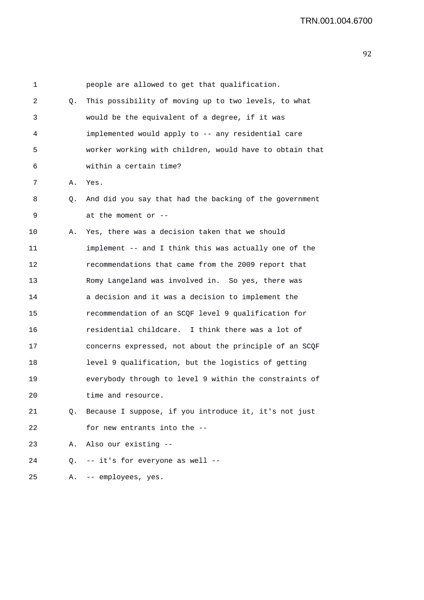| 1  |    | people are allowed to get that qualification.            |
|----|----|----------------------------------------------------------|
| 2  | Q. | This possibility of moving up to two levels, to what     |
| 3  |    | would be the equivalent of a degree, if it was           |
| 4  |    | implemented would apply to -- any residential care       |
| 5  |    | worker working with children, would have to obtain that  |
| 6  |    | within a certain time?                                   |
| 7  | Α. | Yes.                                                     |
| 8  | Q. | And did you say that had the backing of the government   |
| 9  |    | at the moment or --                                      |
| 10 | Α. | Yes, there was a decision taken that we should           |
| 11 |    | implement -- and I think this was actually one of the    |
| 12 |    | recommendations that came from the 2009 report that      |
| 13 |    | Romy Langeland was involved in. So yes, there was        |
| 14 |    | a decision and it was a decision to implement the        |
| 15 |    | recommendation of an SCQF level 9 qualification for      |
| 16 |    | residential childcare. I think there was a lot of        |
| 17 |    | concerns expressed, not about the principle of an SCQF   |
| 18 |    | level 9 qualification, but the logistics of getting      |
| 19 |    | everybody through to level 9 within the constraints of   |
| 20 |    | time and resource.                                       |
| 21 |    | Q. Because I suppose, if you introduce it, it's not just |
| 22 |    | for new entrants into the --                             |
| 23 | Α. | Also our existing --                                     |
| 24 |    | Q. -- it's for everyone as well --                       |
| 25 |    | A. -- employees, yes.                                    |
|    |    |                                                          |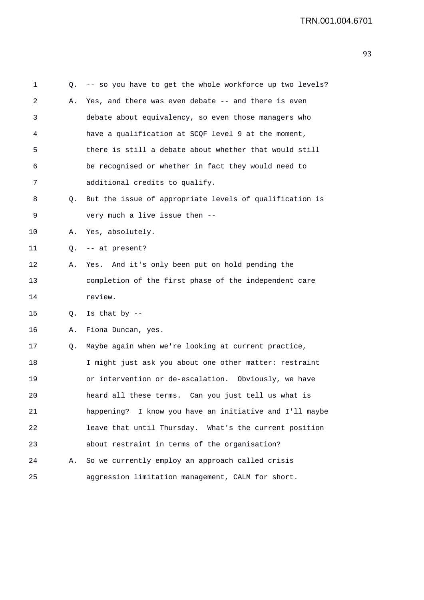| 1  | Q. | -- so you have to get the whole workforce up two levels? |
|----|----|----------------------------------------------------------|
| 2  | Α. | Yes, and there was even debate -- and there is even      |
| 3  |    | debate about equivalency, so even those managers who     |
| 4  |    | have a qualification at SCQF level 9 at the moment,      |
| 5  |    | there is still a debate about whether that would still   |
| 6  |    | be recognised or whether in fact they would need to      |
| 7  |    | additional credits to qualify.                           |
| 8  | Q. | But the issue of appropriate levels of qualification is  |
| 9  |    | very much a live issue then --                           |
| 10 | Α. | Yes, absolutely.                                         |
| 11 | Q. | -- at present?                                           |
| 12 | Α. | Yes. And it's only been put on hold pending the          |
| 13 |    | completion of the first phase of the independent care    |
| 14 |    | review.                                                  |
| 15 | Q. | Is that by $-$                                           |
| 16 | Α. | Fiona Duncan, yes.                                       |
| 17 | Q. | Maybe again when we're looking at current practice,      |
| 18 |    | I might just ask you about one other matter: restraint   |
| 19 |    | or intervention or de-escalation. Obviously, we have     |
| 20 |    | heard all these terms. Can you just tell us what is      |
| 21 |    | happening? I know you have an initiative and I'll maybe  |
| 22 |    | leave that until Thursday. What's the current position   |
| 23 |    | about restraint in terms of the organisation?            |
| 24 | Α. | So we currently employ an approach called crisis         |
| 25 |    | aggression limitation management, CALM for short.        |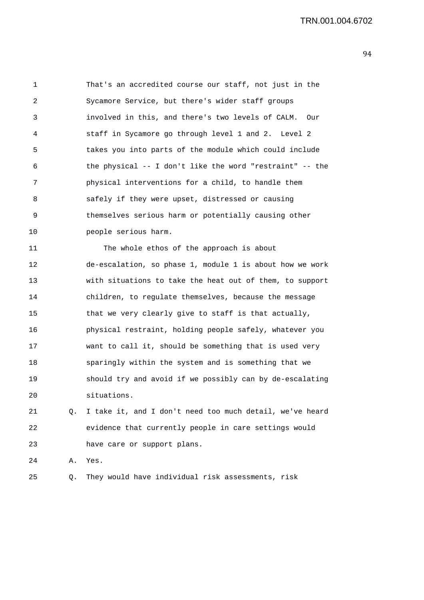1 That's an accredited course our staff, not just in the 2 Sycamore Service, but there's wider staff groups 3 involved in this, and there's two levels of CALM. Our 4 staff in Sycamore go through level 1 and 2. Level 2 5 takes you into parts of the module which could include 6 the physical -- I don't like the word "restraint" -- the 7 physical interventions for a child, to handle them 8 safely if they were upset, distressed or causing 9 themselves serious harm or potentially causing other 10 people serious harm. 11 The whole ethos of the approach is about

12 de-escalation, so phase 1, module 1 is about how we work 13 with situations to take the heat out of them, to support 14 children, to regulate themselves, because the message 15 that we very clearly give to staff is that actually, 16 physical restraint, holding people safely, whatever you 17 want to call it, should be something that is used very 18 sparingly within the system and is something that we 19 should try and avoid if we possibly can by de-escalating 20 situations.

21 Q. I take it, and I don't need too much detail, we've heard 22 evidence that currently people in care settings would 23 have care or support plans.

24 A. Yes.

25 Q. They would have individual risk assessments, risk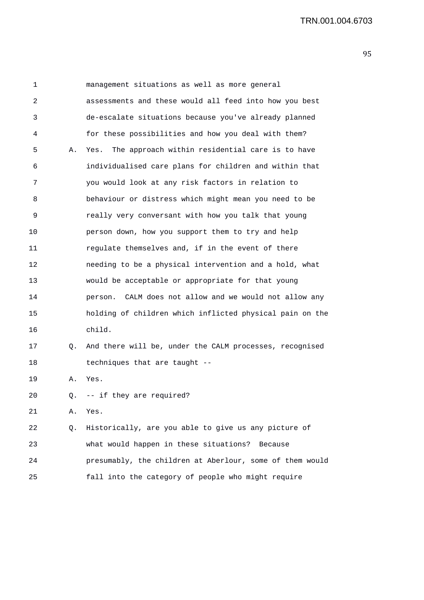| 1  |    | management situations as well as more general             |
|----|----|-----------------------------------------------------------|
| 2  |    | assessments and these would all feed into how you best    |
| 3  |    | de-escalate situations because you've already planned     |
| 4  |    | for these possibilities and how you deal with them?       |
| 5  | Α. | The approach within residential care is to have<br>Yes.   |
| 6  |    | individualised care plans for children and within that    |
| 7  |    | you would look at any risk factors in relation to         |
| 8  |    | behaviour or distress which might mean you need to be     |
| 9  |    | really very conversant with how you talk that young       |
| 10 |    | person down, how you support them to try and help         |
| 11 |    | regulate themselves and, if in the event of there         |
| 12 |    | needing to be a physical intervention and a hold, what    |
| 13 |    | would be acceptable or appropriate for that young         |
| 14 |    | CALM does not allow and we would not allow any<br>person. |
| 15 |    | holding of children which inflicted physical pain on the  |
| 16 |    | child.                                                    |
| 17 | Q. | And there will be, under the CALM processes, recognised   |
| 18 |    | techniques that are taught --                             |
| 19 | Α. | Yes.                                                      |
| 20 | Q. | -- if they are required?                                  |
| 21 | Α. | Yes.                                                      |
| 22 | Q. | Historically, are you able to give us any picture of      |
| 23 |    | what would happen in these situations?<br>Because         |
| 24 |    | presumably, the children at Aberlour, some of them would  |
| 25 |    | fall into the category of people who might require        |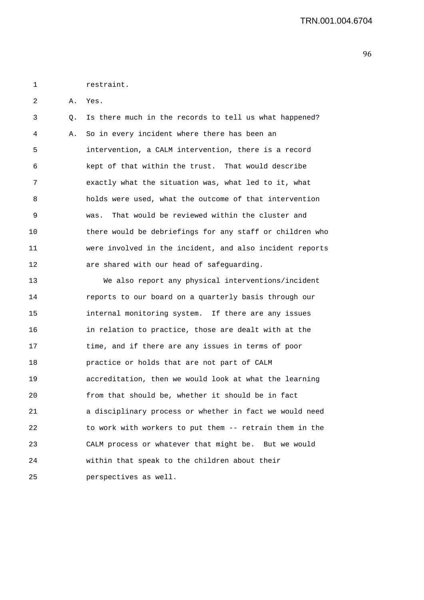1 restraint.

2 A. Yes.

3 Q. Is there much in the records to tell us what happened? 4 A. So in every incident where there has been an 5 intervention, a CALM intervention, there is a record 6 kept of that within the trust. That would describe 7 exactly what the situation was, what led to it, what 8 holds were used, what the outcome of that intervention 9 was. That would be reviewed within the cluster and 10 there would be debriefings for any staff or children who 11 were involved in the incident, and also incident reports 12 are shared with our head of safeguarding.

13 We also report any physical interventions/incident 14 reports to our board on a quarterly basis through our 15 internal monitoring system. If there are any issues 16 in relation to practice, those are dealt with at the 17 time, and if there are any issues in terms of poor 18 practice or holds that are not part of CALM 19 accreditation, then we would look at what the learning 20 from that should be, whether it should be in fact 21 a disciplinary process or whether in fact we would need 22 to work with workers to put them -- retrain them in the 23 CALM process or whatever that might be. But we would 24 within that speak to the children about their 25 perspectives as well.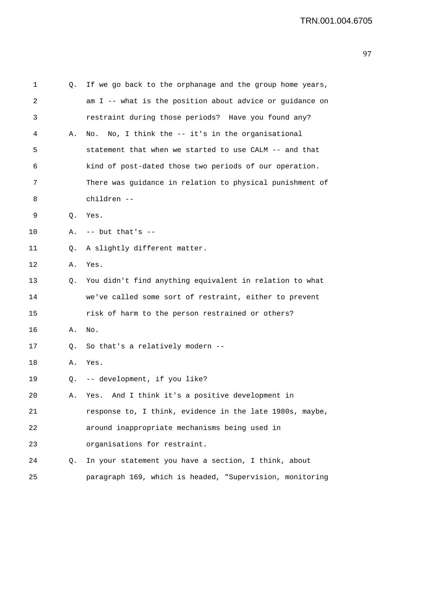| 1  | Q. | If we go back to the orphanage and the group home years, |
|----|----|----------------------------------------------------------|
| 2  |    | am I -- what is the position about advice or guidance on |
| 3  |    | restraint during those periods? Have you found any?      |
| 4  | Α. | No, I think the -- it's in the organisational<br>No.     |
| 5  |    | statement that when we started to use CALM -- and that   |
| 6  |    | kind of post-dated those two periods of our operation.   |
| 7  |    | There was guidance in relation to physical punishment of |
| 8  |    | children --                                              |
| 9  | Q. | Yes.                                                     |
| 10 | Α. | $--$ but that's $--$                                     |
| 11 | Q. | A slightly different matter.                             |
| 12 | Α. | Yes.                                                     |
| 13 | Q. | You didn't find anything equivalent in relation to what  |
| 14 |    | we've called some sort of restraint, either to prevent   |
| 15 |    | risk of harm to the person restrained or others?         |
| 16 | Α. | No.                                                      |
| 17 | Q. | So that's a relatively modern --                         |
| 18 | Α. | Yes.                                                     |
| 19 | Q. | -- development, if you like?                             |
| 20 | Α. | And I think it's a positive development in<br>Yes.       |
| 21 |    | response to, I think, evidence in the late 1980s, maybe, |
| 22 |    | around inappropriate mechanisms being used in            |
| 23 |    | organisations for restraint.                             |
| 24 | Q. | In your statement you have a section, I think, about     |
| 25 |    | paragraph 169, which is headed, "Supervision, monitoring |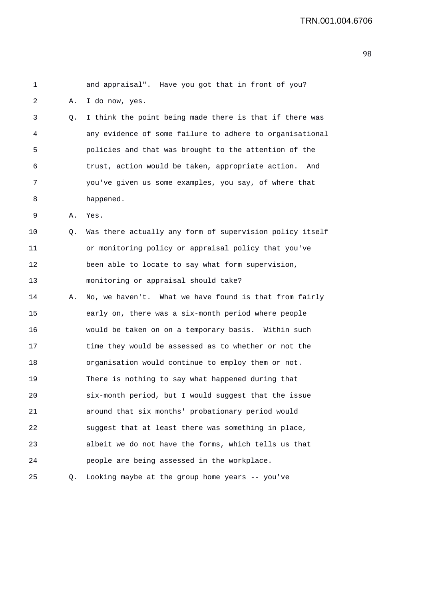```
1 and appraisal". Have you got that in front of you? 
2 A. I do now, yes. 
3 Q. I think the point being made there is that if there was 
4 any evidence of some failure to adhere to organisational 
5 policies and that was brought to the attention of the 
6 trust, action would be taken, appropriate action. And 
7 you've given us some examples, you say, of where that 
8 happened. 
9 A. Yes. 
10 0. Was there actually any form of supervision policy itself
11 or monitoring policy or appraisal policy that you've 
12 been able to locate to say what form supervision, 
13 monitoring or appraisal should take? 
14 A. No, we haven't. What we have found is that from fairly 
15 early on, there was a six-month period where people 
16 would be taken on on a temporary basis. Within such 
17 time they would be assessed as to whether or not the 
18 organisation would continue to employ them or not. 
19 There is nothing to say what happened during that 
20 six-month period, but I would suggest that the issue 
21 around that six months' probationary period would 
22 suggest that at least there was something in place, 
23 albeit we do not have the forms, which tells us that 
24 people are being assessed in the workplace. 
25 Q. Looking maybe at the group home years -- you've
```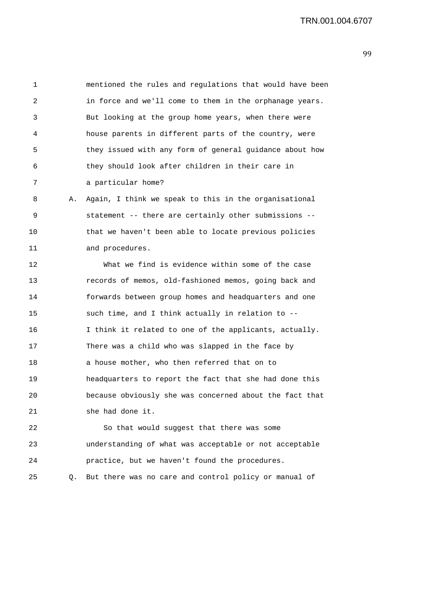1 mentioned the rules and regulations that would have been 2 in force and we'll come to them in the orphanage years. 3 But looking at the group home years, when there were 4 house parents in different parts of the country, were 5 they issued with any form of general guidance about how 6 they should look after children in their care in 7 a particular home? 8 A. Again, I think we speak to this in the organisational 9 statement -- there are certainly other submissions -- 10 that we haven't been able to locate previous policies 11 and procedures. 12 What we find is evidence within some of the case 13 records of memos, old-fashioned memos, going back and 14 forwards between group homes and headquarters and one 15 such time, and I think actually in relation to -- 16 I think it related to one of the applicants, actually. 17 There was a child who was slapped in the face by 18 a house mother, who then referred that on to 19 headquarters to report the fact that she had done this 20 because obviously she was concerned about the fact that 21 she had done it. 22 So that would suggest that there was some 23 understanding of what was acceptable or not acceptable 24 practice, but we haven't found the procedures. 25 Q. But there was no care and control policy or manual of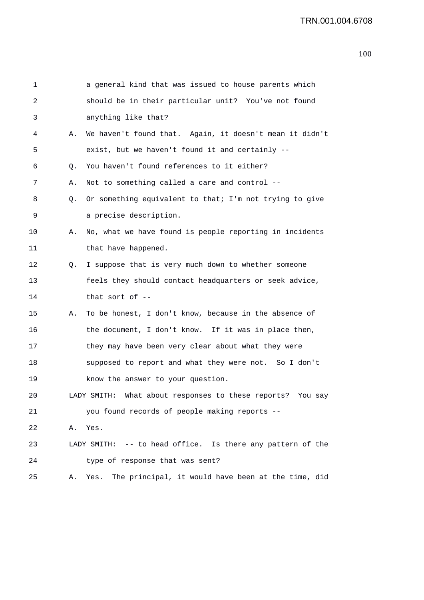|    | a general kind that was issued to house parents which      |
|----|------------------------------------------------------------|
|    | should be in their particular unit? You've not found       |
|    | anything like that?                                        |
| Α. | We haven't found that. Again, it doesn't mean it didn't    |
|    | exist, but we haven't found it and certainly --            |
| Q. | You haven't found references to it either?                 |
| Α. | Not to something called a care and control --              |
| Q. | Or something equivalent to that; I'm not trying to give    |
|    | a precise description.                                     |
| Α. | No, what we have found is people reporting in incidents    |
|    | that have happened.                                        |
| Q. | I suppose that is very much down to whether someone        |
|    | feels they should contact headquarters or seek advice,     |
|    | that sort of $-$                                           |
| Α. | To be honest, I don't know, because in the absence of      |
|    | the document, I don't know. If it was in place then,       |
|    | they may have been very clear about what they were         |
|    | supposed to report and what they were not. So I don't      |
|    | know the answer to your question.                          |
|    | LADY SMITH: What about responses to these reports? You say |
|    | you found records of people making reports --              |
| Α. | Yes.                                                       |
|    | LADY SMITH: -- to head office. Is there any pattern of the |
|    | type of response that was sent?                            |
| Α. | The principal, it would have been at the time, did<br>Yes. |
|    |                                                            |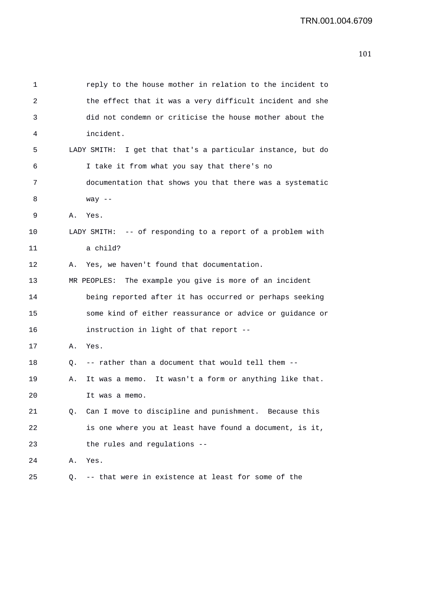| 1  |    | reply to the house mother in relation to the incident to    |
|----|----|-------------------------------------------------------------|
| 2  |    | the effect that it was a very difficult incident and she    |
| 3  |    | did not condemn or criticise the house mother about the     |
| 4  |    | incident.                                                   |
| 5  |    | LADY SMITH: I get that that's a particular instance, but do |
| 6  |    | I take it from what you say that there's no                 |
| 7  |    | documentation that shows you that there was a systematic    |
| 8  |    | way $--$                                                    |
| 9  | Α. | Yes.                                                        |
| 10 |    | LADY SMITH: -- of responding to a report of a problem with  |
| 11 |    | a child?                                                    |
| 12 | Α. | Yes, we haven't found that documentation.                   |
| 13 |    | MR PEOPLES: The example you give is more of an incident     |
| 14 |    | being reported after it has occurred or perhaps seeking     |
| 15 |    | some kind of either reassurance or advice or guidance or    |
| 16 |    | instruction in light of that report --                      |
| 17 | Α. | Yes.                                                        |
| 18 | Q. | -- rather than a document that would tell them --           |
| 19 | Α. | It was a memo. It wasn't a form or anything like that.      |
| 20 |    | It was a memo                                               |
| 21 | Q. | Can I move to discipline and punishment. Because this       |
| 22 |    | is one where you at least have found a document, is it,     |
| 23 |    | the rules and regulations --                                |
| 24 | Α. | Yes.                                                        |
| 25 | Q. | -- that were in existence at least for some of the          |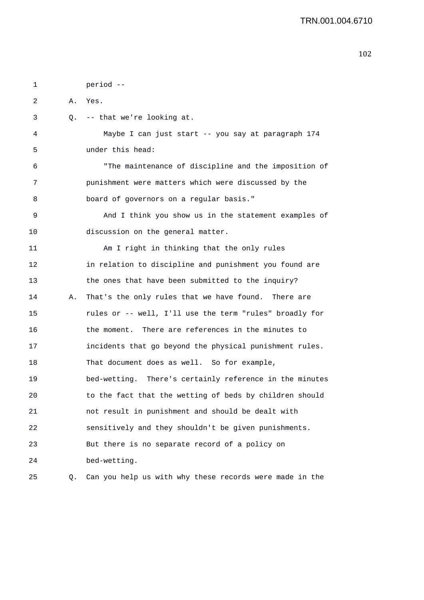| 1  |    | period --                                               |
|----|----|---------------------------------------------------------|
| 2  | Α. | Yes.                                                    |
| 3  |    | Q. -- that we're looking at.                            |
| 4  |    | Maybe I can just start -- you say at paragraph 174      |
| 5  |    | under this head:                                        |
| 6  |    | "The maintenance of discipline and the imposition of    |
| 7  |    | punishment were matters which were discussed by the     |
| 8  |    | board of governors on a regular basis."                 |
| 9  |    | And I think you show us in the statement examples of    |
| 10 |    | discussion on the general matter.                       |
| 11 |    | Am I right in thinking that the only rules              |
| 12 |    | in relation to discipline and punishment you found are  |
| 13 |    | the ones that have been submitted to the inquiry?       |
| 14 | Α. | That's the only rules that we have found. There are     |
| 15 |    | rules or -- well, I'll use the term "rules" broadly for |
| 16 |    | the moment. There are references in the minutes to      |
| 17 |    | incidents that go beyond the physical punishment rules. |
| 18 |    | That document does as well. So for example,             |
| 19 |    | bed-wetting. There's certainly reference in the minutes |
| 20 |    | to the fact that the wetting of beds by children should |
| 21 |    | not result in punishment and should be dealt with       |
| 22 |    | sensitively and they shouldn't be given punishments.    |
| 23 |    | But there is no separate record of a policy on          |
| 24 |    | bed-wetting.                                            |
| 25 | Q. | Can you help us with why these records were made in the |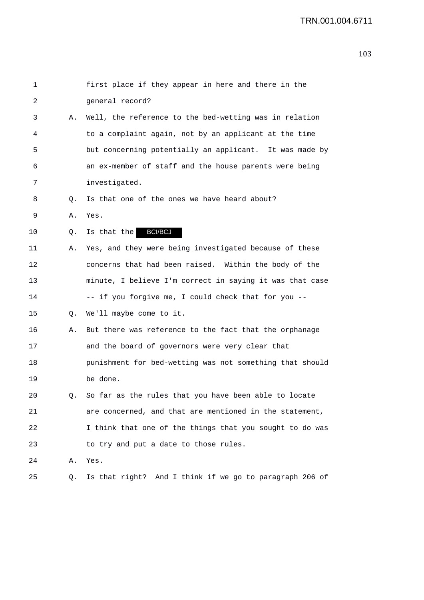| 1  |    | first place if they appear in here and there in the      |
|----|----|----------------------------------------------------------|
| 2  |    | general record?                                          |
| 3  | Α. | Well, the reference to the bed-wetting was in relation   |
| 4  |    | to a complaint again, not by an applicant at the time    |
| 5  |    | but concerning potentially an applicant. It was made by  |
| 6  |    | an ex-member of staff and the house parents were being   |
| 7  |    | investigated.                                            |
| 8  | Q. | Is that one of the ones we have heard about?             |
| 9  | Α. | Yes.                                                     |
| 10 | Q. | <b>BCI/BCJ</b><br>Is that the                            |
| 11 | Α. | Yes, and they were being investigated because of these   |
| 12 |    | concerns that had been raised. Within the body of the    |
| 13 |    | minute, I believe I'm correct in saying it was that case |
| 14 |    | -- if you forgive me, I could check that for you --      |
| 15 | Q. | We'll maybe come to it.                                  |
| 16 | Α. | But there was reference to the fact that the orphanage   |
| 17 |    | and the board of governors were very clear that          |
| 18 |    | punishment for bed-wetting was not something that should |
| 19 |    | be done.                                                 |
| 20 |    | Q. So far as the rules that you have been able to locate |
| 21 |    | are concerned, and that are mentioned in the statement,  |
| 22 |    | I think that one of the things that you sought to do was |
| 23 |    | to try and put a date to those rules.                    |
| 24 | Α. | Yes.                                                     |
| 25 | Q. | Is that right? And I think if we go to paragraph 206 of  |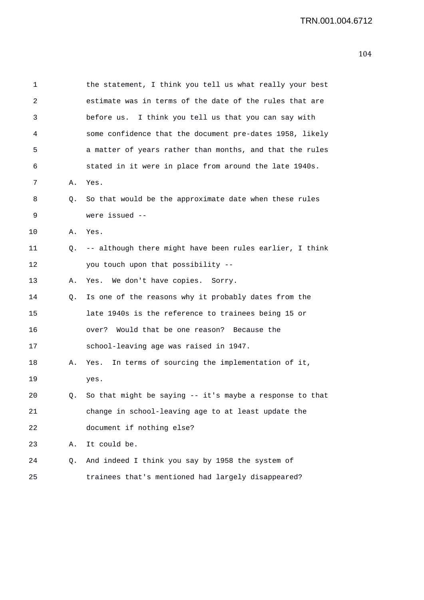| 1  |    | the statement, I think you tell us what really your best |
|----|----|----------------------------------------------------------|
| 2  |    | estimate was in terms of the date of the rules that are  |
| 3  |    | before us. I think you tell us that you can say with     |
| 4  |    | some confidence that the document pre-dates 1958, likely |
| 5  |    | a matter of years rather than months, and that the rules |
| 6  |    | stated in it were in place from around the late 1940s.   |
| 7  | Α. | Yes.                                                     |
| 8  | Q. | So that would be the approximate date when these rules   |
| 9  |    | were issued --                                           |
| 10 | Α. | Yes.                                                     |
| 11 | Q. | -- although there might have been rules earlier, I think |
| 12 |    | you touch upon that possibility --                       |
| 13 | Α. | Yes. We don't have copies. Sorry.                        |
| 14 | Q. | Is one of the reasons why it probably dates from the     |
| 15 |    | late 1940s is the reference to trainees being 15 or      |
| 16 |    | Would that be one reason? Because the<br>over?           |
| 17 |    | school-leaving age was raised in 1947.                   |
| 18 | Α. | In terms of sourcing the implementation of it,<br>Yes.   |
| 19 |    | yes.                                                     |
| 20 | Q. | So that might be saying -- it's maybe a response to that |
| 21 |    | change in school-leaving age to at least update the      |
| 22 |    | document if nothing else?                                |
| 23 | Α. | It could be.                                             |
| 24 | Q. | And indeed I think you say by 1958 the system of         |
| 25 |    | trainees that's mentioned had largely disappeared?       |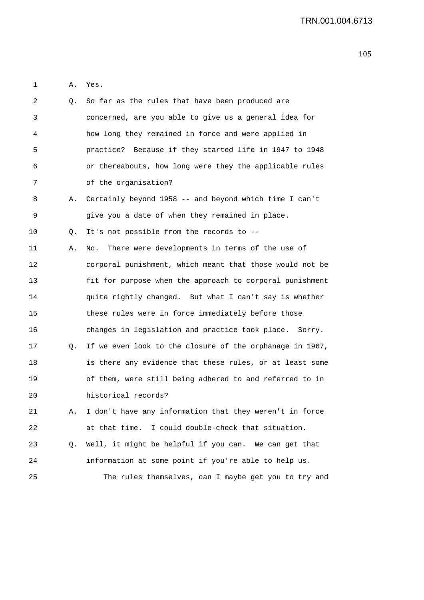1 A. Yes.

| 2  | Q. | So far as the rules that have been produced are          |
|----|----|----------------------------------------------------------|
| 3  |    | concerned, are you able to give us a general idea for    |
| 4  |    | how long they remained in force and were applied in      |
| 5  |    | practice? Because if they started life in 1947 to 1948   |
| 6  |    | or thereabouts, how long were they the applicable rules  |
| 7  |    | of the organisation?                                     |
| 8  | Α. | Certainly beyond 1958 -- and beyond which time I can't   |
| 9  |    | give you a date of when they remained in place.          |
| 10 | Q. | It's not possible from the records to --                 |
| 11 | Α. | There were developments in terms of the use of<br>No.    |
| 12 |    | corporal punishment, which meant that those would not be |
| 13 |    | fit for purpose when the approach to corporal punishment |
| 14 |    | quite rightly changed. But what I can't say is whether   |
| 15 |    | these rules were in force immediately before those       |
| 16 |    | changes in legislation and practice took place. Sorry.   |
| 17 | Q. | If we even look to the closure of the orphanage in 1967, |
| 18 |    | is there any evidence that these rules, or at least some |
| 19 |    | of them, were still being adhered to and referred to in  |
| 20 |    | historical records?                                      |
| 21 | Α. | I don't have any information that they weren't in force  |
| 22 |    | at that time. I could double-check that situation.       |
| 23 | Q. | Well, it might be helpful if you can. We can get that    |
| 24 |    | information at some point if you're able to help us.     |
| 25 |    | The rules themselves, can I maybe get you to try and     |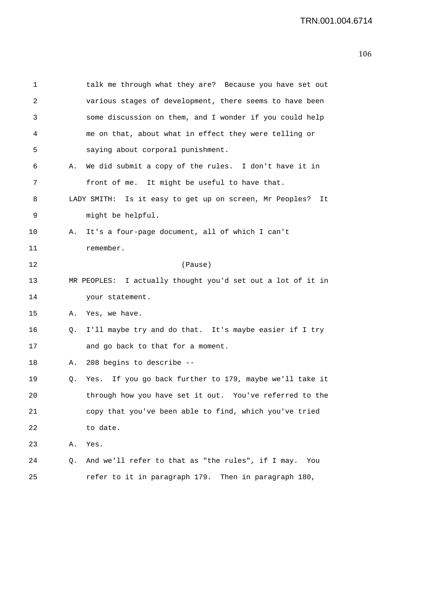| 1  |    | talk me through what they are? Because you have set out       |
|----|----|---------------------------------------------------------------|
| 2  |    | various stages of development, there seems to have been       |
| 3  |    | some discussion on them, and I wonder if you could help       |
| 4  |    | me on that, about what in effect they were telling or         |
| 5  |    | saying about corporal punishment.                             |
| 6  | Α. | We did submit a copy of the rules. I don't have it in         |
| 7  |    | front of me. It might be useful to have that.                 |
| 8  |    | LADY SMITH: Is it easy to get up on screen, Mr Peoples?<br>It |
| 9  |    | might be helpful.                                             |
| 10 | Α. | It's a four-page document, all of which I can't               |
| 11 |    | remember.                                                     |
| 12 |    | (Pause)                                                       |
| 13 |    | MR PEOPLES: I actually thought you'd set out a lot of it in   |
| 14 |    | your statement.                                               |
| 15 | Α. | Yes, we have.                                                 |
| 16 | Q. | I'll maybe try and do that. It's maybe easier if I try        |
| 17 |    | and go back to that for a moment.                             |
| 18 | Α. | 208 begins to describe --                                     |
| 19 | Q. | Yes. If you go back further to 179, maybe we'll take it       |
| 20 |    | through how you have set it out. You've referred to the       |
| 21 |    | copy that you've been able to find, which you've tried        |
| 22 |    | to date.                                                      |
| 23 | Α. | Yes.                                                          |
| 24 | Q. | And we'll refer to that as "the rules", if I may.<br>You      |
| 25 |    | refer to it in paragraph 179. Then in paragraph 180,          |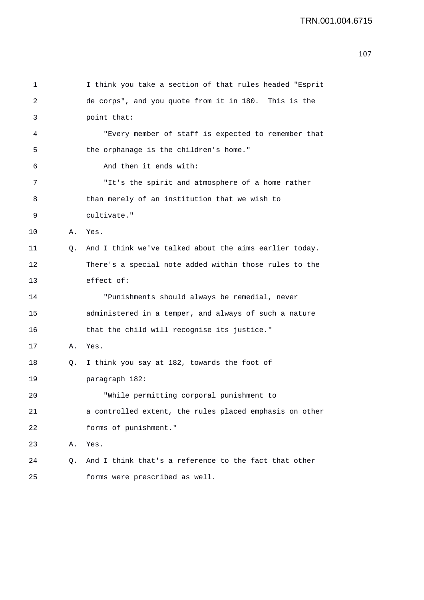```
1 I think you take a section of that rules headed "Esprit 
2 de corps", and you quote from it in 180. This is the 
3 point that: 
4 "Every member of staff is expected to remember that 
5 the orphanage is the children's home." 
6 And then it ends with: 
7 "It's the spirit and atmosphere of a home rather 
8 than merely of an institution that we wish to 
9 cultivate." 
10 A. Yes. 
11 Q. And I think we've talked about the aims earlier today. 
12 There's a special note added within those rules to the 
13 effect of: 
14 "Punishments should always be remedial, never 
15 administered in a temper, and always of such a nature 
16 that the child will recognise its justice." 
17 A. Yes. 
18 Q. I think you say at 182, towards the foot of 
19 paragraph 182: 
20 "While permitting corporal punishment to 
21 a controlled extent, the rules placed emphasis on other 
22 forms of punishment." 
23 A. Yes. 
24 Q. And I think that's a reference to the fact that other 
25 forms were prescribed as well.
```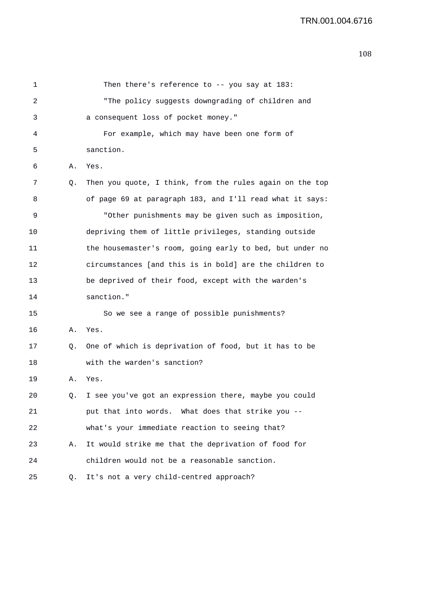| 1  |    | Then there's reference to -- you say at 183:             |
|----|----|----------------------------------------------------------|
| 2  |    | "The policy suggests downgrading of children and         |
| 3  |    | a consequent loss of pocket money."                      |
| 4  |    | For example, which may have been one form of             |
| 5  |    | sanction.                                                |
| 6  | Α. | Yes.                                                     |
| 7  | Q. | Then you quote, I think, from the rules again on the top |
| 8  |    | of page 69 at paragraph 183, and I'll read what it says: |
| 9  |    | "Other punishments may be given such as imposition,      |
| 10 |    | depriving them of little privileges, standing outside    |
| 11 |    | the housemaster's room, going early to bed, but under no |
| 12 |    | circumstances [and this is in bold] are the children to  |
| 13 |    | be deprived of their food, except with the warden's      |
| 14 |    | sanction."                                               |
| 15 |    | So we see a range of possible punishments?               |
| 16 | Α. | Yes.                                                     |
| 17 | Q. | One of which is deprivation of food, but it has to be    |
| 18 |    | with the warden's sanction?                              |
| 19 | Α. | Yes.                                                     |
| 20 | Q. | I see you've got an expression there, maybe you could    |
| 21 |    | put that into words. What does that strike you --        |
| 22 |    | what's your immediate reaction to seeing that?           |
| 23 | А. | It would strike me that the deprivation of food for      |
| 24 |    | children would not be a reasonable sanction.             |
| 25 | Q. | It's not a very child-centred approach?                  |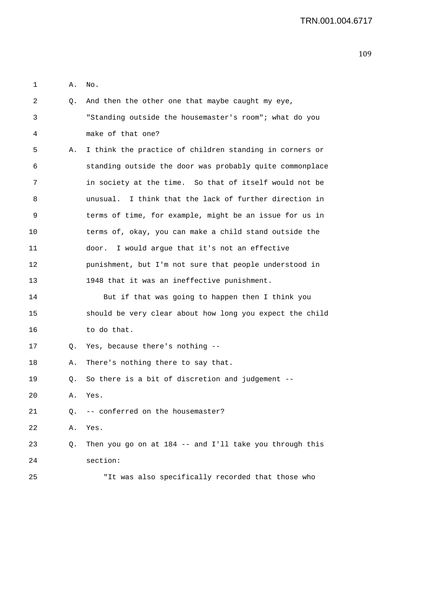1 A. No.

| 2  | Q. | And then the other one that maybe caught my eye,         |
|----|----|----------------------------------------------------------|
| 3  |    | "Standing outside the housemaster's room"; what do you   |
| 4  |    | make of that one?                                        |
| 5  | Α. | I think the practice of children standing in corners or  |
| 6  |    | standing outside the door was probably quite commonplace |
| 7  |    | in society at the time. So that of itself would not be   |
| 8  |    | unusual. I think that the lack of further direction in   |
| 9  |    | terms of time, for example, might be an issue for us in  |
| 10 |    | terms of, okay, you can make a child stand outside the   |
| 11 |    | I would argue that it's not an effective<br>door.        |
| 12 |    | punishment, but I'm not sure that people understood in   |
| 13 |    | 1948 that it was an ineffective punishment.              |
| 14 |    | But if that was going to happen then I think you         |
| 15 |    | should be very clear about how long you expect the child |
| 16 |    | to do that.                                              |
| 17 | Q. | Yes, because there's nothing --                          |
| 18 | Α. | There's nothing there to say that.                       |
| 19 | Q. | So there is a bit of discretion and judgement --         |
| 20 | Α. | Yes.                                                     |
| 21 | Q. | -- conferred on the housemaster?                         |
| 22 | Α. | Yes.                                                     |
| 23 | Q. | Then you go on at 184 -- and I'll take you through this  |
| 24 |    | section:                                                 |
| 25 |    | "It was also specifically recorded that those who        |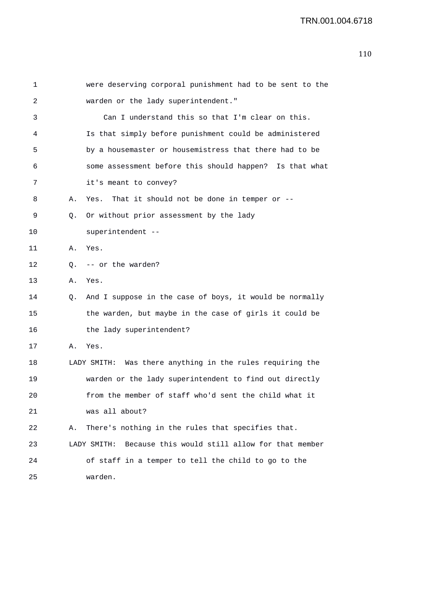| 1  |    | were deserving corporal punishment had to be sent to the      |
|----|----|---------------------------------------------------------------|
| 2  |    | warden or the lady superintendent."                           |
| 3  |    | Can I understand this so that I'm clear on this.              |
| 4  |    | Is that simply before punishment could be administered        |
| 5  |    | by a housemaster or housemistress that there had to be        |
| 6  |    | some assessment before this should happen? Is that what       |
| 7  |    | it's meant to convey?                                         |
| 8  | Α. | That it should not be done in temper or $-$ -<br>Yes.         |
| 9  | Q. | Or without prior assessment by the lady                       |
| 10 |    | superintendent --                                             |
| 11 | Α. | Yes.                                                          |
| 12 | 0. | -- or the warden?                                             |
| 13 | Α. | Yes.                                                          |
| 14 | Q. | And I suppose in the case of boys, it would be normally       |
| 15 |    | the warden, but maybe in the case of girls it could be        |
| 16 |    | the lady superintendent?                                      |
| 17 | Α. | Yes.                                                          |
| 18 |    | LADY SMITH: Was there anything in the rules requiring the     |
| 19 |    | warden or the lady superintendent to find out directly        |
| 20 |    | from the member of staff who'd sent the child what it         |
| 21 |    | was all about?                                                |
| 22 | Α. | There's nothing in the rules that specifies that.             |
| 23 |    | Because this would still allow for that member<br>LADY SMITH: |
| 24 |    | of staff in a temper to tell the child to go to the           |
| 25 |    | warden.                                                       |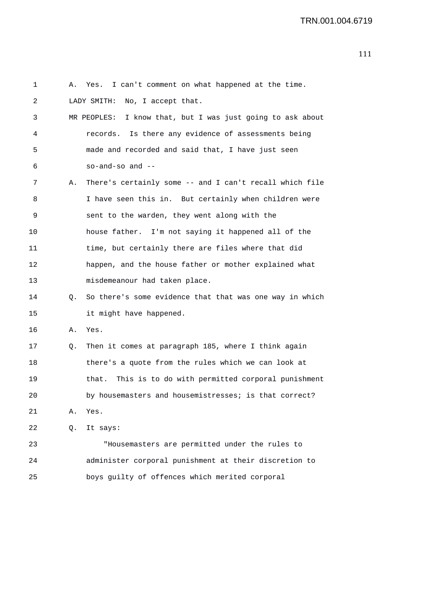| 1  | Α. | Yes. I can't comment on what happened at the time.         |
|----|----|------------------------------------------------------------|
| 2  |    | No, I accept that.<br>LADY SMITH:                          |
| 3  |    | MR PEOPLES: I know that, but I was just going to ask about |
| 4  |    | records. Is there any evidence of assessments being        |
| 5  |    | made and recorded and said that, I have just seen          |
| 6  |    | $so-and-so$ and $--$                                       |
| 7  | Α. | There's certainly some -- and I can't recall which file    |
| 8  |    | I have seen this in. But certainly when children were      |
| 9  |    | sent to the warden, they went along with the               |
| 10 |    | house father. I'm not saying it happened all of the        |
| 11 |    | time, but certainly there are files where that did         |
| 12 |    | happen, and the house father or mother explained what      |
| 13 |    | misdemeanour had taken place.                              |
| 14 | Q. | So there's some evidence that that was one way in which    |
| 15 |    | it might have happened.                                    |
| 16 | Α. | Yes.                                                       |
| 17 | Q. | Then it comes at paragraph 185, where I think again        |
| 18 |    | there's a quote from the rules which we can look at        |
| 19 |    | This is to do with permitted corporal punishment<br>that.  |
| 20 |    | by housemasters and housemistresses; is that correct?      |
| 21 | Α. | Yes.                                                       |
| 22 | Q. | It says:                                                   |
| 23 |    | "Housemasters are permitted under the rules to             |
| 24 |    | administer corporal punishment at their discretion to      |
| 25 |    | boys guilty of offences which merited corporal             |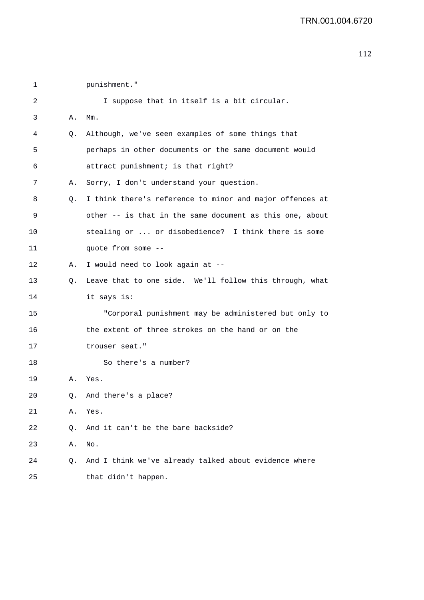2 I suppose that in itself is a bit circular. 3 A. Mm. 4 Q. Although, we've seen examples of some things that 5 perhaps in other documents or the same document would 6 attract punishment; is that right? 7 A. Sorry, I don't understand your question. 8 Q. I think there's reference to minor and major offences at 9 other -- is that in the same document as this one, about 10 stealing or ... or disobedience? I think there is some 11 quote from some -- 12 A. I would need to look again at -- 13 Q. Leave that to one side. We'll follow this through, what 14 it says is: 15 "Corporal punishment may be administered but only to 16 the extent of three strokes on the hand or on the 17 trouser seat." 18 So there's a number? 19 A. Yes. 20 Q. And there's a place? 21 A. Yes. 22 0. And it can't be the bare backside? 23 A. No. 24 Q. And I think we've already talked about evidence where 25 that didn't happen.

1 punishment."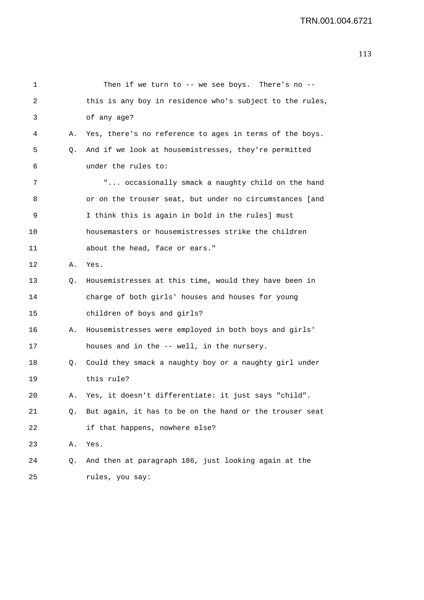| 1  |    | Then if we turn to -- we see boys. There's no --         |
|----|----|----------------------------------------------------------|
| 2  |    | this is any boy in residence who's subject to the rules, |
| 3  |    | of any age?                                              |
| 4  | А. | Yes, there's no reference to ages in terms of the boys.  |
| 5  | Q. | And if we look at housemistresses, they're permitted     |
| 6  |    | under the rules to:                                      |
| 7  |    | " occasionally smack a naughty child on the hand         |
| 8  |    | or on the trouser seat, but under no circumstances [and  |
| 9  |    | I think this is again in bold in the rules] must         |
| 10 |    | housemasters or housemistresses strike the children      |
| 11 |    | about the head, face or ears."                           |
| 12 | Α. | Yes.                                                     |
| 13 | Q. | Housemistresses at this time, would they have been in    |
| 14 |    | charge of both girls' houses and houses for young        |
| 15 |    | children of boys and girls?                              |
| 16 | А. | Housemistresses were employed in both boys and girls'    |
| 17 |    | houses and in the -- well, in the nursery.               |
| 18 | Q. | Could they smack a naughty boy or a naughty girl under   |
| 19 |    | this rule?                                               |
| 20 |    | Yes, it doesn't differentiate: it just says "child".     |
| 21 | Q. | But again, it has to be on the hand or the trouser seat  |
| 22 |    | if that happens, nowhere else?                           |
| 23 | Α. | Yes.                                                     |
| 24 | Q. | And then at paragraph 186, just looking again at the     |
| 25 |    | rules, you say:                                          |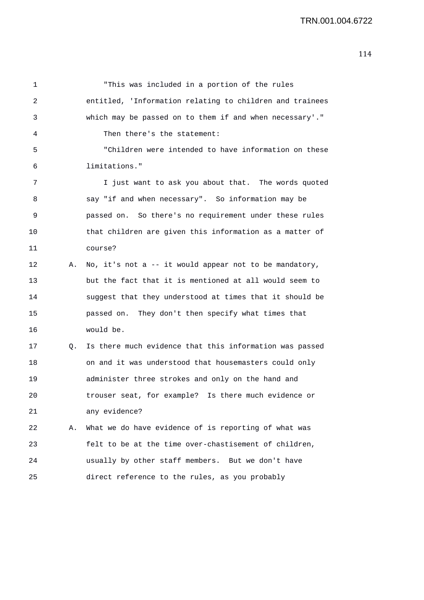| 1  |    | "This was included in a portion of the rules             |
|----|----|----------------------------------------------------------|
| 2  |    | entitled, 'Information relating to children and trainees |
| 3  |    | which may be passed on to them if and when necessary'."  |
| 4  |    | Then there's the statement:                              |
| 5  |    | "Children were intended to have information on these     |
| 6  |    | limitations."                                            |
| 7  |    | I just want to ask you about that. The words quoted      |
| 8  |    | say "if and when necessary". So information may be       |
| 9  |    | passed on. So there's no requirement under these rules   |
| 10 |    | that children are given this information as a matter of  |
| 11 |    | course?                                                  |
| 12 | Α. | No, it's not a -- it would appear not to be mandatory,   |
| 13 |    | but the fact that it is mentioned at all would seem to   |
| 14 |    | suggest that they understood at times that it should be  |
| 15 |    | passed on. They don't then specify what times that       |
| 16 |    | would be.                                                |
| 17 | 0. | Is there much evidence that this information was passed  |
| 18 |    | on and it was understood that housemasters could only    |
| 19 |    | administer three strokes and only on the hand and        |
| 20 |    | trouser seat, for example? Is there much evidence or     |
| 21 |    | any evidence?                                            |
| 22 | Α. | What we do have evidence of is reporting of what was     |
| 23 |    | felt to be at the time over-chastisement of children,    |
| 24 |    | usually by other staff members. But we don't have        |
| 25 |    | direct reference to the rules, as you probably           |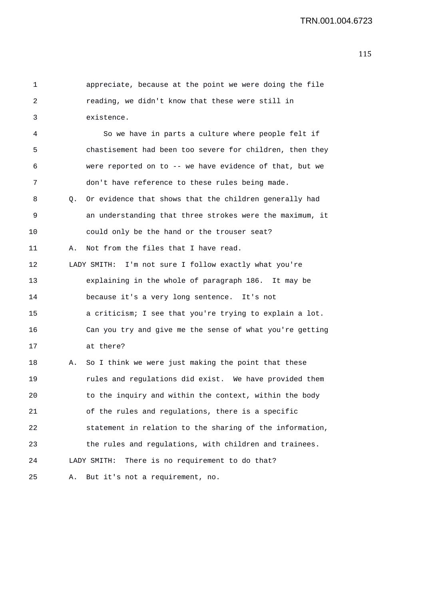1 appreciate, because at the point we were doing the file 2 reading, we didn't know that these were still in 3 existence. 4 So we have in parts a culture where people felt if 5 chastisement had been too severe for children, then they 6 were reported on to -- we have evidence of that, but we 7 don't have reference to these rules being made. 8 Q. Or evidence that shows that the children generally had 9 an understanding that three strokes were the maximum, it 10 could only be the hand or the trouser seat? 11 A. Not from the files that I have read. 12 LADY SMITH: I'm not sure I follow exactly what you're 13 explaining in the whole of paragraph 186. It may be 14 because it's a very long sentence. It's not 15 a criticism; I see that you're trying to explain a lot. 16 Can you try and give me the sense of what you're getting 17 at there? 18 A. So I think we were just making the point that these 19 rules and regulations did exist. We have provided them 20 to the inquiry and within the context, within the body 21 of the rules and regulations, there is a specific 22 statement in relation to the sharing of the information, 23 the rules and regulations, with children and trainees. 24 LADY SMITH: There is no requirement to do that? 25 A. But it's not a requirement, no.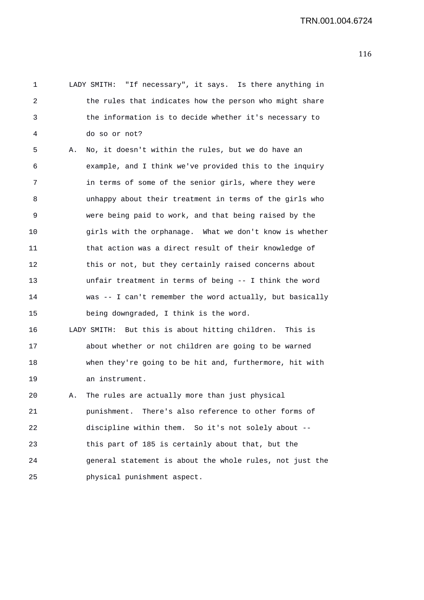1 LADY SMITH: "If necessary", it says. Is there anything in 2 the rules that indicates how the person who might share 3 the information is to decide whether it's necessary to 4 do so or not? 5 A. No, it doesn't within the rules, but we do have an 6 example, and I think we've provided this to the inquiry 7 in terms of some of the senior girls, where they were 8 unhappy about their treatment in terms of the girls who 9 were being paid to work, and that being raised by the 10 girls with the orphanage. What we don't know is whether 11 that action was a direct result of their knowledge of 12 this or not, but they certainly raised concerns about 13 unfair treatment in terms of being -- I think the word 14 was -- I can't remember the word actually, but basically 15 being downgraded, I think is the word. 16 LADY SMITH: But this is about hitting children. This is 17 about whether or not children are going to be warned 18 when they're going to be hit and, furthermore, hit with 19 an instrument. 20 A. The rules are actually more than just physical 21 punishment. There's also reference to other forms of 22 discipline within them. So it's not solely about -- 23 this part of 185 is certainly about that, but the 24 general statement is about the whole rules, not just the

25 physical punishment aspect.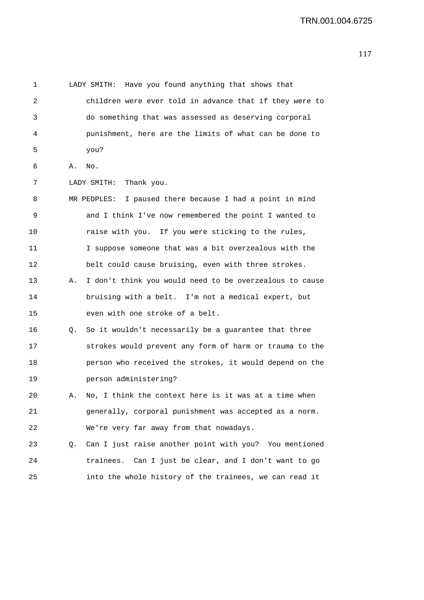1 LADY SMITH: Have you found anything that shows that 2 children were ever told in advance that if they were to 3 do something that was assessed as deserving corporal 4 punishment, here are the limits of what can be done to 5 you? 6 A. No. 7 LADY SMITH: Thank you. 8 MR PEOPLES: I paused there because I had a point in mind 9 and I think I've now remembered the point I wanted to 10 raise with you. If you were sticking to the rules, 11 I suppose someone that was a bit overzealous with the 12 belt could cause bruising, even with three strokes. 13 A. I don't think you would need to be overzealous to cause 14 bruising with a belt. I'm not a medical expert, but 15 even with one stroke of a belt. 16 Q. So it wouldn't necessarily be a guarantee that three 17 strokes would prevent any form of harm or trauma to the 18 person who received the strokes, it would depend on the 19 person administering? 20 A. No, I think the context here is it was at a time when 21 generally, corporal punishment was accepted as a norm. 22 We're very far away from that nowadays. 23 Q. Can I just raise another point with you? You mentioned 24 trainees. Can I just be clear, and I don't want to go 25 into the whole history of the trainees, we can read it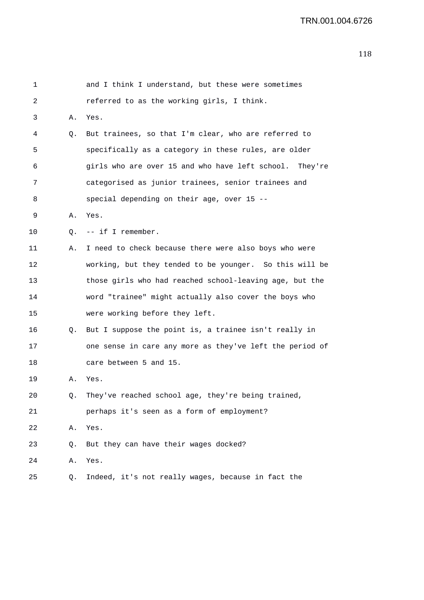| 1  |    | and I think I understand, but these were sometimes       |
|----|----|----------------------------------------------------------|
| 2  |    | referred to as the working girls, I think.               |
| 3  | Α. | Yes.                                                     |
| 4  | Q. | But trainees, so that I'm clear, who are referred to     |
| 5  |    | specifically as a category in these rules, are older     |
| 6  |    | girls who are over 15 and who have left school. They're  |
| 7  |    | categorised as junior trainees, senior trainees and      |
| 8  |    | special depending on their age, over 15 --               |
| 9  | Α. | Yes.                                                     |
| 10 | Q. | -- if I remember.                                        |
| 11 | Α. | I need to check because there were also boys who were    |
| 12 |    | working, but they tended to be younger. So this will be  |
| 13 |    | those girls who had reached school-leaving age, but the  |
| 14 |    | word "trainee" might actually also cover the boys who    |
| 15 |    | were working before they left.                           |
| 16 | Q. | But I suppose the point is, a trainee isn't really in    |
| 17 |    | one sense in care any more as they've left the period of |
| 18 |    | care between 5 and 15.                                   |
| 19 | Α. | Yes.                                                     |
| 20 | Q. | They've reached school age, they're being trained,       |
| 21 |    | perhaps it's seen as a form of employment?               |
| 22 | Α. | Yes.                                                     |
| 23 | Q. | But they can have their wages docked?                    |
| 24 | Α. | Yes.                                                     |
| 25 | Q. | Indeed, it's not really wages, because in fact the       |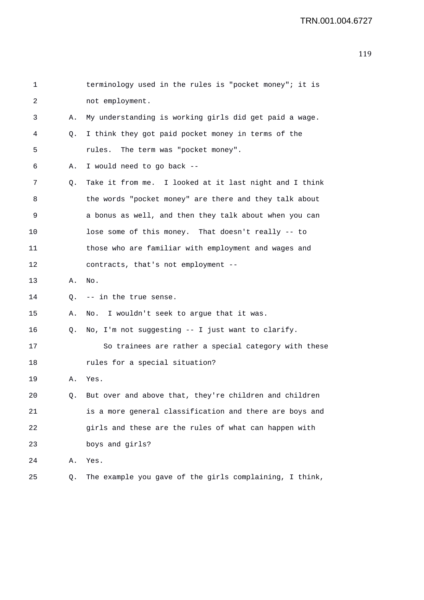| 1  |    | terminology used in the rules is "pocket money"; it is    |
|----|----|-----------------------------------------------------------|
| 2  |    | not employment.                                           |
| 3  | Α. | My understanding is working girls did get paid a wage.    |
| 4  | Q. | I think they got paid pocket money in terms of the        |
| 5  |    | The term was "pocket money".<br>rules.                    |
| 6  | Α. | I would need to go back --                                |
| 7  | Q. | Take it from me. I looked at it last night and I think    |
| 8  |    | the words "pocket money" are there and they talk about    |
| 9  |    | a bonus as well, and then they talk about when you can    |
| 10 |    | lose some of this money. That doesn't really -- to        |
| 11 |    | those who are familiar with employment and wages and      |
| 12 |    | contracts, that's not employment --                       |
| 13 | Α. | $_{\rm No}$ .                                             |
| 14 | Q. | -- in the true sense.                                     |
| 15 | Α. | No. I wouldn't seek to argue that it was.                 |
| 16 | Q. | No, I'm not suggesting -- I just want to clarify.         |
| 17 |    | So trainees are rather a special category with these      |
| 18 |    | rules for a special situation?                            |
| 19 | Α. | Yes.                                                      |
| 20 |    | Q. But over and above that, they're children and children |
| 21 |    | is a more general classification and there are boys and   |
| 22 |    | girls and these are the rules of what can happen with     |
| 23 |    | boys and girls?                                           |
| 24 | Α. | Yes.                                                      |
| 25 | Q. | The example you gave of the girls complaining, I think,   |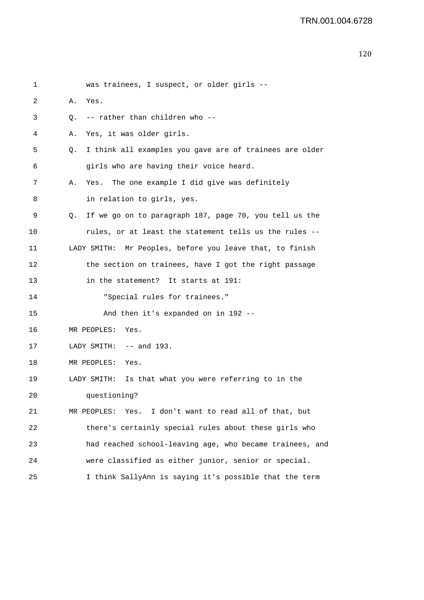```
1 was trainees, I suspect, or older girls -- 
2 A. Yes. 
3 Q. -- rather than children who -- 
4 A. Yes, it was older girls. 
5 Q. I think all examples you gave are of trainees are older 
6 girls who are having their voice heard. 
7 A. Yes. The one example I did give was definitely 
8 in relation to girls, yes. 
9 Q. If we go on to paragraph 187, page 70, you tell us the 
10 rules, or at least the statement tells us the rules -- 
11 LADY SMITH: Mr Peoples, before you leave that, to finish 
12 the section on trainees, have I got the right passage 
13 in the statement? It starts at 191: 
14 "Special rules for trainees." 
15 And then it's expanded on in 192 -- 
16 MR PEOPLES: Yes. 
17 LADY SMITH: -- and 193.
18 MR PEOPLES: Yes. 
19 LADY SMITH: Is that what you were referring to in the 
20 questioning? 
21 MR PEOPLES: Yes. I don't want to read all of that, but 
22 there's certainly special rules about these girls who 
23 had reached school-leaving age, who became trainees, and 
24 were classified as either junior, senior or special. 
25 I think SallyAnn is saying it's possible that the term
```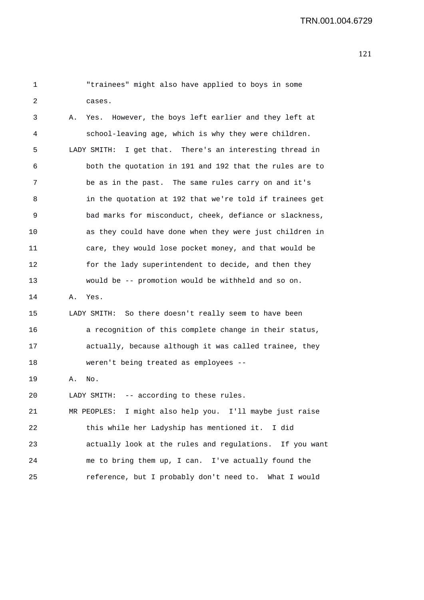| 1  | "trainees" might also have applied to boys in some            |
|----|---------------------------------------------------------------|
| 2  | cases.                                                        |
| 3  | However, the boys left earlier and they left at<br>Α.<br>Yes. |
| 4  | school-leaving age, which is why they were children.          |
| 5  | I get that. There's an interesting thread in<br>LADY SMITH:   |
| 6  | both the quotation in 191 and 192 that the rules are to       |
| 7  | be as in the past. The same rules carry on and it's           |
| 8  | in the quotation at 192 that we're told if trainees get       |
| 9  | bad marks for misconduct, cheek, defiance or slackness,       |
| 10 | as they could have done when they were just children in       |
| 11 | care, they would lose pocket money, and that would be         |
| 12 | for the lady superintendent to decide, and then they          |
| 13 | would be -- promotion would be withheld and so on.            |
| 14 | Yes.<br>Α.                                                    |
| 15 | LADY SMITH: So there doesn't really seem to have been         |
| 16 | a recognition of this complete change in their status,        |
| 17 | actually, because although it was called trainee, they        |
| 18 | weren't being treated as employees --                         |
| 19 | No.<br>Α.                                                     |
| 20 | -- according to these rules.<br>LADY SMITH:                   |
| 21 | MR PEOPLES: I might also help you. I'll maybe just raise      |
| 22 | this while her Ladyship has mentioned it. I did               |
| 23 | actually look at the rules and regulations. If you want       |
| 24 | me to bring them up, I can. I've actually found the           |
| 25 | reference, but I probably don't need to. What I would         |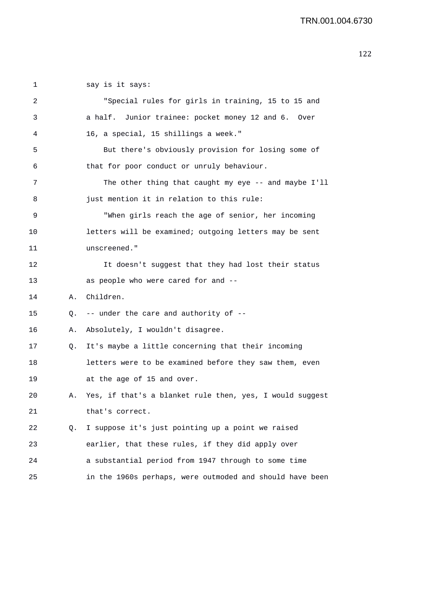| 1  |    | say is it says:                                          |
|----|----|----------------------------------------------------------|
| 2  |    | "Special rules for girls in training, 15 to 15 and       |
| 3  |    | a half. Junior trainee: pocket money 12 and 6. Over      |
| 4  |    | 16, a special, 15 shillings a week."                     |
| 5  |    | But there's obviously provision for losing some of       |
| 6  |    | that for poor conduct or unruly behaviour.               |
| 7  |    | The other thing that caught my eye $-$ and maybe I'll    |
| 8  |    | just mention it in relation to this rule:                |
| 9  |    | "When girls reach the age of senior, her incoming        |
| 10 |    | letters will be examined; outgoing letters may be sent   |
| 11 |    | unscreened."                                             |
| 12 |    | It doesn't suggest that they had lost their status       |
| 13 |    | as people who were cared for and --                      |
| 14 | Α. | Children.                                                |
| 15 | Q. | -- under the care and authority of --                    |
| 16 | Α. | Absolutely, I wouldn't disagree.                         |
| 17 | Q. | It's maybe a little concerning that their incoming       |
| 18 |    | letters were to be examined before they saw them, even   |
| 19 |    | at the age of 15 and over.                               |
| 20 | Α. | Yes, if that's a blanket rule then, yes, I would suggest |
| 21 |    | that's correct.                                          |
| 22 | Q. | I suppose it's just pointing up a point we raised        |
| 23 |    | earlier, that these rules, if they did apply over        |
| 24 |    | a substantial period from 1947 through to some time      |
| 25 |    | in the 1960s perhaps, were outmoded and should have been |
|    |    |                                                          |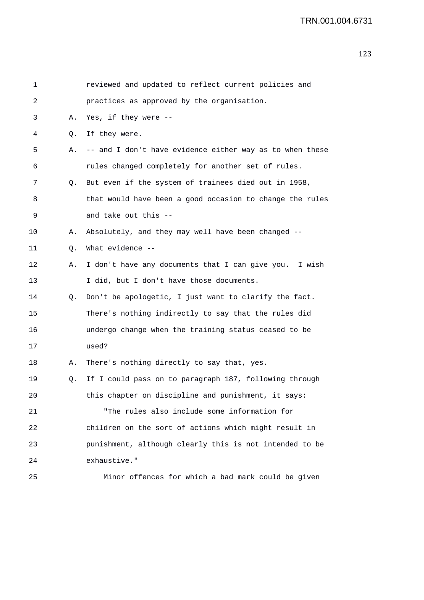| $\mathbf 1$ |    | reviewed and updated to reflect current policies and     |
|-------------|----|----------------------------------------------------------|
| 2           |    | practices as approved by the organisation.               |
| 3           | Α. | Yes, if they were --                                     |
| 4           | Q. | If they were.                                            |
| 5           | Α. | -- and I don't have evidence either way as to when these |
| 6           |    | rules changed completely for another set of rules.       |
| 7           | Q. | But even if the system of trainees died out in 1958,     |
| 8           |    | that would have been a good occasion to change the rules |
| 9           |    | and take out this --                                     |
| 10          | Α. | Absolutely, and they may well have been changed --       |
| 11          | Q. | What evidence --                                         |
| 12          | Α. | I don't have any documents that I can give you. I wish   |
| 13          |    | I did, but I don't have those documents.                 |
| 14          | Q. | Don't be apologetic, I just want to clarify the fact.    |
| 15          |    | There's nothing indirectly to say that the rules did     |
| 16          |    | undergo change when the training status ceased to be     |
| 17          |    | used?                                                    |
| 18          | Α. | There's nothing directly to say that, yes.               |
| 19          | Q. | If I could pass on to paragraph 187, following through   |
| 20          |    | this chapter on discipline and punishment, it says:      |
| 21          |    | "The rules also include some information for             |
| 22          |    | children on the sort of actions which might result in    |
| 23          |    | punishment, although clearly this is not intended to be  |
| 24          |    | exhaustive."                                             |
| 25          |    | Minor offences for which a bad mark could be given       |
|             |    |                                                          |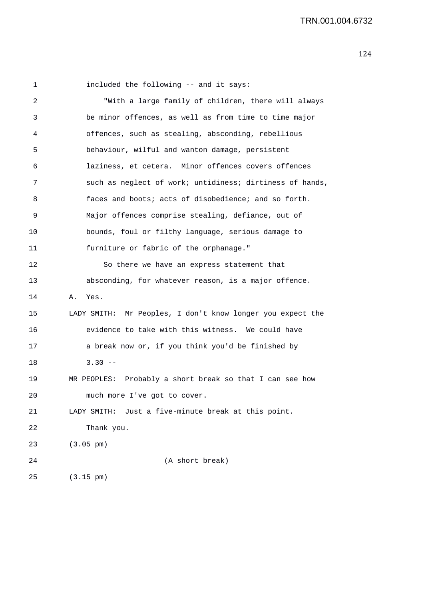1 included the following -- and it says:

2 "With a large family of children, there will always 3 be minor offences, as well as from time to time major 4 offences, such as stealing, absconding, rebellious 5 behaviour, wilful and wanton damage, persistent 6 laziness, et cetera. Minor offences covers offences 7 such as neglect of work; untidiness; dirtiness of hands, 8 faces and boots; acts of disobedience; and so forth. 9 Major offences comprise stealing, defiance, out of 10 bounds, foul or filthy language, serious damage to 11 furniture or fabric of the orphanage." 12 So there we have an express statement that 13 absconding, for whatever reason, is a major offence. 14 A. Yes. 15 LADY SMITH: Mr Peoples, I don't know longer you expect the 16 evidence to take with this witness. We could have 17 a break now or, if you think you'd be finished by 18 3.30 -- 19 MR PEOPLES: Probably a short break so that I can see how 20 much more I've got to cover. 21 LADY SMITH: Just a five-minute break at this point. 22 Thank you. 23 (3.05 pm) 24 (A short break) 25 (3.15 pm)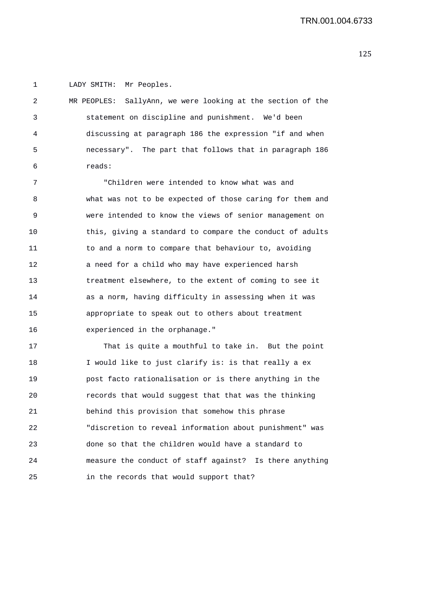1 LADY SMITH: Mr Peoples.

| 2   | MR PEOPLES: SallyAnn, we were looking at the section of the |
|-----|-------------------------------------------------------------|
| 3   | statement on discipline and punishment. We'd been           |
| 4   | discussing at paragraph 186 the expression "if and when     |
| - 5 | necessary". The part that follows that in paragraph 186     |
| - 6 | reads:                                                      |

7 "Children were intended to know what was and 8 what was not to be expected of those caring for them and 9 were intended to know the views of senior management on 10 this, giving a standard to compare the conduct of adults 11 to and a norm to compare that behaviour to, avoiding 12 a need for a child who may have experienced harsh 13 treatment elsewhere, to the extent of coming to see it 14 as a norm, having difficulty in assessing when it was 15 appropriate to speak out to others about treatment 16 experienced in the orphanage."

17 That is quite a mouthful to take in. But the point 18 I would like to just clarify is: is that really a ex 19 post facto rationalisation or is there anything in the 20 records that would suggest that that was the thinking 21 behind this provision that somehow this phrase 22 "discretion to reveal information about punishment" was 23 done so that the children would have a standard to 24 measure the conduct of staff against? Is there anything 25 in the records that would support that?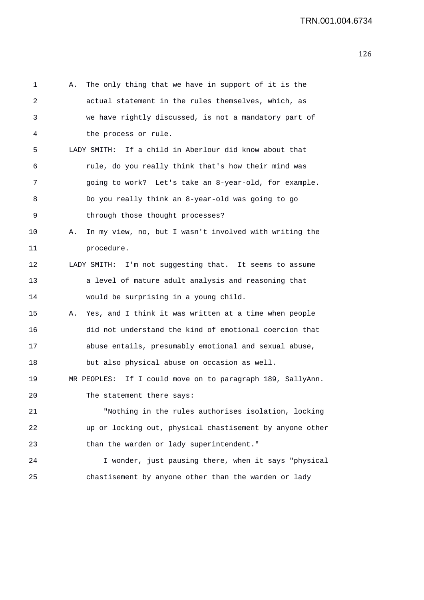| 1  | А. | The only thing that we have in support of it is the           |
|----|----|---------------------------------------------------------------|
| 2  |    | actual statement in the rules themselves, which, as           |
| 3  |    | we have rightly discussed, is not a mandatory part of         |
| 4  |    | the process or rule.                                          |
| 5  |    | LADY SMITH: If a child in Aberlour did know about that        |
| 6  |    | rule, do you really think that's how their mind was           |
| 7  |    | going to work? Let's take an 8-year-old, for example.         |
| 8  |    | Do you really think an 8-year-old was going to go             |
| 9  |    | through those thought processes?                              |
| 10 | Α. | In my view, no, but I wasn't involved with writing the        |
| 11 |    | procedure.                                                    |
| 12 |    | LADY SMITH: I'm not suggesting that. It seems to assume       |
| 13 |    | a level of mature adult analysis and reasoning that           |
| 14 |    | would be surprising in a young child.                         |
| 15 | А. | Yes, and I think it was written at a time when people         |
| 16 |    | did not understand the kind of emotional coercion that        |
| 17 |    | abuse entails, presumably emotional and sexual abuse,         |
| 18 |    | but also physical abuse on occasion as well.                  |
| 19 |    | MR PEOPLES:<br>If I could move on to paragraph 189, SallyAnn. |
| 20 |    | The statement there says:                                     |
| 21 |    | "Nothing in the rules authorises isolation, locking           |
| 22 |    | up or locking out, physical chastisement by anyone other      |
| 23 |    | than the warden or lady superintendent."                      |
| 24 |    | I wonder, just pausing there, when it says "physical          |
| 25 |    | chastisement by anyone other than the warden or lady          |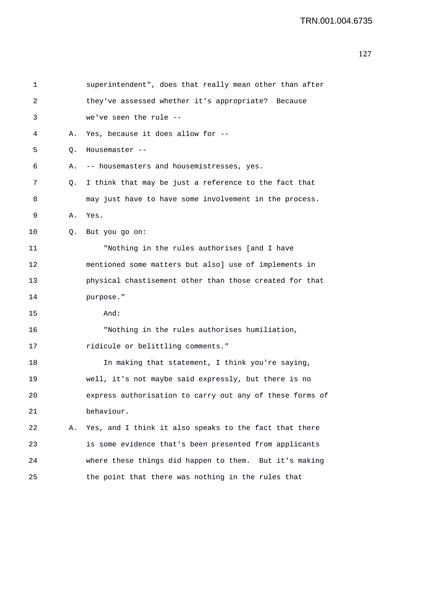| 1  |    | superintendent", does that really mean other than after  |
|----|----|----------------------------------------------------------|
| 2  |    | they've assessed whether it's appropriate? Because       |
| 3  |    | we've seen the rule --                                   |
| 4  | Α. | Yes, because it does allow for --                        |
| 5  | Q. | Housemaster --                                           |
| 6  | Α. | -- housemasters and housemistresses, yes.                |
| 7  | Q. | I think that may be just a reference to the fact that    |
| 8  |    | may just have to have some involvement in the process.   |
| 9  | Α. | Yes.                                                     |
| 10 | Q. | But you go on:                                           |
| 11 |    | "Nothing in the rules authorises [and I have             |
| 12 |    | mentioned some matters but also] use of implements in    |
| 13 |    | physical chastisement other than those created for that  |
| 14 |    | purpose."                                                |
| 15 |    | And:                                                     |
| 16 |    | "Nothing in the rules authorises humiliation,            |
| 17 |    | ridicule or belittling comments."                        |
| 18 |    | In making that statement, I think you're saying,         |
| 19 |    | well, it's not maybe said expressly, but there is no     |
| 20 |    | express authorisation to carry out any of these forms of |
| 21 |    | behaviour.                                               |
| 22 | Α. | Yes, and I think it also speaks to the fact that there   |
| 23 |    | is some evidence that's been presented from applicants   |
| 24 |    | where these things did happen to them. But it's making   |
| 25 |    | the point that there was nothing in the rules that       |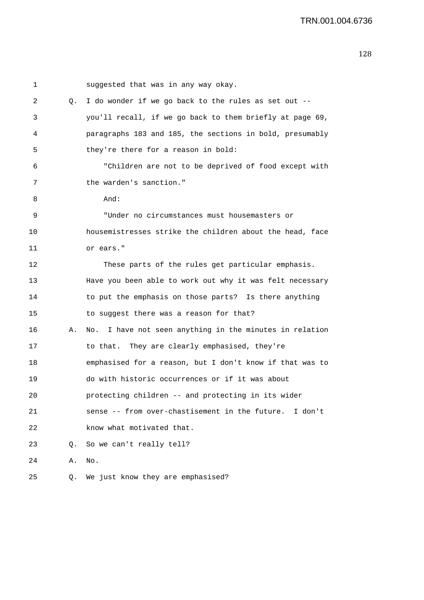| 1  |    | suggested that was in any way okay.                      |
|----|----|----------------------------------------------------------|
| 2  | Q. | I do wonder if we go back to the rules as set out --     |
| 3  |    | you'll recall, if we go back to them briefly at page 69, |
| 4  |    | paragraphs 183 and 185, the sections in bold, presumably |
| 5  |    | they're there for a reason in bold:                      |
| 6  |    | "Children are not to be deprived of food except with     |
| 7  |    | the warden's sanction."                                  |
| 8  |    | And:                                                     |
| 9  |    | "Under no circumstances must housemasters or             |
| 10 |    | housemistresses strike the children about the head, face |
| 11 |    | or ears."                                                |
| 12 |    | These parts of the rules get particular emphasis.        |
| 13 |    | Have you been able to work out why it was felt necessary |
| 14 |    | to put the emphasis on those parts? Is there anything    |
| 15 |    | to suggest there was a reason for that?                  |
| 16 | Α. | No. I have not seen anything in the minutes in relation  |
| 17 |    | to that. They are clearly emphasised, they're            |
| 18 |    | emphasised for a reason, but I don't know if that was to |
| 19 |    | do with historic occurrences or if it was about          |
| 20 |    | protecting children -- and protecting in its wider       |
| 21 |    | sense -- from over-chastisement in the future. I don't   |
| 22 |    | know what motivated that.                                |
| 23 | Q. | So we can't really tell?                                 |
| 24 | Α. | No.                                                      |
| 25 | Q. | We just know they are emphasised?                        |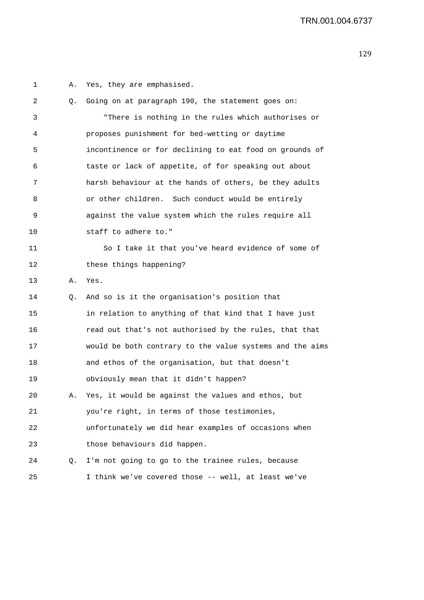1 A. Yes, they are emphasised. 2 Q. Going on at paragraph 190, the statement goes on: 3 "There is nothing in the rules which authorises or 4 proposes punishment for bed-wetting or daytime 5 incontinence or for declining to eat food on grounds of 6 taste or lack of appetite, of for speaking out about 7 harsh behaviour at the hands of others, be they adults 8 or other children. Such conduct would be entirely 9 against the value system which the rules require all 10 staff to adhere to." 11 So I take it that you've heard evidence of some of 12 these things happening? 13 A. Yes. 14 Q. And so is it the organisation's position that 15 in relation to anything of that kind that I have just 16 read out that's not authorised by the rules, that that 17 would be both contrary to the value systems and the aims 18 and ethos of the organisation, but that doesn't 19 obviously mean that it didn't happen? 20 A. Yes, it would be against the values and ethos, but 21 you're right, in terms of those testimonies, 22 unfortunately we did hear examples of occasions when 23 those behaviours did happen. 24 Q. I'm not going to go to the trainee rules, because 25 I think we've covered those -- well, at least we've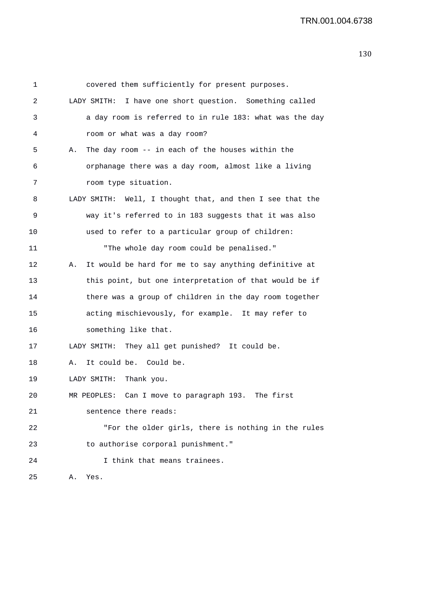| 1  | covered them sufficiently for present purposes.             |
|----|-------------------------------------------------------------|
| 2  | LADY SMITH: I have one short question. Something called     |
| 3  | a day room is referred to in rule 183: what was the day     |
| 4  | room or what was a day room?                                |
| 5  | The day room -- in each of the houses within the<br>Α.      |
| 6  | orphanage there was a day room, almost like a living        |
| 7  | room type situation.                                        |
| 8  | LADY SMITH: Well, I thought that, and then I see that the   |
| 9  | way it's referred to in 183 suggests that it was also       |
| 10 | used to refer to a particular group of children:            |
| 11 | "The whole day room could be penalised."                    |
| 12 | It would be hard for me to say anything definitive at<br>Α. |
| 13 | this point, but one interpretation of that would be if      |
| 14 | there was a group of children in the day room together      |
| 15 | acting mischievously, for example. It may refer to          |
| 16 | something like that.                                        |
| 17 | LADY SMITH: They all get punished? It could be.             |
| 18 | It could be. Could be.<br>А.                                |
| 19 | LADY SMITH: Thank you.                                      |
| 20 | MR PEOPLES: Can I move to paragraph 193. The first          |
| 21 | sentence there reads:                                       |
| 22 | "For the older girls, there is nothing in the rules         |
| 23 | to authorise corporal punishment."                          |
| 24 | I think that means trainees.                                |
| 25 | Yes.<br>Α.                                                  |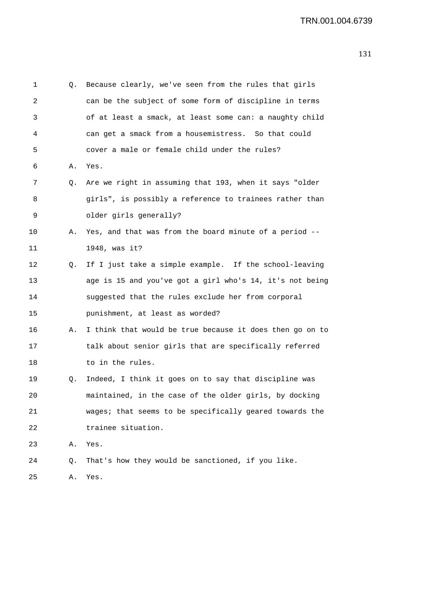| 1  | Q. | Because clearly, we've seen from the rules that girls    |
|----|----|----------------------------------------------------------|
| 2  |    | can be the subject of some form of discipline in terms   |
| 3  |    | of at least a smack, at least some can: a naughty child  |
| 4  |    | can get a smack from a housemistress. So that could      |
| 5  |    | cover a male or female child under the rules?            |
| 6  | Α. | Yes.                                                     |
| 7  | Q. | Are we right in assuming that 193, when it says "older   |
| 8  |    | girls", is possibly a reference to trainees rather than  |
| 9  |    | older girls generally?                                   |
| 10 | Α. | Yes, and that was from the board minute of a period --   |
| 11 |    | 1948, was it?                                            |
| 12 | Q. | If I just take a simple example. If the school-leaving   |
| 13 |    | age is 15 and you've got a girl who's 14, it's not being |
| 14 |    | suggested that the rules exclude her from corporal       |
| 15 |    | punishment, at least as worded?                          |
| 16 | Α. | I think that would be true because it does then go on to |
| 17 |    | talk about senior girls that are specifically referred   |
| 18 |    | to in the rules.                                         |
| 19 | Q. | Indeed, I think it goes on to say that discipline was    |
| 20 |    | maintained, in the case of the older girls, by docking   |
| 21 |    | wages; that seems to be specifically geared towards the  |
| 22 |    | trainee situation.                                       |
| 23 | Α. | Yes.                                                     |
| 24 | Q. | That's how they would be sanctioned, if you like.        |
| 25 | Α. | Yes.                                                     |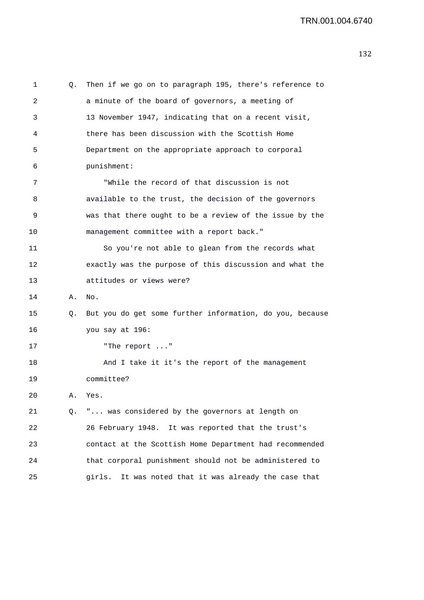1 Q. Then if we go on to paragraph 195, there's reference to 2 a minute of the board of governors, a meeting of 3 13 November 1947, indicating that on a recent visit, 4 there has been discussion with the Scottish Home 5 Department on the appropriate approach to corporal 6 punishment: 7 "While the record of that discussion is not 8 available to the trust, the decision of the governors 9 was that there ought to be a review of the issue by the 10 management committee with a report back." 11 So you're not able to glean from the records what 12 exactly was the purpose of this discussion and what the 13 attitudes or views were? 14 A. No. 15 Q. But you do get some further information, do you, because 16 you say at 196: 17 "The report ..." 18 And I take it it's the report of the management 19 committee? 20 A. Yes. 21 Q. "... was considered by the governors at length on 22 26 February 1948. It was reported that the trust's 23 contact at the Scottish Home Department had recommended 24 that corporal punishment should not be administered to 25 girls. It was noted that it was already the case that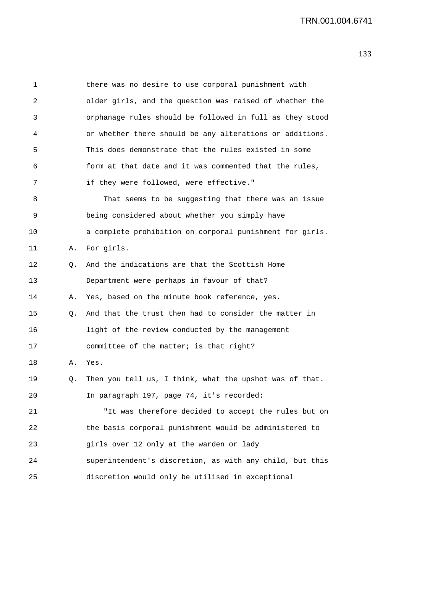| 1  |    | there was no desire to use corporal punishment with      |
|----|----|----------------------------------------------------------|
| 2  |    | older girls, and the question was raised of whether the  |
| 3  |    | orphanage rules should be followed in full as they stood |
| 4  |    | or whether there should be any alterations or additions. |
| 5  |    | This does demonstrate that the rules existed in some     |
| 6  |    | form at that date and it was commented that the rules,   |
| 7  |    | if they were followed, were effective."                  |
| 8  |    | That seems to be suggesting that there was an issue      |
| 9  |    | being considered about whether you simply have           |
| 10 |    | a complete prohibition on corporal punishment for girls. |
| 11 | Α. | For girls.                                               |
| 12 | Q. | And the indications are that the Scottish Home           |
| 13 |    | Department were perhaps in favour of that?               |
| 14 | Α. | Yes, based on the minute book reference, yes.            |
| 15 | Q. | And that the trust then had to consider the matter in    |
| 16 |    | light of the review conducted by the management          |
| 17 |    | committee of the matter; is that right?                  |
| 18 | Α. | Yes.                                                     |
| 19 | Q. | Then you tell us, I think, what the upshot was of that.  |
| 20 |    | In paragraph 197, page 74, it's recorded:                |
| 21 |    | "It was therefore decided to accept the rules but on     |
| 22 |    | the basis corporal punishment would be administered to   |
| 23 |    | girls over 12 only at the warden or lady                 |
| 24 |    | superintendent's discretion, as with any child, but this |
| 25 |    | discretion would only be utilised in exceptional         |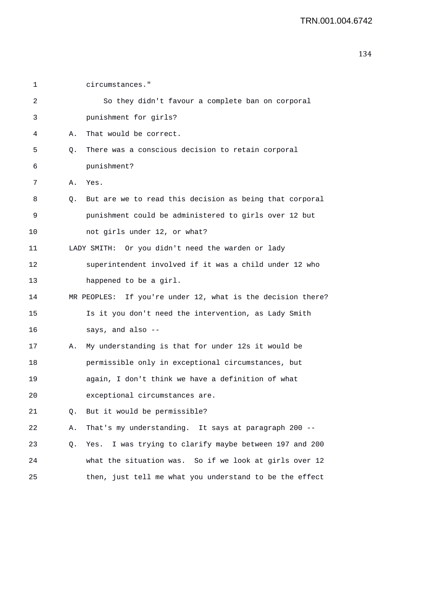```
2 So they didn't favour a complete ban on corporal 
5 Q. There was a conscious decision to retain corporal
```
8 Q. But are we to read this decision as being that corporal 9 punishment could be administered to girls over 12 but 10 not girls under 12, or what? 11 LADY SMITH: Or you didn't need the warden or lady

## 12 superintendent involved if it was a child under 12 who 13 happened to be a girl.

- 14 MR PEOPLES: If you're under 12, what is the decision there? 15 Is it you don't need the intervention, as Lady Smith 16 says, and also --
- 17 A. My understanding is that for under 12s it would be 18 permissible only in exceptional circumstances, but 19 again, I don't think we have a definition of what 20 exceptional circumstances are.
- 21 Q. But it would be permissible?

1 circumstances."

6 punishment?

7 A. Yes.

3 punishment for girls?

4 A. That would be correct.

22 A. That's my understanding. It says at paragraph 200 --

23 Q. Yes. I was trying to clarify maybe between 197 and 200 24 what the situation was. So if we look at girls over 12 25 then, just tell me what you understand to be the effect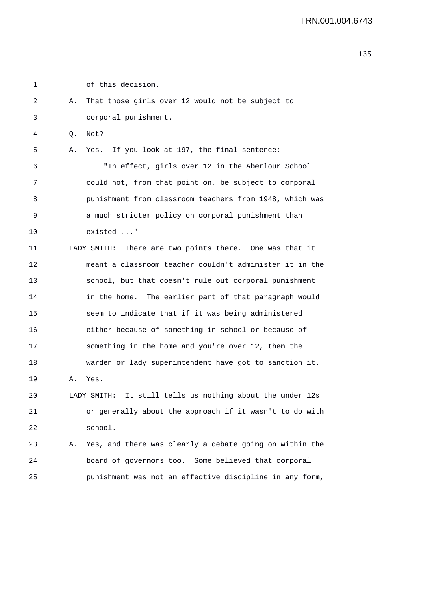1 of this decision.

2 A. That those girls over 12 would not be subject to 3 corporal punishment. 4 Q. Not? 5 A. Yes. If you look at 197, the final sentence: 6 "In effect, girls over 12 in the Aberlour School 7 could not, from that point on, be subject to corporal 8 punishment from classroom teachers from 1948, which was 9 a much stricter policy on corporal punishment than 10 existed ..." 11 LADY SMITH: There are two points there. One was that it 12 meant a classroom teacher couldn't administer it in the 13 school, but that doesn't rule out corporal punishment 14 in the home. The earlier part of that paragraph would 15 seem to indicate that if it was being administered 16 either because of something in school or because of 17 something in the home and you're over 12, then the 18 warden or lady superintendent have got to sanction it. 19 A. Yes. 20 LADY SMITH: It still tells us nothing about the under 12s 21 or generally about the approach if it wasn't to do with 22 school. 23 A. Yes, and there was clearly a debate going on within the 24 board of governors too. Some believed that corporal 25 punishment was not an effective discipline in any form,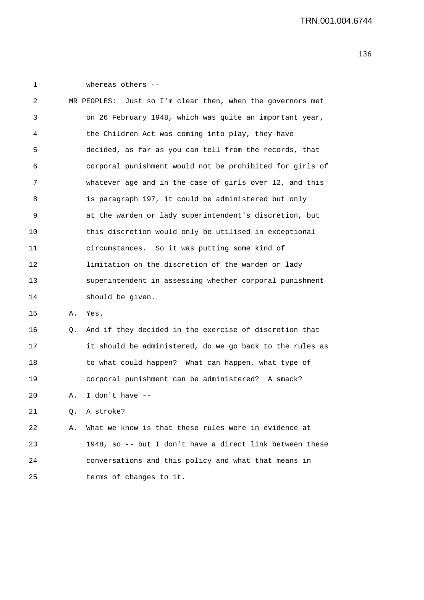1 whereas others -- 2 MR PEOPLES: Just so I'm clear then, when the governors met 3 on 26 February 1948, which was quite an important year, 4 the Children Act was coming into play, they have 5 decided, as far as you can tell from the records, that 6 corporal punishment would not be prohibited for girls of 7 whatever age and in the case of girls over 12, and this 8 is paragraph 197, it could be administered but only 9 at the warden or lady superintendent's discretion, but 10 this discretion would only be utilised in exceptional 11 circumstances. So it was putting some kind of 12 limitation on the discretion of the warden or lady 13 superintendent in assessing whether corporal punishment 14 should be given. 15 A. Yes.

16 Q. And if they decided in the exercise of discretion that 17 it should be administered, do we go back to the rules as 18 to what could happen? What can happen, what type of 19 corporal punishment can be administered? A smack?

20 A. I don't have --

21 Q. A stroke?

22 A. What we know is that these rules were in evidence at 23 1948, so -- but I don't have a direct link between these 24 conversations and this policy and what that means in 25 terms of changes to it.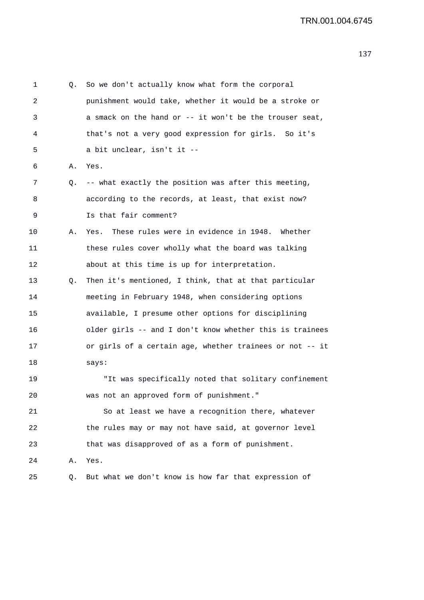| 1       | Q. | So we don't actually know what form the corporal         |
|---------|----|----------------------------------------------------------|
| 2       |    | punishment would take, whether it would be a stroke or   |
| 3       |    | a smack on the hand or -- it won't be the trouser seat,  |
| 4       |    | that's not a very good expression for girls. So it's     |
| 5       |    | a bit unclear, isn't it --                               |
| 6       | Α. | Yes.                                                     |
| 7       | Q. | -- what exactly the position was after this meeting,     |
| 8       |    | according to the records, at least, that exist now?      |
| 9       |    | Is that fair comment?                                    |
| $10 \,$ | Α. | These rules were in evidence in 1948. Whether<br>Yes.    |
| 11      |    | these rules cover wholly what the board was talking      |
| 12      |    | about at this time is up for interpretation.             |
| 13      | Q. | Then it's mentioned, I think, that at that particular    |
| 14      |    | meeting in February 1948, when considering options       |
| 15      |    | available, I presume other options for disciplining      |
| 16      |    | older girls -- and I don't know whether this is trainees |
| 17      |    | or girls of a certain age, whether trainees or not -- it |
| 18      |    | says:                                                    |
| 19      |    | "It was specifically noted that solitary confinement     |
| 20      |    | was not an approved form of punishment."                 |
| 21      |    | So at least we have a recognition there, whatever        |
| 22      |    | the rules may or may not have said, at governor level    |
| 23      |    | that was disapproved of as a form of punishment.         |
| 24      | Α. | Yes.                                                     |
| 25      | Q. | But what we don't know is how far that expression of     |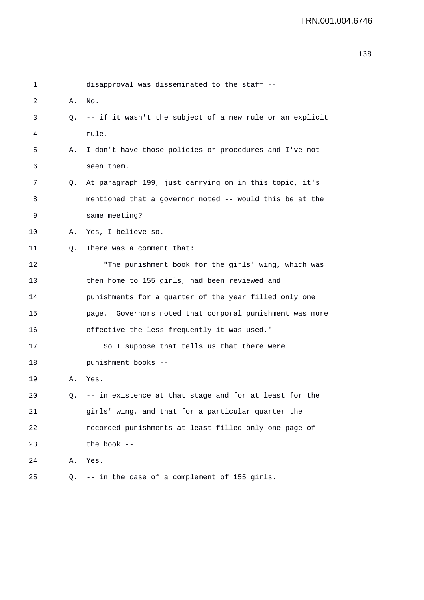```
1 disapproval was disseminated to the staff -- 
2 A. No. 
3 Q. -- if it wasn't the subject of a new rule or an explicit 
4 rule. 
5 A. I don't have those policies or procedures and I've not 
6 seen them. 
7 Q. At paragraph 199, just carrying on in this topic, it's 
8 mentioned that a governor noted -- would this be at the 
9 same meeting? 
10 A. Yes, I believe so. 
11 0. There was a comment that:
12 "The punishment book for the girls' wing, which was 
13 then home to 155 girls, had been reviewed and 
14 punishments for a quarter of the year filled only one 
15 page. Governors noted that corporal punishment was more 
16 effective the less frequently it was used." 
17 So I suppose that tells us that there were 
18 punishment books -- 
19 A. Yes. 
20 Q. -- in existence at that stage and for at least for the 
21 girls' wing, and that for a particular quarter the 
22 recorded punishments at least filled only one page of 
23 the book -- 
24 A. Yes. 
25 Q. -- in the case of a complement of 155 girls.
```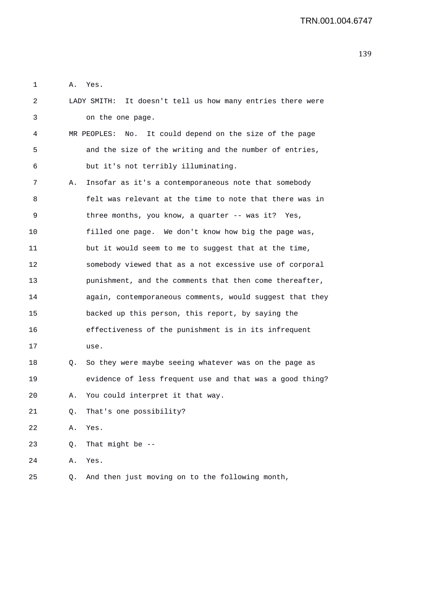1 A. Yes.

| 2  |    | LADY SMITH: It doesn't tell us how many entries there were    |
|----|----|---------------------------------------------------------------|
| 3  |    | on the one page.                                              |
| 4  |    | MR PEOPLES:<br>It could depend on the size of the page<br>No. |
| 5  |    | and the size of the writing and the number of entries,        |
| 6  |    | but it's not terribly illuminating.                           |
| 7  | Α. | Insofar as it's a contemporaneous note that somebody          |
| 8  |    | felt was relevant at the time to note that there was in       |
| 9  |    | three months, you know, a quarter -- was it? Yes,             |
| 10 |    | filled one page. We don't know how big the page was,          |
| 11 |    | but it would seem to me to suggest that at the time,          |
| 12 |    | somebody viewed that as a not excessive use of corporal       |
| 13 |    | punishment, and the comments that then come thereafter,       |
| 14 |    | again, contemporaneous comments, would suggest that they      |
| 15 |    | backed up this person, this report, by saying the             |
| 16 |    | effectiveness of the punishment is in its infrequent          |
| 17 |    | use.                                                          |
| 18 | Q. | So they were maybe seeing whatever was on the page as         |
| 19 |    | evidence of less frequent use and that was a good thing?      |
| 20 | Α. | You could interpret it that way.                              |
| 21 | Q. | That's one possibility?                                       |
| 22 | Α. | Yes.                                                          |
| 23 | Q. | That might be $-$ -                                           |
| 24 | Α. | Yes.                                                          |
| 25 | Q. | And then just moving on to the following month,               |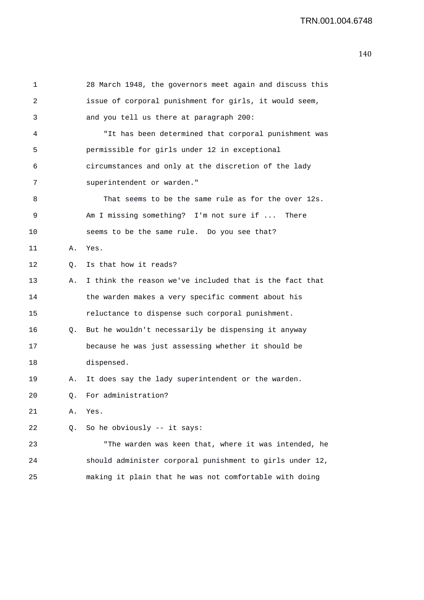| 1  |    | 28 March 1948, the governors meet again and discuss this |
|----|----|----------------------------------------------------------|
| 2  |    | issue of corporal punishment for girls, it would seem,   |
| 3  |    | and you tell us there at paragraph 200:                  |
| 4  |    | "It has been determined that corporal punishment was     |
| 5  |    | permissible for girls under 12 in exceptional            |
| 6  |    | circumstances and only at the discretion of the lady     |
| 7  |    | superintendent or warden."                               |
| 8  |    | That seems to be the same rule as for the over 12s.      |
| 9  |    | Am I missing something? I'm not sure if  There           |
| 10 |    | seems to be the same rule. Do you see that?              |
| 11 | Α. | Yes.                                                     |
| 12 | Q. | Is that how it reads?                                    |
| 13 | Α. | I think the reason we've included that is the fact that  |
| 14 |    | the warden makes a very specific comment about his       |
| 15 |    | reluctance to dispense such corporal punishment.         |
| 16 | Q. | But he wouldn't necessarily be dispensing it anyway      |
| 17 |    | because he was just assessing whether it should be       |
| 18 |    | dispensed.                                               |
| 19 | Α. | It does say the lady superintendent or the warden.       |
| 20 |    | Q. For administration?                                   |
| 21 | Α. | Yes.                                                     |
| 22 | Q. | So he obviously -- it says:                              |
| 23 |    | "The warden was keen that, where it was intended, he     |
| 24 |    | should administer corporal punishment to girls under 12, |
| 25 |    | making it plain that he was not comfortable with doing   |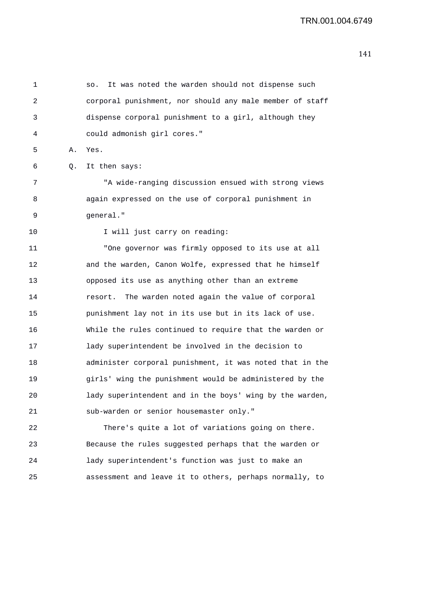| 1  |    | It was noted the warden should not dispense such<br>SO.  |
|----|----|----------------------------------------------------------|
| 2  |    | corporal punishment, nor should any male member of staff |
| 3  |    | dispense corporal punishment to a girl, although they    |
| 4  |    | could admonish girl cores."                              |
| 5  | Α. | Yes.                                                     |
| 6  | Q. | It then says:                                            |
| 7  |    | "A wide-ranging discussion ensued with strong views      |
| 8  |    | again expressed on the use of corporal punishment in     |
| 9  |    | general."                                                |
| 10 |    | I will just carry on reading:                            |
| 11 |    | "One governor was firmly opposed to its use at all       |
| 12 |    | and the warden, Canon Wolfe, expressed that he himself   |
| 13 |    | opposed its use as anything other than an extreme        |
| 14 |    | The warden noted again the value of corporal<br>resort.  |
| 15 |    | punishment lay not in its use but in its lack of use.    |
| 16 |    | While the rules continued to require that the warden or  |
| 17 |    | lady superintendent be involved in the decision to       |
| 18 |    | administer corporal punishment, it was noted that in the |
| 19 |    | girls' wing the punishment would be administered by the  |
| 20 |    | lady superintendent and in the boys' wing by the warden, |
| 21 |    | sub-warden or senior housemaster only."                  |
| 22 |    | There's quite a lot of variations going on there.        |
| 23 |    | Because the rules suggested perhaps that the warden or   |
| 24 |    | lady superintendent's function was just to make an       |

25 assessment and leave it to others, perhaps normally, to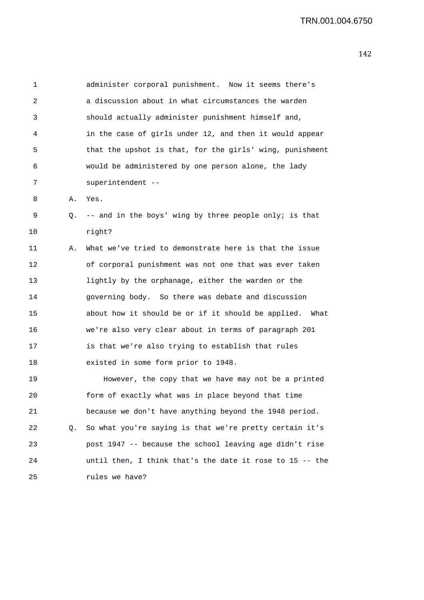| 1  |    | administer corporal punishment. Now it seems there's      |
|----|----|-----------------------------------------------------------|
| 2  |    | a discussion about in what circumstances the warden       |
| 3  |    | should actually administer punishment himself and,        |
| 4  |    | in the case of girls under 12, and then it would appear   |
| 5  |    | that the upshot is that, for the girls' wing, punishment  |
| 6  |    | would be administered by one person alone, the lady       |
| 7  |    | superintendent --                                         |
| 8  | Α. | Yes.                                                      |
| 9  |    | Q. -- and in the boys' wing by three people only; is that |
| 10 |    | right?                                                    |
| 11 | Α. | What we've tried to demonstrate here is that the issue    |
| 12 |    | of corporal punishment was not one that was ever taken    |
| 13 |    | lightly by the orphanage, either the warden or the        |
| 14 |    | governing body. So there was debate and discussion        |
| 15 |    | about how it should be or if it should be applied. What   |
| 16 |    | we're also very clear about in terms of paragraph 201     |
| 17 |    | is that we're also trying to establish that rules         |
| 18 |    | existed in some form prior to 1948.                       |
| 19 |    | However, the copy that we have may not be a printed       |
| 20 |    | form of exactly what was in place beyond that time        |
| 21 |    | because we don't have anything beyond the 1948 period.    |
| 22 | Q. | So what you're saying is that we're pretty certain it's   |
| 23 |    | post 1947 -- because the school leaving age didn't rise   |
| 24 |    | until then, I think that's the date it rose to 15 -- the  |
| 25 |    | rules we have?                                            |
|    |    |                                                           |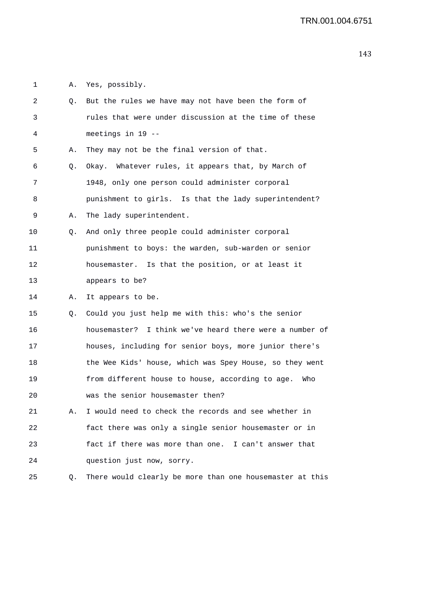1 A. Yes, possibly.

| 2  | Q. | But the rules we have may not have been the form of      |
|----|----|----------------------------------------------------------|
| 3  |    | rules that were under discussion at the time of these    |
| 4  |    | meetings in 19 --                                        |
| 5  | Α. | They may not be the final version of that.               |
| 6  | Q. | Okay. Whatever rules, it appears that, by March of       |
| 7  |    | 1948, only one person could administer corporal          |
| 8  |    | punishment to girls. Is that the lady superintendent?    |
| 9  | Α. | The lady superintendent.                                 |
| 10 | Q. | And only three people could administer corporal          |
| 11 |    | punishment to boys: the warden, sub-warden or senior     |
| 12 |    | housemaster. Is that the position, or at least it        |
| 13 |    | appears to be?                                           |
| 14 | Α. | It appears to be.                                        |
| 15 | Q. | Could you just help me with this: who's the senior       |
| 16 |    | housemaster? I think we've heard there were a number of  |
| 17 |    | houses, including for senior boys, more junior there's   |
| 18 |    | the Wee Kids' house, which was Spey House, so they went  |
| 19 |    | from different house to house, according to age.<br>Who  |
| 20 |    | was the senior housemaster then?                         |
| 21 | Α. | I would need to check the records and see whether in     |
| 22 |    | fact there was only a single senior housemaster or in    |
| 23 |    | fact if there was more than one. I can't answer that     |
| 24 |    | question just now, sorry.                                |
| 25 | Q. | There would clearly be more than one housemaster at this |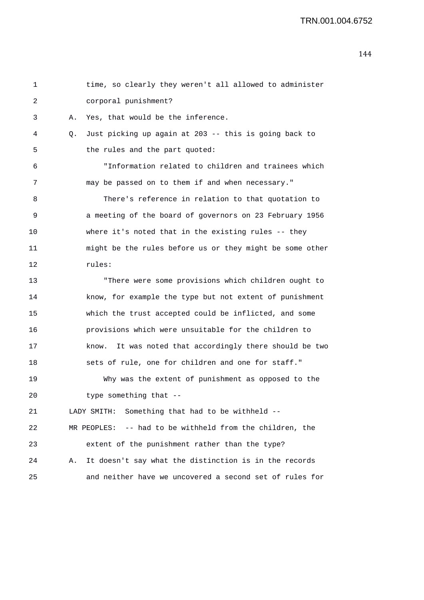```
1 time, so clearly they weren't all allowed to administer 
2 corporal punishment? 
3 A. Yes, that would be the inference. 
4 Q. Just picking up again at 203 -- this is going back to 
5 the rules and the part quoted:
6 "Information related to children and trainees which 
7 may be passed on to them if and when necessary." 
8 There's reference in relation to that quotation to 
9 a meeting of the board of governors on 23 February 1956 
10 where it's noted that in the existing rules -- they 
11 might be the rules before us or they might be some other 
12 rules: 
13 "There were some provisions which children ought to 
14 know, for example the type but not extent of punishment 
15 which the trust accepted could be inflicted, and some 
16 provisions which were unsuitable for the children to 
17 know. It was noted that accordingly there should be two 
18 sets of rule, one for children and one for staff." 
19 Why was the extent of punishment as opposed to the 
20 type something that --
21 LADY SMITH: Something that had to be withheld -- 
22 MR PEOPLES: -- had to be withheld from the children, the 
23 extent of the punishment rather than the type? 
24 A. It doesn't say what the distinction is in the records 
25 and neither have we uncovered a second set of rules for
```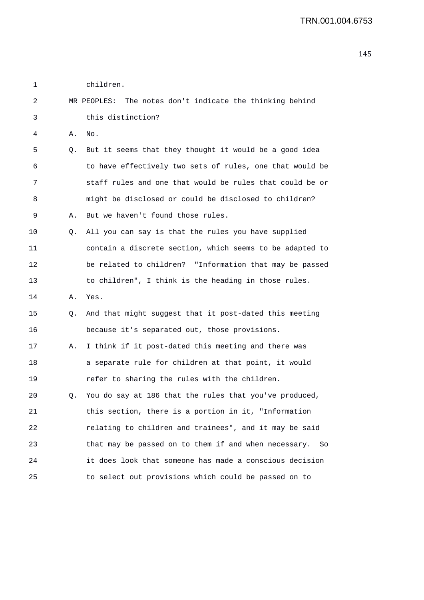| 1  |    | children.                                                   |  |  |
|----|----|-------------------------------------------------------------|--|--|
| 2  |    | The notes don't indicate the thinking behind<br>MR PEOPLES: |  |  |
| 3  |    | this distinction?                                           |  |  |
| 4  | Α. | No.                                                         |  |  |
| 5  | Q. | But it seems that they thought it would be a good idea      |  |  |
| 6  |    | to have effectively two sets of rules, one that would be    |  |  |
| 7  |    | staff rules and one that would be rules that could be or    |  |  |
| 8  |    | might be disclosed or could be disclosed to children?       |  |  |
| 9  | Α. | But we haven't found those rules.                           |  |  |
| 10 | Q. | All you can say is that the rules you have supplied         |  |  |
| 11 |    | contain a discrete section, which seems to be adapted to    |  |  |
| 12 |    | be related to children? "Information that may be passed     |  |  |
| 13 |    | to children", I think is the heading in those rules.        |  |  |
| 14 | Α. | Yes.                                                        |  |  |
| 15 | О. | And that might suggest that it post-dated this meeting      |  |  |
| 16 |    | because it's separated out, those provisions.               |  |  |
| 17 | Α. | I think if it post-dated this meeting and there was         |  |  |
| 18 |    | a separate rule for children at that point, it would        |  |  |
| 19 |    | refer to sharing the rules with the children.               |  |  |
| 20 | Q. | You do say at 186 that the rules that you've produced,      |  |  |
| 21 |    | this section, there is a portion in it, "Information        |  |  |
| 22 |    | relating to children and trainees", and it may be said      |  |  |
| 23 |    | that may be passed on to them if and when necessary. So     |  |  |
| 24 |    | it does look that someone has made a conscious decision     |  |  |
| 25 |    | to select out provisions which could be passed on to        |  |  |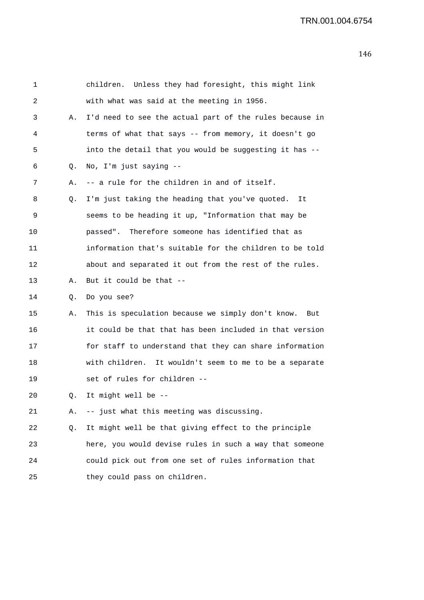| 1  |    | children. Unless they had foresight, this might link     |
|----|----|----------------------------------------------------------|
| 2  |    | with what was said at the meeting in 1956.               |
| 3  | Α. | I'd need to see the actual part of the rules because in  |
| 4  |    | terms of what that says -- from memory, it doesn't go    |
| 5  |    | into the detail that you would be suggesting it has --   |
| 6  | Q. | No, I'm just saying --                                   |
| 7  | Α. | -- a rule for the children in and of itself.             |
| 8  | Q. | I'm just taking the heading that you've quoted.<br>It    |
| 9  |    | seems to be heading it up, "Information that may be      |
| 10 |    | passed". Therefore someone has identified that as        |
| 11 |    | information that's suitable for the children to be told  |
| 12 |    | about and separated it out from the rest of the rules.   |
| 13 | Α. | But it could be that --                                  |
| 14 | Q. | Do you see?                                              |
| 15 | Α. | This is speculation because we simply don't know.<br>But |
| 16 |    | it could be that that has been included in that version  |
| 17 |    | for staff to understand that they can share information  |
| 18 |    | with children. It wouldn't seem to me to be a separate   |
| 19 |    | set of rules for children --                             |
| 20 |    | It might well be                                         |
| 21 | Α. | -- just what this meeting was discussing.                |
| 22 | Q. | It might well be that giving effect to the principle     |
| 23 |    | here, you would devise rules in such a way that someone  |
| 24 |    | could pick out from one set of rules information that    |
| 25 |    | they could pass on children.                             |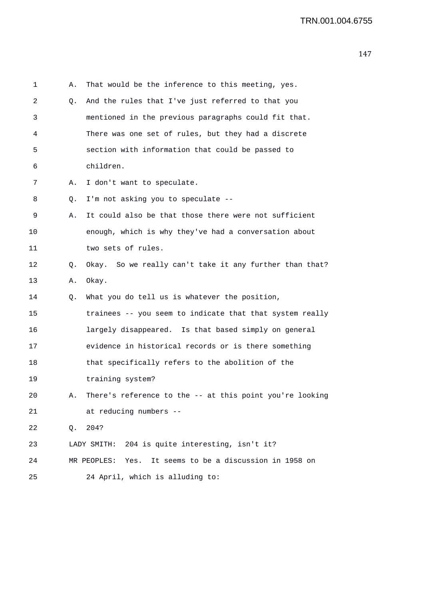| 1  | Α. | That would be the inference to this meeting, yes.        |
|----|----|----------------------------------------------------------|
| 2  | Q. | And the rules that I've just referred to that you        |
| 3  |    | mentioned in the previous paragraphs could fit that.     |
| 4  |    | There was one set of rules, but they had a discrete      |
| 5  |    | section with information that could be passed to         |
| 6  |    | children.                                                |
| 7  | Α. | I don't want to speculate.                               |
| 8  | Q. | I'm not asking you to speculate --                       |
| 9  | Α. | It could also be that those there were not sufficient    |
| 10 |    | enough, which is why they've had a conversation about    |
| 11 |    | two sets of rules.                                       |
| 12 | Q. | Okay. So we really can't take it any further than that?  |
| 13 | Α. | Okay.                                                    |
| 14 | Q. | What you do tell us is whatever the position,            |
| 15 |    | trainees -- you seem to indicate that that system really |
| 16 |    | largely disappeared. Is that based simply on general     |
| 17 |    | evidence in historical records or is there something     |
| 18 |    | that specifically refers to the abolition of the         |
| 19 |    | training system?                                         |
| 20 | Α. | There's reference to the -- at this point you're looking |
| 21 |    | at reducing numbers --                                   |
| 22 | Q. | 204?                                                     |
| 23 |    | 204 is quite interesting, isn't it?<br>LADY SMITH:       |
| 24 |    | MR PEOPLES: Yes. It seems to be a discussion in 1958 on  |
| 25 |    | 24 April, which is alluding to:                          |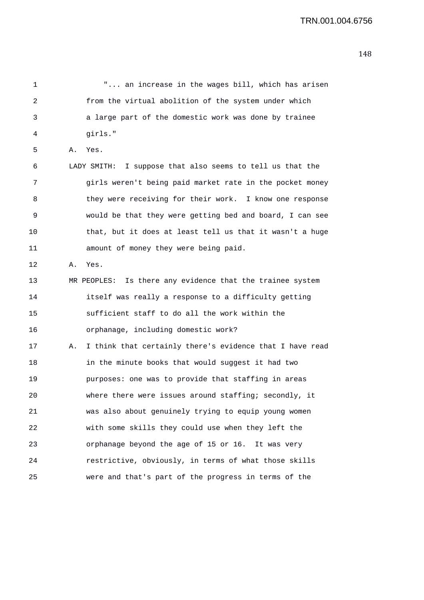| 1  |    | " an increase in the wages bill, which has arisen            |
|----|----|--------------------------------------------------------------|
| 2  |    | from the virtual abolition of the system under which         |
| 3  |    | a large part of the domestic work was done by trainee        |
| 4  |    | girls."                                                      |
| 5  | Α. | Yes.                                                         |
| 6  |    | LADY SMITH: I suppose that also seems to tell us that the    |
| 7  |    | girls weren't being paid market rate in the pocket money     |
| 8  |    | they were receiving for their work. I know one response      |
| 9  |    | would be that they were getting bed and board, I can see     |
| 10 |    | that, but it does at least tell us that it wasn't a huge     |
| 11 |    | amount of money they were being paid.                        |
| 12 | Α. | Yes.                                                         |
| 13 |    | Is there any evidence that the trainee system<br>MR PEOPLES: |
| 14 |    | itself was really a response to a difficulty getting         |
| 15 |    | sufficient staff to do all the work within the               |
| 16 |    | orphanage, including domestic work?                          |
| 17 | Α. | I think that certainly there's evidence that I have read     |
| 18 |    | in the minute books that would suggest it had two            |
| 19 |    | purposes: one was to provide that staffing in areas          |
| 20 |    | where there were issues around staffing; secondly, it        |
| 21 |    | was also about genuinely trying to equip young women         |
| 22 |    | with some skills they could use when they left the           |
| 23 |    | orphanage beyond the age of 15 or 16. It was very            |
| 24 |    | restrictive, obviously, in terms of what those skills        |
| 25 |    | were and that's part of the progress in terms of the         |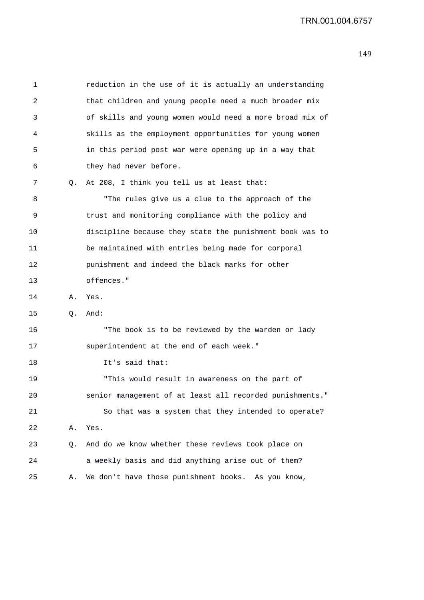| 1  |    | reduction in the use of it is actually an understanding  |
|----|----|----------------------------------------------------------|
| 2  |    | that children and young people need a much broader mix   |
| 3  |    | of skills and young women would need a more broad mix of |
| 4  |    | skills as the employment opportunities for young women   |
| 5  |    | in this period post war were opening up in a way that    |
| 6  |    | they had never before.                                   |
| 7  | Q. | At 208, I think you tell us at least that:               |
| 8  |    | "The rules give us a clue to the approach of the         |
| 9  |    | trust and monitoring compliance with the policy and      |
| 10 |    | discipline because they state the punishment book was to |
| 11 |    | be maintained with entries being made for corporal       |
| 12 |    | punishment and indeed the black marks for other          |
| 13 |    | offences."                                               |
| 14 | Α. | Yes.                                                     |
| 15 | Q. | And:                                                     |
| 16 |    | "The book is to be reviewed by the warden or lady        |
| 17 |    | superintendent at the end of each week."                 |
| 18 |    | It's said that:                                          |
| 19 |    | "This would result in awareness on the part of           |
| 20 |    | senior management of at least all recorded punishments.  |
| 21 |    | So that was a system that they intended to operate?      |
| 22 | Α. | Yes.                                                     |
| 23 | Q. | And do we know whether these reviews took place on       |
| 24 |    | a weekly basis and did anything arise out of them?       |
| 25 | Α. | We don't have those punishment books. As you know,       |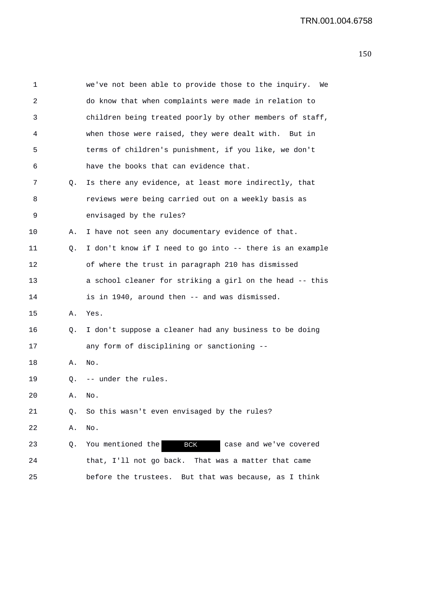| 1  |    | we've not been able to provide those to the inquiry.<br>We |
|----|----|------------------------------------------------------------|
| 2  |    | do know that when complaints were made in relation to      |
| 3  |    | children being treated poorly by other members of staff,   |
| 4  |    | when those were raised, they were dealt with. But in       |
| 5  |    | terms of children's punishment, if you like, we don't      |
| 6  |    | have the books that can evidence that.                     |
| 7  | Q. | Is there any evidence, at least more indirectly, that      |
| 8  |    | reviews were being carried out on a weekly basis as        |
| 9  |    | envisaged by the rules?                                    |
| 10 | Α. | I have not seen any documentary evidence of that.          |
| 11 | Q. | I don't know if I need to go into -- there is an example   |
| 12 |    | of where the trust in paragraph 210 has dismissed          |
| 13 |    | a school cleaner for striking a girl on the head -- this   |
| 14 |    | is in 1940, around then -- and was dismissed.              |
| 15 | Α. | Yes.                                                       |
| 16 | Q. | I don't suppose a cleaner had any business to be doing     |
| 17 |    | any form of disciplining or sanctioning --                 |
| 18 | Α. | No.                                                        |
| 19 |    | Q. -- under the rules.                                     |
| 20 | Α. | No.                                                        |
| 21 | Q. | So this wasn't even envisaged by the rules?                |
| 22 | Α. | No.                                                        |
| 23 | Q. | You mentioned the<br><b>BCK</b><br>case and we've covered  |
| 24 |    | that, I'll not go back. That was a matter that came        |
| 25 |    | before the trustees. But that was because, as I think      |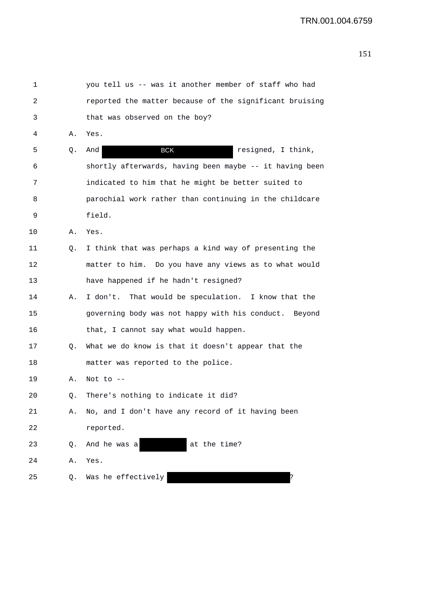| 1  |    | you tell us -- was it another member of staff who had   |
|----|----|---------------------------------------------------------|
| 2  |    | reported the matter because of the significant bruising |
| 3  |    | that was observed on the boy?                           |
| 4  | Α. | Yes.                                                    |
| 5  | Q. | <b>BCK</b><br>resigned, I think,<br>And                 |
| 6  |    | shortly afterwards, having been maybe -- it having been |
| 7  |    | indicated to him that he might be better suited to      |
| 8  |    | parochial work rather than continuing in the childcare  |
| 9  |    | field.                                                  |
| 10 | Α. | Yes.                                                    |
| 11 | Q. | I think that was perhaps a kind way of presenting the   |
| 12 |    | matter to him. Do you have any views as to what would   |
| 13 |    | have happened if he hadn't resigned?                    |
| 14 | Α. | I don't. That would be speculation. I know that the     |
| 15 |    | governing body was not happy with his conduct. Beyond   |
| 16 |    | that, I cannot say what would happen.                   |
| 17 | Q. | What we do know is that it doesn't appear that the      |
| 18 |    | matter was reported to the police.                      |
| 19 | Α. | Not to $-$                                              |
| 20 | Q. | There's nothing to indicate it did?                     |
| 21 | Α. | No, and I don't have any record of it having been       |
| 22 |    | reported.                                               |
| 23 | Q. | at the time?<br>And he was a                            |
| 24 | Α. | Yes.                                                    |
| 25 | Q. | Was he effectively                                      |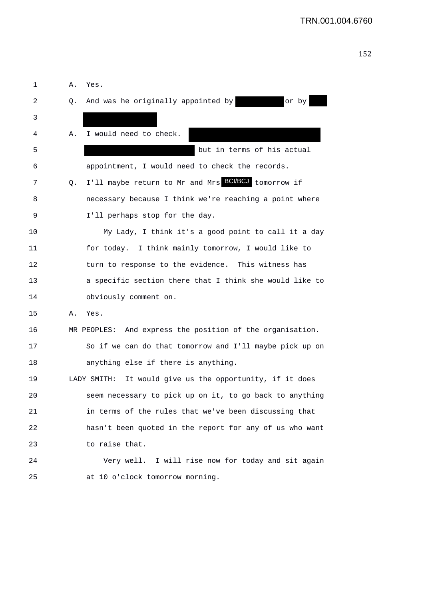```
152
```

| 1  | Α. | Yes.                                                      |
|----|----|-----------------------------------------------------------|
| 2  | Q. | And was he originally appointed by<br>or by               |
| 3  |    |                                                           |
| 4  | Α. | I would need to check.                                    |
| 5  |    | but in terms of his actual                                |
| 6  |    | appointment, I would need to check the records.           |
| 7  | Q. | I'll maybe return to Mr and Mrs BCMBCJ tomorrow if        |
| 8  |    | necessary because I think we're reaching a point where    |
| 9  |    | I'll perhaps stop for the day.                            |
| 10 |    | My Lady, I think it's a good point to call it a day       |
| 11 |    | for today. I think mainly tomorrow, I would like to       |
| 12 |    | turn to response to the evidence. This witness has        |
| 13 |    | a specific section there that I think she would like to   |
| 14 |    | obviously comment on.                                     |
| 15 | Α. | Yes.                                                      |
| 16 |    | MR PEOPLES: And express the position of the organisation. |
| 17 |    | So if we can do that tomorrow and I'll maybe pick up on   |
| 18 |    | anything else if there is anything.                       |
| 19 |    | LADY SMITH: It would give us the opportunity, if it does  |
| 20 |    | seem necessary to pick up on it, to go back to anything   |
| 21 |    | in terms of the rules that we've been discussing that     |
| 22 |    | hasn't been quoted in the report for any of us who want   |
| 23 |    | to raise that.                                            |
| 24 |    | Very well. I will rise now for today and sit again        |
| 25 |    | at 10 o'clock tomorrow morning.                           |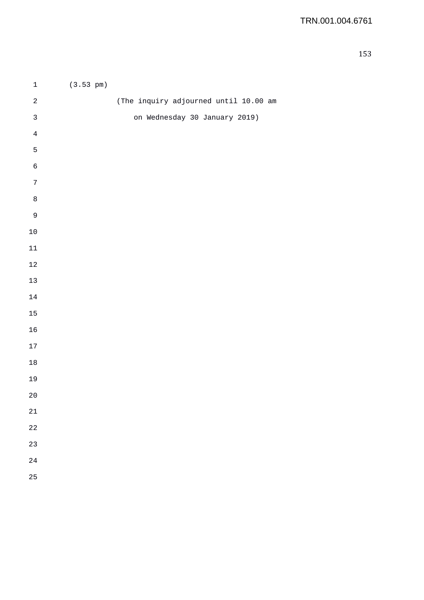| $\mathbf{1}$ | $(3.53 \text{ pm})$ |                                       |
|--------------|---------------------|---------------------------------------|
| $\sqrt{2}$   |                     | (The inquiry adjourned until 10.00 am |
| $\mathsf 3$  |                     | on Wednesday 30 January 2019)         |
| $\,4$        |                     |                                       |
| 5            |                     |                                       |
| $\epsilon$   |                     |                                       |
| $\sqrt{ }$   |                     |                                       |
| $\,8\,$      |                     |                                       |
| $\mathsf 9$  |                     |                                       |
| $10$         |                     |                                       |
| $11\,$       |                     |                                       |
| $1\sqrt{2}$  |                     |                                       |
| $13\,$       |                     |                                       |
| $14\,$       |                     |                                       |
| 15           |                     |                                       |
| 16           |                     |                                       |
| $17\,$       |                     |                                       |
| $18\,$       |                     |                                       |
| 19           |                     |                                       |
| $20$         |                     |                                       |
| $21\,$       |                     |                                       |
| 22           |                     |                                       |
| 23           |                     |                                       |
| 24           |                     |                                       |
| 25           |                     |                                       |